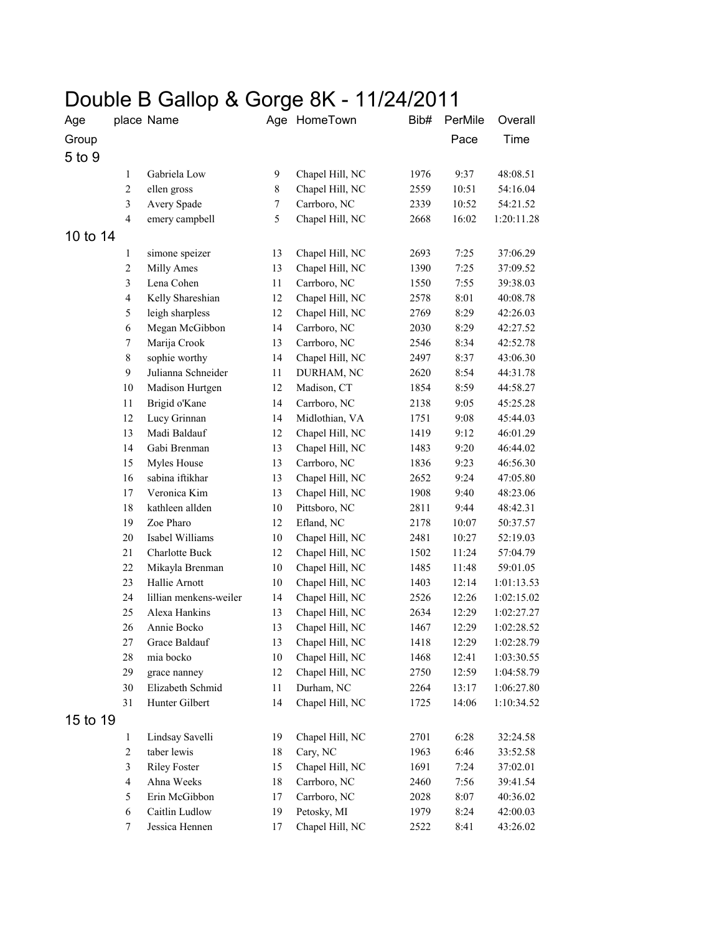## Double B Gallop & Gorge 8K - 11/24/2011

| Age      |                         | place Name             | Age          | HomeTown        | Bib# | PerMile | Overall    |
|----------|-------------------------|------------------------|--------------|-----------------|------|---------|------------|
| Group    |                         |                        |              |                 |      | Pace    | Time       |
| 5 to 9   |                         |                        |              |                 |      |         |            |
|          | $\mathbf{1}$            | Gabriela Low           | $\mathbf{9}$ | Chapel Hill, NC | 1976 | 9:37    | 48:08.51   |
|          | $\overline{c}$          | ellen gross            | $\,8\,$      | Chapel Hill, NC | 2559 | 10:51   | 54:16.04   |
|          | 3                       | Avery Spade            | $\tau$       | Carrboro, NC    | 2339 | 10:52   | 54:21.52   |
|          | $\overline{4}$          | emery campbell         | 5            | Chapel Hill, NC | 2668 | 16:02   | 1:20:11.28 |
|          |                         |                        |              |                 |      |         |            |
| 10 to 14 |                         |                        |              |                 |      |         |            |
|          | $\mathbf{1}$            | simone speizer         | 13           | Chapel Hill, NC | 2693 | 7:25    | 37:06.29   |
|          | $\overline{c}$          | Milly Ames             | 13           | Chapel Hill, NC | 1390 | 7:25    | 37:09.52   |
|          | $\mathfrak{Z}$          | Lena Cohen             | 11           | Carrboro, NC    | 1550 | 7:55    | 39:38.03   |
|          | $\overline{\mathbf{4}}$ | Kelly Shareshian       | 12           | Chapel Hill, NC | 2578 | 8:01    | 40:08.78   |
|          | 5                       | leigh sharpless        | 12           | Chapel Hill, NC | 2769 | 8:29    | 42:26.03   |
|          | 6                       | Megan McGibbon         | 14           | Carrboro, NC    | 2030 | 8:29    | 42:27.52   |
|          | $\tau$                  | Marija Crook           | 13           | Carrboro, NC    | 2546 | 8:34    | 42:52.78   |
|          | $\,8\,$                 | sophie worthy          | 14           | Chapel Hill, NC | 2497 | 8:37    | 43:06.30   |
|          | 9                       | Julianna Schneider     | 11           | DURHAM, NC      | 2620 | 8:54    | 44:31.78   |
|          | $10\,$                  | Madison Hurtgen        | 12           | Madison, CT     | 1854 | 8:59    | 44:58.27   |
|          | 11                      | Brigid o'Kane          | 14           | Carrboro, NC    | 2138 | 9:05    | 45:25.28   |
|          | 12                      | Lucy Grinnan           | 14           | Midlothian, VA  | 1751 | 9:08    | 45:44.03   |
|          | 13                      | Madi Baldauf           | 12           | Chapel Hill, NC | 1419 | 9:12    | 46:01.29   |
|          | 14                      | Gabi Brenman           | 13           | Chapel Hill, NC | 1483 | 9:20    | 46:44.02   |
|          | 15                      | Myles House            | 13           | Carrboro, NC    | 1836 | 9:23    | 46:56.30   |
|          | 16                      | sabina iftikhar        | 13           | Chapel Hill, NC | 2652 | 9:24    | 47:05.80   |
|          | 17                      | Veronica Kim           | 13           | Chapel Hill, NC | 1908 | 9:40    | 48:23.06   |
|          | 18                      | kathleen allden        | $10\,$       | Pittsboro, NC   | 2811 | 9:44    | 48:42.31   |
|          | 19                      | Zoe Pharo              | 12           | Efland, NC      | 2178 | 10:07   | 50:37.57   |
|          | 20                      | Isabel Williams        | 10           | Chapel Hill, NC | 2481 | 10:27   | 52:19.03   |
|          | 21                      | Charlotte Buck         | 12           | Chapel Hill, NC | 1502 | 11:24   | 57:04.79   |
|          | 22                      | Mikayla Brenman        | 10           | Chapel Hill, NC | 1485 | 11:48   | 59:01.05   |
|          | 23                      | Hallie Arnott          | 10           | Chapel Hill, NC | 1403 | 12:14   | 1:01:13.53 |
|          | 24                      | lillian menkens-weiler | 14           | Chapel Hill, NC | 2526 | 12:26   | 1:02:15.02 |
|          | 25                      | Alexa Hankins          | 13           | Chapel Hill, NC | 2634 | 12:29   | 1:02:27.27 |
|          | 26                      | Annie Bocko            | 13           | Chapel Hill, NC | 1467 | 12:29   | 1:02:28.52 |
|          | 27                      | Grace Baldauf          | 13           | Chapel Hill, NC | 1418 | 12:29   | 1:02:28.79 |
|          | 28                      | mia bocko              | 10           | Chapel Hill, NC | 1468 | 12:41   | 1:03:30.55 |
|          | 29                      | grace nanney           | 12           | Chapel Hill, NC | 2750 | 12:59   | 1:04:58.79 |
|          | 30                      | Elizabeth Schmid       | $11\,$       | Durham, NC      | 2264 | 13:17   | 1:06:27.80 |
|          | 31                      | Hunter Gilbert         | 14           | Chapel Hill, NC | 1725 | 14:06   | 1:10:34.52 |
| 15 to 19 |                         |                        |              |                 |      |         |            |
|          | $\mathbf{1}$            | Lindsay Savelli        | 19           | Chapel Hill, NC | 2701 | 6:28    | 32:24.58   |
|          | $\overline{c}$          | taber lewis            | 18           | Cary, NC        | 1963 | 6:46    | 33:52.58   |
|          | 3                       | <b>Riley Foster</b>    | 15           | Chapel Hill, NC | 1691 | 7:24    | 37:02.01   |
|          | $\overline{\mathbf{4}}$ | Ahna Weeks             | 18           | Carrboro, NC    | 2460 | 7:56    | 39:41.54   |
|          | 5                       | Erin McGibbon          | 17           | Carrboro, NC    | 2028 | 8:07    | 40:36.02   |
|          | 6                       | Caitlin Ludlow         | 19           | Petosky, MI     | 1979 | 8:24    | 42:00.03   |
|          | $\boldsymbol{7}$        | Jessica Hennen         | 17           | Chapel Hill, NC | 2522 | 8:41    | 43:26.02   |
|          |                         |                        |              |                 |      |         |            |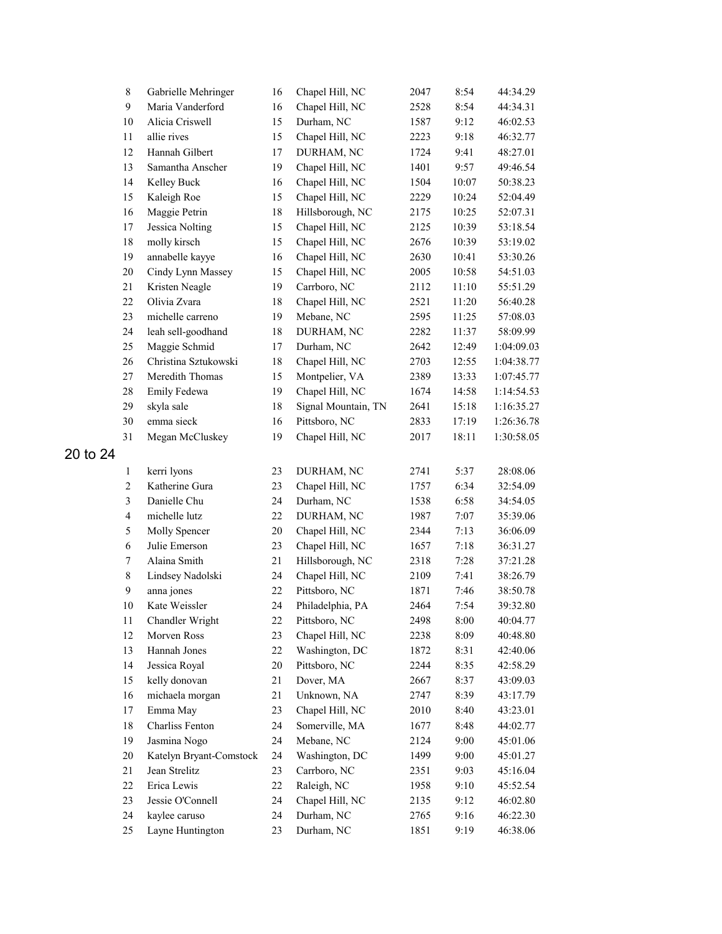|          | $\,$ $\,$               | Gabrielle Mehringer     | 16     | Chapel Hill, NC     | 2047 | 8:54  | 44:34.29   |
|----------|-------------------------|-------------------------|--------|---------------------|------|-------|------------|
|          | 9                       | Maria Vanderford        | 16     | Chapel Hill, NC     | 2528 | 8:54  | 44:34.31   |
|          | $10\,$                  | Alicia Criswell         | 15     | Durham, NC          | 1587 | 9:12  | 46:02.53   |
|          | 11                      | allie rives             | 15     | Chapel Hill, NC     | 2223 | 9:18  | 46:32.77   |
|          | 12                      | Hannah Gilbert          | 17     | DURHAM, NC          | 1724 | 9:41  | 48:27.01   |
|          | 13                      | Samantha Anscher        | 19     | Chapel Hill, NC     | 1401 | 9:57  | 49:46.54   |
|          | 14                      | Kelley Buck             | 16     | Chapel Hill, NC     | 1504 | 10:07 | 50:38.23   |
|          | 15                      | Kaleigh Roe             | 15     | Chapel Hill, NC     | 2229 | 10:24 | 52:04.49   |
|          | 16                      | Maggie Petrin           | 18     | Hillsborough, NC    | 2175 | 10:25 | 52:07.31   |
|          | 17                      | Jessica Nolting         | 15     | Chapel Hill, NC     | 2125 | 10:39 | 53:18.54   |
|          | 18                      | molly kirsch            | 15     | Chapel Hill, NC     | 2676 | 10:39 | 53:19.02   |
|          | 19                      | annabelle kayye         | 16     | Chapel Hill, NC     | 2630 | 10:41 | 53:30.26   |
|          | 20                      | Cindy Lynn Massey       | 15     | Chapel Hill, NC     | 2005 | 10:58 | 54:51.03   |
|          | 21                      | Kristen Neagle          | 19     | Carrboro, NC        | 2112 | 11:10 | 55:51.29   |
|          | 22                      | Olivia Zvara            | 18     | Chapel Hill, NC     | 2521 | 11:20 | 56:40.28   |
|          | 23                      | michelle carreno        | 19     | Mebane, NC          | 2595 | 11:25 | 57:08.03   |
|          | 24                      | leah sell-goodhand      | 18     | DURHAM, NC          | 2282 | 11:37 | 58:09.99   |
|          | 25                      | Maggie Schmid           | 17     | Durham, NC          | 2642 | 12:49 | 1:04:09.03 |
|          | 26                      | Christina Sztukowski    | 18     | Chapel Hill, NC     | 2703 | 12:55 | 1:04:38.77 |
|          | 27                      | Meredith Thomas         | 15     | Montpelier, VA      | 2389 | 13:33 | 1:07:45.77 |
|          | 28                      | Emily Fedewa            | 19     | Chapel Hill, NC     | 1674 | 14:58 | 1:14:54.53 |
|          | 29                      | skyla sale              | 18     | Signal Mountain, TN | 2641 | 15:18 | 1:16:35.27 |
|          | 30                      | emma sieck              | 16     | Pittsboro, NC       | 2833 | 17:19 | 1:26:36.78 |
|          | 31                      | Megan McCluskey         | 19     | Chapel Hill, NC     | 2017 | 18:11 | 1:30:58.05 |
| 20 to 24 |                         |                         |        |                     |      |       |            |
|          | $\mathbf{1}$            | kerri lyons             | 23     | DURHAM, NC          | 2741 | 5:37  | 28:08.06   |
|          | $\overline{c}$          | Katherine Gura          | 23     | Chapel Hill, NC     | 1757 | 6:34  | 32:54.09   |
|          | $\overline{\mathbf{3}}$ | Danielle Chu            | 24     | Durham, NC          | 1538 | 6:58  | 34:54.05   |
|          | $\overline{\mathbf{4}}$ | michelle lutz           | 22     | DURHAM, NC          | 1987 | 7:07  | 35:39.06   |
|          | 5                       | Molly Spencer           | $20\,$ | Chapel Hill, NC     | 2344 | 7:13  | 36:06.09   |
|          | 6                       | Julie Emerson           | 23     | Chapel Hill, NC     | 1657 | 7:18  | 36:31.27   |
|          | $\boldsymbol{7}$        | Alaina Smith            | 21     | Hillsborough, NC    | 2318 | 7:28  | 37:21.28   |
|          | $8\,$                   | Lindsey Nadolski        | 24     | Chapel Hill, NC     | 2109 | 7:41  | 38:26.79   |
|          | $\mathbf{9}$            |                         | $22\,$ |                     |      | 7:46  |            |
|          |                         | anna jones              |        | Pittsboro, NC       | 1871 |       | 38:50.78   |
|          | 10                      | Kate Weissler           | 24     | Philadelphia, PA    | 2464 | 7:54  | 39:32.80   |
|          | 11                      | Chandler Wright         | 22     | Pittsboro, NC       | 2498 | 8:00  | 40:04.77   |
|          | 12                      | Morven Ross             | 23     | Chapel Hill, NC     | 2238 | 8:09  | 40:48.80   |
|          | 13                      | Hannah Jones            | $22\,$ | Washington, DC      | 1872 | 8:31  | 42:40.06   |
|          | 14                      | Jessica Royal           | $20\,$ | Pittsboro, NC       | 2244 | 8:35  | 42:58.29   |
|          | 15                      | kelly donovan           | 21     | Dover, MA           | 2667 | 8:37  | 43:09.03   |
|          | 16                      | michaela morgan         | 21     | Unknown, NA         | 2747 | 8:39  | 43:17.79   |
|          | 17                      | Emma May                | 23     | Chapel Hill, NC     | 2010 | 8:40  | 43:23.01   |
|          | 18                      | Charliss Fenton         | 24     | Somerville, MA      | 1677 | 8:48  | 44:02.77   |
|          | 19                      | Jasmina Nogo            | 24     | Mebane, NC          | 2124 | 9:00  | 45:01.06   |
|          | $20\,$                  | Katelyn Bryant-Comstock | 24     | Washington, DC      | 1499 | 9:00  | 45:01.27   |
|          | 21                      | Jean Strelitz           | 23     | Carrboro, NC        | 2351 | 9:03  | 45:16.04   |
|          | 22                      | Erica Lewis             | $22\,$ | Raleigh, NC         | 1958 | 9:10  | 45:52.54   |
|          | 23                      | Jessie O'Connell        | 24     | Chapel Hill, NC     | 2135 | 9:12  | 46:02.80   |
|          | 24                      | kaylee caruso           | 24     | Durham, NC          | 2765 | 9:16  | 46:22.30   |
|          | 25                      | Layne Huntington        | 23     | Durham, NC          | 1851 | 9:19  | 46:38.06   |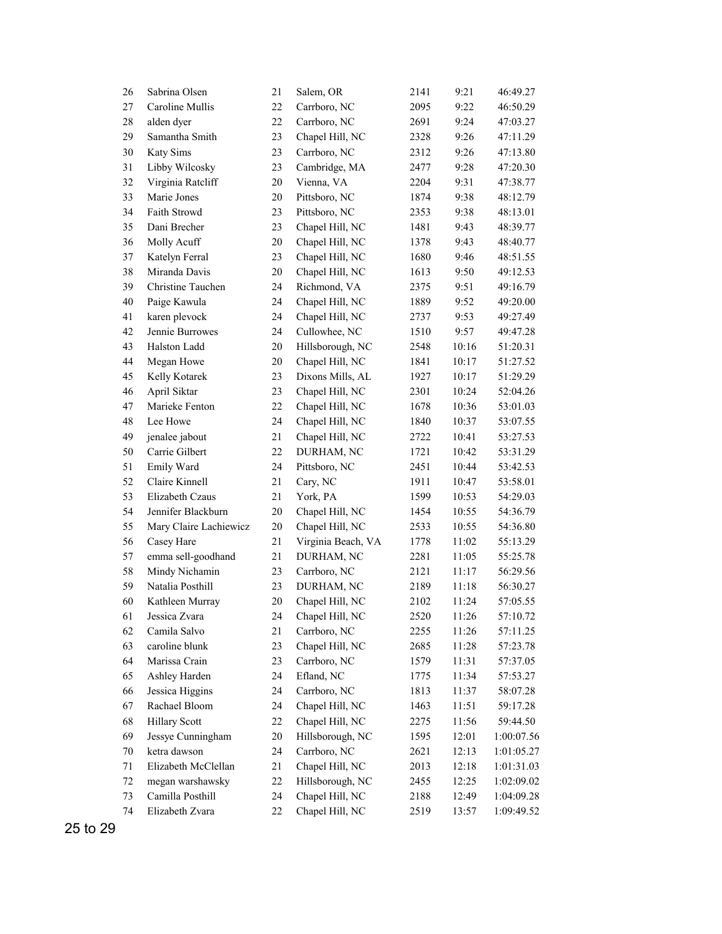| 26     | Sabrina Olsen          | 21     | Salem, OR          | 2141 | 9:21  | 46:49.27   |
|--------|------------------------|--------|--------------------|------|-------|------------|
| 27     | Caroline Mullis        | 22     | Carrboro, NC       | 2095 | 9:22  | 46:50.29   |
| 28     | alden dyer             | $22\,$ | Carrboro, NC       | 2691 | 9:24  | 47:03.27   |
| 29     | Samantha Smith         | 23     | Chapel Hill, NC    | 2328 | 9:26  | 47:11.29   |
| 30     | Katy Sims              | 23     | Carrboro, NC       | 2312 | 9:26  | 47:13.80   |
| 31     | Libby Wilcosky         | 23     | Cambridge, MA      | 2477 | 9:28  | 47:20.30   |
| 32     | Virginia Ratcliff      | 20     | Vienna, VA         | 2204 | 9:31  | 47:38.77   |
| 33     | Marie Jones            | 20     | Pittsboro, NC      | 1874 | 9:38  | 48:12.79   |
| 34     | Faith Strowd           | 23     | Pittsboro, NC      | 2353 | 9:38  | 48:13.01   |
| 35     | Dani Brecher           | 23     | Chapel Hill, NC    | 1481 | 9:43  | 48:39.77   |
| 36     | Molly Acuff            | 20     | Chapel Hill, NC    | 1378 | 9:43  | 48:40.77   |
| 37     | Katelyn Ferral         | 23     | Chapel Hill, NC    | 1680 | 9:46  | 48:51.55   |
| 38     | Miranda Davis          | 20     | Chapel Hill, NC    | 1613 | 9:50  | 49:12.53   |
| 39     | Christine Tauchen      | 24     | Richmond, VA       | 2375 | 9:51  | 49:16.79   |
| 40     | Paige Kawula           | 24     | Chapel Hill, NC    | 1889 | 9:52  | 49:20.00   |
| 41     | karen plevock          | 24     | Chapel Hill, NC    | 2737 | 9:53  | 49:27.49   |
| 42     | Jennie Burrowes        | 24     | Cullowhee, NC      | 1510 | 9:57  | 49:47.28   |
| 43     | Halston Ladd           | $20\,$ | Hillsborough, NC   | 2548 | 10:16 | 51:20.31   |
| 44     | Megan Howe             | 20     | Chapel Hill, NC    | 1841 | 10:17 | 51:27.52   |
| 45     | Kelly Kotarek          | 23     | Dixons Mills, AL   | 1927 | 10:17 | 51:29.29   |
| 46     | April Siktar           | 23     | Chapel Hill, NC    | 2301 | 10:24 | 52:04.26   |
| 47     | Marieke Fenton         | 22     | Chapel Hill, NC    | 1678 | 10:36 | 53:01.03   |
| 48     | Lee Howe               | 24     | Chapel Hill, NC    | 1840 | 10:37 | 53:07.55   |
| 49     | jenalee jabout         | 21     | Chapel Hill, NC    | 2722 | 10:41 | 53:27.53   |
| 50     | Carrie Gilbert         | $22\,$ | DURHAM, NC         | 1721 | 10:42 | 53:31.29   |
| 51     | Emily Ward             | 24     | Pittsboro, NC      | 2451 | 10:44 | 53:42.53   |
| 52     | Claire Kinnell         | 21     | Cary, NC           | 1911 | 10:47 | 53:58.01   |
| 53     | Elizabeth Czaus        | 21     | York, PA           | 1599 | 10:53 | 54:29.03   |
| 54     | Jennifer Blackburn     | 20     | Chapel Hill, NC    | 1454 | 10:55 | 54:36.79   |
| 55     | Mary Claire Lachiewicz | 20     | Chapel Hill, NC    | 2533 | 10:55 | 54:36.80   |
| 56     | Casey Hare             | 21     | Virginia Beach, VA | 1778 | 11:02 | 55:13.29   |
| 57     | emma sell-goodhand     | 21     | DURHAM, NC         | 2281 | 11:05 | 55:25.78   |
| 58     | Mindy Nichamin         | 23     | Carrboro, NC       | 2121 | 11:17 | 56:29.56   |
| 59     | Natalia Posthill       | 23     | DURHAM, NC         | 2189 | 11:18 | 56:30.27   |
| 60     | Kathleen Murray        | 20     | Chapel Hill, NC    | 2102 | 11:24 | 57:05.55   |
| 61     | Jessica Zvara          | 24     | Chapel Hill, NC    | 2520 | 11:26 | 57:10.72   |
| 62     | Camila Salvo           | 21     | Carrboro, NC       | 2255 | 11:26 | 57:11.25   |
| 63     | caroline blunk         | 23     | Chapel Hill, NC    | 2685 | 11:28 | 57:23.78   |
| 64     | Marissa Crain          | 23     | Carrboro, NC       | 1579 | 11:31 | 57:37.05   |
| 65     | Ashley Harden          | 24     | Efland, NC         | 1775 | 11:34 | 57:53.27   |
| 66     | Jessica Higgins        | 24     | Carrboro, NC       | 1813 | 11:37 | 58:07.28   |
| 67     | Rachael Bloom          | 24     | Chapel Hill, NC    | 1463 | 11:51 | 59:17.28   |
| 68     | <b>Hillary Scott</b>   | $22\,$ | Chapel Hill, NC    | 2275 | 11:56 | 59:44.50   |
| 69     | Jessye Cunningham      | 20     | Hillsborough, NC   | 1595 | 12:01 | 1:00:07.56 |
| $70\,$ | ketra dawson           | 24     | Carrboro, NC       | 2621 | 12:13 | 1:01:05.27 |
| 71     | Elizabeth McClellan    | 21     | Chapel Hill, NC    | 2013 | 12:18 | 1:01:31.03 |
| 72     | megan warshawsky       | $22\,$ | Hillsborough, NC   | 2455 | 12:25 | 1:02:09.02 |
| 73     | Camilla Posthill       | 24     | Chapel Hill, NC    | 2188 | 12:49 | 1:04:09.28 |
| 74     | Elizabeth Zvara        | 22     | Chapel Hill, NC    | 2519 | 13:57 | 1:09:49.52 |

25 to 29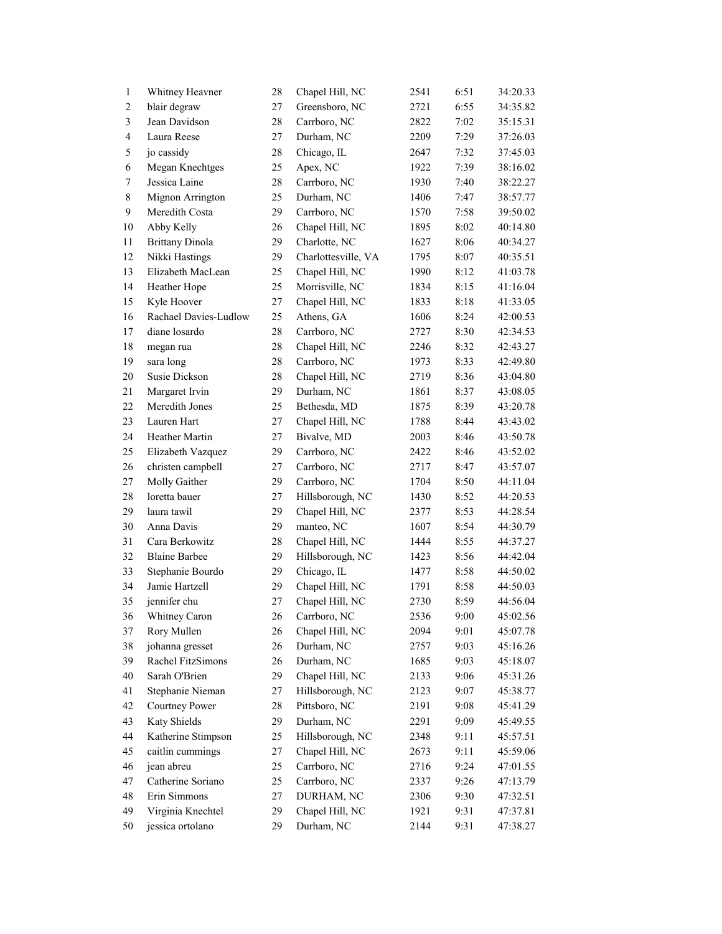| $\mathbf{1}$            | Whitney Heavner        | 28       | Chapel Hill, NC     | 2541         | 6:51         | 34:20.33             |
|-------------------------|------------------------|----------|---------------------|--------------|--------------|----------------------|
| $\boldsymbol{2}$        | blair degraw           | 27       | Greensboro, NC      | 2721         | 6:55         | 34:35.82             |
| $\mathfrak{Z}$          | Jean Davidson          | $28\,$   | Carrboro, NC        | 2822         | 7:02         | 35:15.31             |
| $\overline{\mathbf{4}}$ | Laura Reese            | 27       | Durham, NC          | 2209         | 7:29         | 37:26.03             |
| 5                       | jo cassidy             | $28\,$   | Chicago, IL         | 2647         | 7:32         | 37:45.03             |
| 6                       | Megan Knechtges        | 25       | Apex, NC            | 1922         | 7:39         | 38:16.02             |
| $\tau$                  | Jessica Laine          | $28\,$   | Carrboro, NC        | 1930         | 7:40         | 38:22.27             |
| 8                       | Mignon Arrington       | 25       | Durham, NC          | 1406         | 7:47         | 38:57.77             |
| 9                       | Meredith Costa         | 29       | Carrboro, NC        | 1570         | 7:58         | 39:50.02             |
| 10                      | Abby Kelly             | 26       | Chapel Hill, NC     | 1895         | 8:02         | 40:14.80             |
| 11                      | <b>Brittany Dinola</b> | 29       | Charlotte, NC       | 1627         | 8:06         | 40:34.27             |
| 12                      | Nikki Hastings         | 29       | Charlottesville, VA | 1795         | 8:07         | 40:35.51             |
| 13                      | Elizabeth MacLean      | 25       | Chapel Hill, NC     | 1990         | 8:12         | 41:03.78             |
| 14                      | Heather Hope           | 25       | Morrisville, NC     | 1834         | 8:15         | 41:16.04             |
| 15                      | Kyle Hoover            | 27       | Chapel Hill, NC     | 1833         | 8:18         | 41:33.05             |
| 16                      | Rachael Davies-Ludlow  | 25       | Athens, GA          | 1606         | 8:24         | 42:00.53             |
| 17                      | diane losardo          | 28       | Carrboro, NC        | 2727         | 8:30         | 42:34.53             |
| 18                      | megan rua              | $28\,$   | Chapel Hill, NC     | 2246         | 8:32         | 42:43.27             |
| 19                      | sara long              | $28\,$   | Carrboro, NC        | 1973         | 8:33         | 42:49.80             |
| $20\,$                  | <b>Susie Dickson</b>   | $28\,$   | Chapel Hill, NC     | 2719         | 8:36         | 43:04.80             |
| 21                      | Margaret Irvin         | 29       | Durham, NC          | 1861         | 8:37         | 43:08.05             |
| 22                      | Meredith Jones         | 25       | Bethesda, MD        | 1875         | 8:39         | 43:20.78             |
| 23                      | Lauren Hart            | 27       | Chapel Hill, NC     | 1788         | 8:44         | 43:43.02             |
| 24                      | Heather Martin         | 27       | Bivalve, MD         | 2003         | 8:46         | 43:50.78             |
| 25                      | Elizabeth Vazquez      | 29       | Carrboro, NC        | 2422         | 8:46         | 43:52.02             |
| 26                      | christen campbell      | 27       | Carrboro, NC        | 2717         | 8:47         | 43:57.07             |
| $27\,$                  | Molly Gaither          | 29       | Carrboro, NC        | 1704         | 8:50         | 44:11.04             |
| $28\,$                  | loretta bauer          | 27       | Hillsborough, NC    | 1430         | 8:52         | 44:20.53             |
| 29                      | laura tawil            | 29       | Chapel Hill, NC     | 2377         | 8:53         | 44:28.54             |
| 30                      | Anna Davis             | 29       | manteo, NC          | 1607         | 8:54         | 44:30.79             |
| 31                      | Cara Berkowitz         | $28\,$   | Chapel Hill, NC     | 1444         | 8:55         | 44:37.27             |
| 32                      | <b>Blaine Barbee</b>   | 29       | Hillsborough, NC    | 1423         | 8:56         | 44:42.04             |
| 33                      | Stephanie Bourdo       | 29       | Chicago, IL         | 1477         | 8:58         | 44:50.02             |
| 34                      | Jamie Hartzell         | 29       | Chapel Hill, NC     | 1791         | 8:58         | 44:50.03             |
| 35                      | jennifer chu           | 27       | Chapel Hill, NC     | 2730         | 8:59         | 44:56.04             |
| $36\,$                  | Whitney Caron          | $26\,$   | Carrboro, NC        | 2536         | 9:00         | 45:02.56             |
| 37                      | Rory Mullen            | 26       | Chapel Hill, NC     | 2094         | 9:01         | 45:07.78             |
| 38                      | johanna gresset        | 26       | Durham, NC          | 2757         | 9:03         | 45:16.26             |
| 39                      | Rachel FitzSimons      | 26       | Durham, NC          | 1685         | 9:03         | 45:18.07             |
| 40                      | Sarah O'Brien          | 29       | Chapel Hill, NC     | 2133         | 9:06         | 45:31.26             |
| 41                      | Stephanie Nieman       | 27       | Hillsborough, NC    | 2123         | 9:07         | 45:38.77             |
| 42                      | <b>Courtney Power</b>  | $28\,$   | Pittsboro, NC       | 2191         | 9:08         | 45:41.29             |
| 43                      | Katy Shields           | 29       | Durham, NC          | 2291         | 9:09         | 45:49.55             |
| 44                      | Katherine Stimpson     | 25       | Hillsborough, NC    | 2348         | 9:11         | 45:57.51             |
| 45                      | caitlin cummings       | 27       | Chapel Hill, NC     |              | 9:11         | 45:59.06             |
|                         | jean abreu             |          | Carrboro, NC        | 2673         |              |                      |
| 46<br>47                | Catherine Soriano      | 25<br>25 | Carrboro, NC        | 2716         | 9:24<br>9:26 | 47:01.55             |
| 48                      | Erin Simmons           | 27       | DURHAM, NC          | 2337<br>2306 | 9:30         | 47:13.79             |
| 49                      | Virginia Knechtel      | 29       | Chapel Hill, NC     | 1921         | 9:31         | 47:32.51<br>47:37.81 |
| 50                      | jessica ortolano       | 29       | Durham, NC          | 2144         |              |                      |
|                         |                        |          |                     |              | 9:31         | 47:38.27             |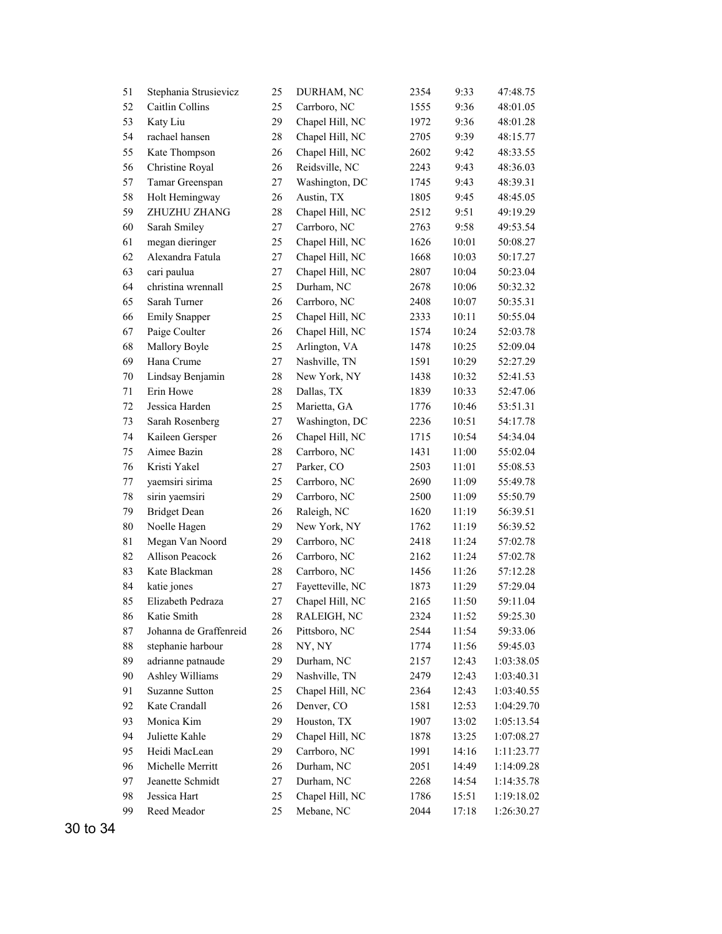| 51      | Stephania Strusievicz  | 25     | DURHAM, NC       | 2354 | 9:33  | 47:48.75   |
|---------|------------------------|--------|------------------|------|-------|------------|
| 52      | Caitlin Collins        | 25     | Carrboro, NC     | 1555 | 9:36  | 48:01.05   |
| 53      | Katy Liu               | 29     | Chapel Hill, NC  | 1972 | 9:36  | 48:01.28   |
| 54      | rachael hansen         | $28\,$ | Chapel Hill, NC  | 2705 | 9:39  | 48:15.77   |
| 55      | Kate Thompson          | 26     | Chapel Hill, NC  | 2602 | 9:42  | 48:33.55   |
| 56      | Christine Royal        | 26     | Reidsville, NC   | 2243 | 9:43  | 48:36.03   |
| 57      | Tamar Greenspan        | 27     | Washington, DC   | 1745 | 9:43  | 48:39.31   |
| 58      | Holt Hemingway         | 26     | Austin, TX       | 1805 | 9:45  | 48:45.05   |
| 59      | ZHUZHU ZHANG           | 28     | Chapel Hill, NC  | 2512 | 9:51  | 49:19.29   |
| 60      | Sarah Smiley           | 27     | Carrboro, NC     | 2763 | 9:58  | 49:53.54   |
| 61      | megan dieringer        | 25     | Chapel Hill, NC  | 1626 | 10:01 | 50:08.27   |
| 62      | Alexandra Fatula       | 27     | Chapel Hill, NC  | 1668 | 10:03 | 50:17.27   |
| 63      | cari paulua            | 27     | Chapel Hill, NC  | 2807 | 10:04 | 50:23.04   |
| 64      | christina wrennall     | 25     | Durham, NC       | 2678 | 10:06 | 50:32.32   |
| 65      | Sarah Turner           | 26     | Carrboro, NC     | 2408 | 10:07 | 50:35.31   |
| 66      | <b>Emily Snapper</b>   | 25     | Chapel Hill, NC  | 2333 | 10:11 | 50:55.04   |
| 67      | Paige Coulter          | 26     | Chapel Hill, NC  | 1574 | 10:24 | 52:03.78   |
| 68      | Mallory Boyle          | 25     | Arlington, VA    | 1478 | 10:25 | 52:09.04   |
| 69      | Hana Crume             | 27     | Nashville, TN    | 1591 | 10:29 | 52:27.29   |
| $70\,$  | Lindsay Benjamin       | 28     | New York, NY     | 1438 | 10:32 | 52:41.53   |
| 71      | Erin Howe              | $28\,$ | Dallas, TX       | 1839 | 10:33 | 52:47.06   |
| 72      | Jessica Harden         | 25     | Marietta, GA     | 1776 | 10:46 | 53:51.31   |
| 73      | Sarah Rosenberg        | 27     | Washington, DC   | 2236 | 10:51 | 54:17.78   |
| 74      | Kaileen Gersper        | 26     | Chapel Hill, NC  | 1715 | 10:54 | 54:34.04   |
| 75      | Aimee Bazin            | 28     | Carrboro, NC     | 1431 | 11:00 | 55:02.04   |
| 76      | Kristi Yakel           | 27     | Parker, CO       | 2503 | 11:01 | 55:08.53   |
| $77 \,$ | yaemsiri sirima        | 25     | Carrboro, NC     | 2690 | 11:09 | 55:49.78   |
| 78      | sirin yaemsiri         | 29     | Carrboro, NC     | 2500 | 11:09 | 55:50.79   |
| 79      | <b>Bridget Dean</b>    | 26     | Raleigh, NC      | 1620 | 11:19 | 56:39.51   |
| 80      | Noelle Hagen           | 29     | New York, NY     | 1762 | 11:19 | 56:39.52   |
| 81      | Megan Van Noord        | 29     | Carrboro, NC     | 2418 | 11:24 | 57:02.78   |
| 82      | Allison Peacock        | 26     | Carrboro, NC     | 2162 | 11:24 | 57:02.78   |
| 83      | Kate Blackman          | 28     | Carrboro, NC     | 1456 | 11:26 | 57:12.28   |
| 84      | katie jones            | 27     | Fayetteville, NC | 1873 | 11:29 | 57:29.04   |
| 85      | Elizabeth Pedraza      | 27     | Chapel Hill, NC  | 2165 | 11:50 | 59:11.04   |
| 86      | Katie Smith            | 28     | RALEIGH, NC      | 2324 | 11:52 | 59:25.30   |
| 87      | Johanna de Graffenreid | 26     | Pittsboro, NC    | 2544 | 11:54 | 59:33.06   |
| 88      | stephanie harbour      | 28     | NY, NY           | 1774 | 11:56 | 59:45.03   |
| 89      | adrianne patnaude      | 29     | Durham, NC       | 2157 | 12:43 | 1:03:38.05 |
| 90      | Ashley Williams        | 29     | Nashville, TN    | 2479 | 12:43 | 1:03:40.31 |
| 91      | <b>Suzanne Sutton</b>  | 25     | Chapel Hill, NC  | 2364 | 12:43 | 1:03:40.55 |
| 92      | Kate Crandall          | 26     | Denver, CO       | 1581 | 12:53 | 1:04:29.70 |
| 93      | Monica Kim             | 29     | Houston, TX      | 1907 | 13:02 | 1:05:13.54 |
| 94      | Juliette Kahle         | 29     | Chapel Hill, NC  | 1878 | 13:25 | 1:07:08.27 |
| 95      | Heidi MacLean          | 29     | Carrboro, NC     | 1991 | 14:16 | 1:11:23.77 |
| 96      | Michelle Merritt       | 26     | Durham, NC       | 2051 | 14:49 | 1:14:09.28 |
| 97      | Jeanette Schmidt       | 27     | Durham, NC       | 2268 | 14:54 | 1:14:35.78 |
| 98      | Jessica Hart           | 25     | Chapel Hill, NC  | 1786 | 15:51 | 1:19:18.02 |
| 99      | Reed Meador            | 25     | Mebane, NC       | 2044 | 17:18 | 1:26:30.27 |
|         |                        |        |                  |      |       |            |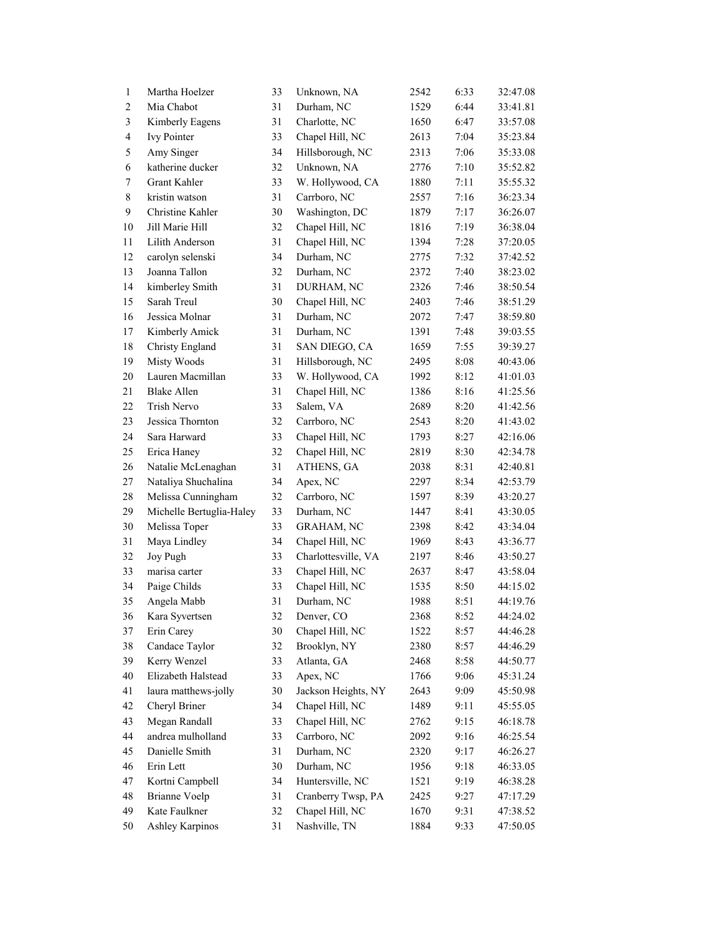| $\mathbf{1}$   | Martha Hoelzer           | 33 | Unknown, NA         | 2542 | 6:33 | 32:47.08 |
|----------------|--------------------------|----|---------------------|------|------|----------|
| $\overline{c}$ | Mia Chabot               | 31 | Durham, NC          | 1529 | 6:44 | 33:41.81 |
| $\mathfrak{Z}$ | Kimberly Eagens          | 31 | Charlotte, NC       | 1650 | 6:47 | 33:57.08 |
| $\overline{4}$ | Ivy Pointer              | 33 | Chapel Hill, NC     | 2613 | 7:04 | 35:23.84 |
| 5              | Amy Singer               | 34 | Hillsborough, NC    | 2313 | 7:06 | 35:33.08 |
| 6              | katherine ducker         | 32 | Unknown, NA         | 2776 | 7:10 | 35:52.82 |
| 7              | Grant Kahler             | 33 | W. Hollywood, CA    | 1880 | 7:11 | 35:55.32 |
| 8              | kristin watson           | 31 | Carrboro, NC        | 2557 | 7:16 | 36:23.34 |
| $\mathbf{9}$   | Christine Kahler         | 30 | Washington, DC      | 1879 | 7:17 | 36:26.07 |
| $10\,$         | Jill Marie Hill          | 32 | Chapel Hill, NC     | 1816 | 7:19 | 36:38.04 |
| 11             | Lilith Anderson          | 31 | Chapel Hill, NC     | 1394 | 7:28 | 37:20.05 |
| 12             | carolyn selenski         | 34 | Durham, NC          | 2775 | 7:32 | 37:42.52 |
| 13             | Joanna Tallon            | 32 | Durham, NC          | 2372 | 7:40 | 38:23.02 |
| 14             | kimberley Smith          | 31 | DURHAM, NC          | 2326 | 7:46 | 38:50.54 |
| 15             | Sarah Treul              | 30 | Chapel Hill, NC     | 2403 | 7:46 | 38:51.29 |
| 16             | Jessica Molnar           | 31 | Durham, NC          | 2072 | 7:47 | 38:59.80 |
| 17             | Kimberly Amick           | 31 | Durham, NC          | 1391 | 7:48 | 39:03.55 |
| 18             | Christy England          | 31 | SAN DIEGO, CA       | 1659 | 7:55 | 39:39.27 |
| 19             | Misty Woods              | 31 | Hillsborough, NC    | 2495 | 8:08 | 40:43.06 |
| 20             | Lauren Macmillan         | 33 | W. Hollywood, CA    | 1992 | 8:12 | 41:01.03 |
| 21             | <b>Blake Allen</b>       | 31 | Chapel Hill, NC     | 1386 | 8:16 | 41:25.56 |
| $22\,$         | Trish Nervo              | 33 | Salem, VA           | 2689 | 8:20 | 41:42.56 |
| 23             | Jessica Thornton         | 32 | Carrboro, NC        | 2543 | 8:20 | 41:43.02 |
| 24             | Sara Harward             | 33 | Chapel Hill, NC     | 1793 | 8:27 | 42:16.06 |
| 25             | Erica Haney              | 32 | Chapel Hill, NC     | 2819 | 8:30 | 42:34.78 |
| 26             | Natalie McLenaghan       | 31 | ATHENS, GA          | 2038 | 8:31 | 42:40.81 |
| $27\,$         | Nataliya Shuchalina      | 34 | Apex, NC            | 2297 | 8:34 | 42:53.79 |
| $28\,$         | Melissa Cunningham       | 32 | Carrboro, NC        | 1597 | 8:39 | 43:20.27 |
| 29             | Michelle Bertuglia-Haley | 33 | Durham, NC          | 1447 | 8:41 | 43:30.05 |
| 30             | Melissa Toper            | 33 | <b>GRAHAM, NC</b>   | 2398 | 8:42 | 43:34.04 |
| 31             | Maya Lindley             | 34 | Chapel Hill, NC     | 1969 | 8:43 | 43:36.77 |
| 32             | Joy Pugh                 | 33 | Charlottesville, VA | 2197 | 8:46 | 43:50.27 |
| 33             | marisa carter            | 33 | Chapel Hill, NC     | 2637 | 8:47 | 43:58.04 |
| 34             | Paige Childs             | 33 | Chapel Hill, NC     | 1535 | 8:50 | 44:15.02 |
| 35             | Angela Mabb              | 31 | Durham, NC          | 1988 | 8:51 | 44:19.76 |
| 36             | Kara Syvertsen           | 32 | Denver, CO          | 2368 | 8:52 | 44:24.02 |
| 37             | Erin Carey               | 30 | Chapel Hill, NC     | 1522 | 8:57 | 44:46.28 |
| 38             | Candace Taylor           | 32 | Brooklyn, NY        | 2380 | 8:57 | 44:46.29 |
| 39             | Kerry Wenzel             | 33 | Atlanta, GA         | 2468 | 8:58 | 44:50.77 |
| 40             | Elizabeth Halstead       | 33 | Apex, NC            | 1766 | 9:06 | 45:31.24 |
| 41             | laura matthews-jolly     | 30 | Jackson Heights, NY | 2643 | 9:09 | 45:50.98 |
| 42             | Cheryl Briner            | 34 | Chapel Hill, NC     | 1489 | 9:11 | 45:55.05 |
| 43             | Megan Randall            | 33 | Chapel Hill, NC     | 2762 | 9:15 | 46:18.78 |
| 44             | andrea mulholland        | 33 | Carrboro, NC        | 2092 | 9:16 | 46:25.54 |
| 45             | Danielle Smith           | 31 | Durham, NC          | 2320 | 9:17 | 46:26.27 |
| 46             | Erin Lett                | 30 | Durham, NC          | 1956 | 9:18 | 46:33.05 |
| 47             | Kortni Campbell          | 34 | Huntersville, NC    | 1521 | 9:19 | 46:38.28 |
| 48             | <b>Brianne Voelp</b>     | 31 | Cranberry Twsp, PA  | 2425 | 9:27 | 47:17.29 |
| 49             | Kate Faulkner            | 32 | Chapel Hill, NC     | 1670 | 9:31 | 47:38.52 |
| 50             | Ashley Karpinos          | 31 | Nashville, TN       | 1884 | 9:33 | 47:50.05 |
|                |                          |    |                     |      |      |          |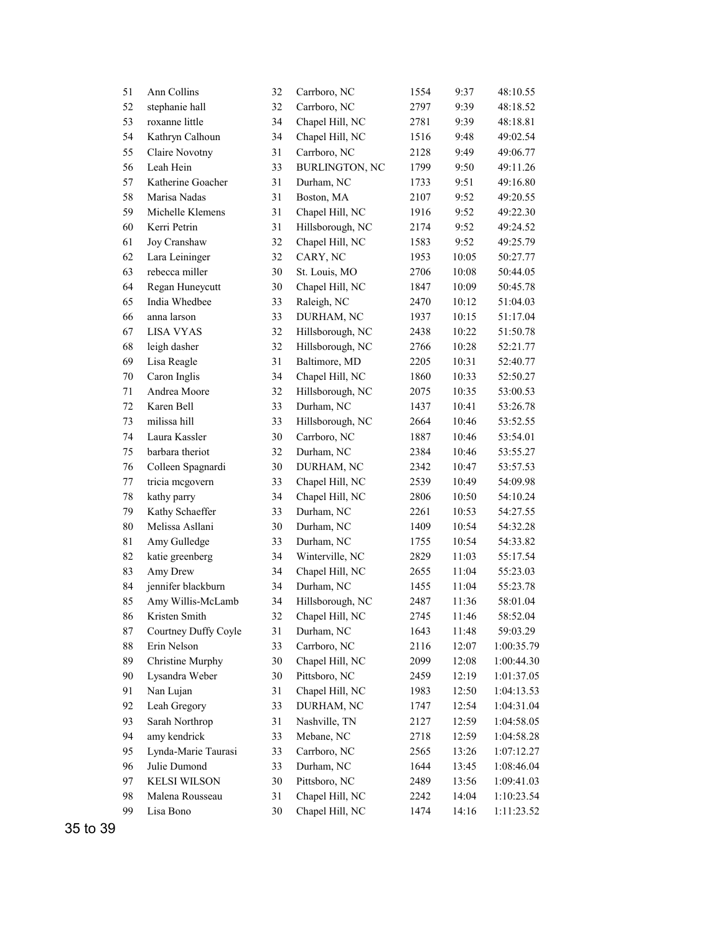| 51          | Ann Collins          | 32     | Carrboro, NC          | 1554 | 9:37  | 48:10.55   |
|-------------|----------------------|--------|-----------------------|------|-------|------------|
| 52          | stephanie hall       | 32     | Carrboro, NC          | 2797 | 9:39  | 48:18.52   |
| 53          | roxanne little       | 34     | Chapel Hill, NC       | 2781 | 9:39  | 48:18.81   |
| 54          | Kathryn Calhoun      | 34     | Chapel Hill, NC       | 1516 | 9:48  | 49:02.54   |
| 55          | Claire Novotny       | 31     | Carrboro, NC          | 2128 | 9:49  | 49:06.77   |
| 56          | Leah Hein            | 33     | <b>BURLINGTON, NC</b> | 1799 | 9:50  | 49:11.26   |
| 57          | Katherine Goacher    | 31     | Durham, NC            | 1733 | 9:51  | 49:16.80   |
| 58          | Marisa Nadas         | 31     | Boston, MA            | 2107 | 9:52  | 49:20.55   |
| 59          | Michelle Klemens     | 31     | Chapel Hill, NC       | 1916 | 9:52  | 49:22.30   |
| 60          | Kerri Petrin         | 31     | Hillsborough, NC      | 2174 | 9:52  | 49:24.52   |
| 61          | Joy Cranshaw         | 32     | Chapel Hill, NC       | 1583 | 9:52  | 49:25.79   |
| 62          | Lara Leininger       | 32     | CARY, NC              | 1953 | 10:05 | 50:27.77   |
| 63          | rebecca miller       | 30     | St. Louis, MO         | 2706 | 10:08 | 50:44.05   |
| 64          | Regan Huneycutt      | 30     | Chapel Hill, NC       | 1847 | 10:09 | 50:45.78   |
| 65          | India Whedbee        | 33     | Raleigh, NC           | 2470 | 10:12 | 51:04.03   |
| 66          | anna larson          | 33     | DURHAM, NC            | 1937 | 10:15 | 51:17.04   |
| 67          | <b>LISA VYAS</b>     | 32     | Hillsborough, NC      | 2438 | 10:22 | 51:50.78   |
| 68          | leigh dasher         | 32     | Hillsborough, NC      | 2766 | 10:28 | 52:21.77   |
| 69          | Lisa Reagle          | 31     | Baltimore, MD         | 2205 | 10:31 | 52:40.77   |
| $70\,$      | Caron Inglis         | 34     | Chapel Hill, NC       | 1860 | 10:33 | 52:50.27   |
| 71          | Andrea Moore         | 32     | Hillsborough, NC      | 2075 | 10:35 | 53:00.53   |
| 72          | Karen Bell           | 33     | Durham, NC            | 1437 | 10:41 | 53:26.78   |
| 73          | milissa hill         | 33     | Hillsborough, NC      | 2664 | 10:46 | 53:52.55   |
| 74          | Laura Kassler        | 30     | Carrboro, NC          | 1887 | 10:46 | 53:54.01   |
| 75          | barbara theriot      | 32     | Durham, NC            | 2384 | 10:46 | 53:55.27   |
| 76          | Colleen Spagnardi    | 30     | DURHAM, NC            | 2342 | 10:47 | 53:57.53   |
| 77          | tricia mcgovern      | 33     | Chapel Hill, NC       | 2539 | 10:49 | 54:09.98   |
| 78          | kathy parry          | 34     | Chapel Hill, NC       | 2806 | 10:50 | 54:10.24   |
| 79          | Kathy Schaeffer      | 33     | Durham, NC            | 2261 | 10:53 | 54:27.55   |
| 80          | Melissa Asllani      | 30     | Durham, NC            | 1409 | 10:54 | 54:32.28   |
| $8\sqrt{1}$ | Amy Gulledge         | 33     | Durham, NC            | 1755 | 10:54 | 54:33.82   |
| 82          | katie greenberg      | 34     | Winterville, NC       | 2829 | 11:03 | 55:17.54   |
| 83          | Amy Drew             | 34     | Chapel Hill, NC       | 2655 | 11:04 | 55:23.03   |
| 84          | jennifer blackburn   | 34     | Durham, NC            | 1455 | 11:04 | 55:23.78   |
| 85          | Amy Willis-McLamb    | 34     | Hillsborough, NC      | 2487 | 11:36 | 58:01.04   |
| 86          | Kristen Smith        | 32     | Chapel Hill, NC       | 2745 | 11:46 | 58:52.04   |
| 87          | Courtney Duffy Coyle | 31     | Durham, NC            | 1643 | 11:48 | 59:03.29   |
| 88          | Erin Nelson          | 33     | Carrboro, NC          | 2116 | 12:07 | 1:00:35.79 |
| 89          | Christine Murphy     | 30     | Chapel Hill, NC       | 2099 | 12:08 | 1:00:44.30 |
| 90          | Lysandra Weber       | 30     | Pittsboro, NC         | 2459 | 12:19 | 1:01:37.05 |
| 91          | Nan Lujan            | 31     | Chapel Hill, NC       | 1983 | 12:50 | 1:04:13.53 |
| 92          | Leah Gregory         | 33     | DURHAM, NC            | 1747 | 12:54 | 1:04:31.04 |
| 93          | Sarah Northrop       | 31     | Nashville, TN         | 2127 | 12:59 | 1:04:58.05 |
| 94          | amy kendrick         | 33     | Mebane, NC            | 2718 | 12:59 | 1:04:58.28 |
| 95          | Lynda-Marie Taurasi  | 33     | Carrboro, NC          | 2565 | 13:26 | 1:07:12.27 |
| 96          | Julie Dumond         | 33     | Durham, NC            | 1644 | 13:45 | 1:08:46.04 |
| 97          | <b>KELSI WILSON</b>  | 30     | Pittsboro, NC         | 2489 | 13:56 | 1:09:41.03 |
| 98          | Malena Rousseau      | 31     | Chapel Hill, NC       | 2242 | 14:04 | 1:10:23.54 |
| 99          | Lisa Bono            | $30\,$ | Chapel Hill, NC       | 1474 | 14:16 | 1:11:23.52 |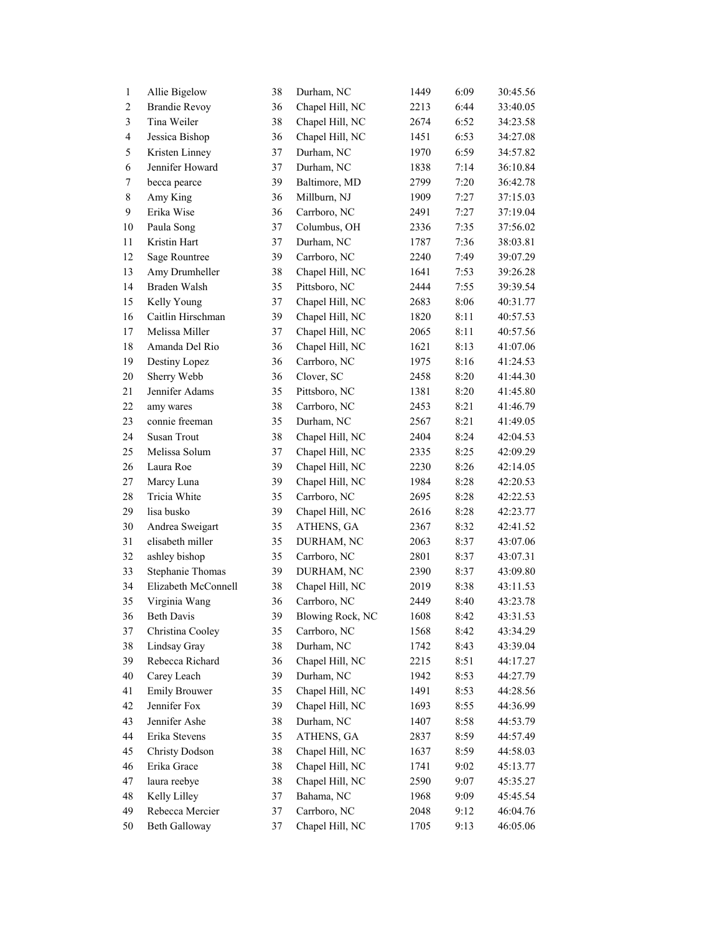| $\mathbf{1}$   | Allie Bigelow         | 38 | Durham, NC              | 1449 | 6:09 | 30:45.56 |
|----------------|-----------------------|----|-------------------------|------|------|----------|
| $\overline{c}$ | <b>Brandie Revoy</b>  | 36 | Chapel Hill, NC         | 2213 | 6:44 | 33:40.05 |
| $\mathfrak{Z}$ | Tina Weiler           | 38 | Chapel Hill, NC         | 2674 | 6:52 | 34:23.58 |
| $\overline{4}$ | Jessica Bishop        | 36 | Chapel Hill, NC         | 1451 | 6:53 | 34:27.08 |
| 5              | Kristen Linney        | 37 | Durham, NC              | 1970 | 6:59 | 34:57.82 |
| 6              | Jennifer Howard       | 37 | Durham, NC              | 1838 | 7:14 | 36:10.84 |
| $\tau$         | becca pearce          | 39 | Baltimore, MD           | 2799 | 7:20 | 36:42.78 |
| $\,8\,$        | Amy King              | 36 | Millburn, NJ            | 1909 | 7:27 | 37:15.03 |
| $\mathbf{9}$   | Erika Wise            | 36 | Carrboro, NC            | 2491 | 7:27 | 37:19.04 |
| $10\,$         | Paula Song            | 37 | Columbus, OH            | 2336 | 7:35 | 37:56.02 |
| 11             | Kristin Hart          | 37 | Durham, NC              | 1787 | 7:36 | 38:03.81 |
| 12             | Sage Rountree         | 39 | Carrboro, NC            | 2240 | 7:49 | 39:07.29 |
| 13             | Amy Drumheller        | 38 | Chapel Hill, NC         | 1641 | 7:53 | 39:26.28 |
| 14             | Braden Walsh          | 35 | Pittsboro, NC           | 2444 | 7:55 | 39:39.54 |
| 15             | Kelly Young           | 37 | Chapel Hill, NC         | 2683 | 8:06 | 40:31.77 |
| 16             | Caitlin Hirschman     | 39 | Chapel Hill, NC         | 1820 | 8:11 | 40:57.53 |
| 17             | Melissa Miller        | 37 | Chapel Hill, NC         | 2065 | 8:11 | 40:57.56 |
| 18             | Amanda Del Rio        | 36 | Chapel Hill, NC         | 1621 | 8:13 | 41:07.06 |
| 19             | Destiny Lopez         | 36 | Carrboro, NC            | 1975 | 8:16 | 41:24.53 |
| $20\,$         | Sherry Webb           | 36 | Clover, SC              | 2458 | 8:20 | 41:44.30 |
| 21             | Jennifer Adams        | 35 | Pittsboro, NC           | 1381 | 8:20 | 41:45.80 |
| 22             | amy wares             | 38 | Carrboro, NC            | 2453 | 8:21 | 41:46.79 |
| 23             | connie freeman        | 35 | Durham, NC              | 2567 | 8:21 | 41:49.05 |
| 24             | Susan Trout           | 38 | Chapel Hill, NC         | 2404 | 8:24 | 42:04.53 |
| 25             | Melissa Solum         | 37 | Chapel Hill, NC         | 2335 | 8:25 | 42:09.29 |
| 26             | Laura Roe             | 39 | Chapel Hill, NC         | 2230 | 8:26 | 42:14.05 |
| $27\,$         | Marcy Luna            | 39 | Chapel Hill, NC         | 1984 | 8:28 | 42:20.53 |
| $28\,$         | Tricia White          | 35 | Carrboro, NC            | 2695 | 8:28 | 42:22.53 |
| 29             | lisa busko            | 39 | Chapel Hill, NC         | 2616 | 8:28 | 42:23.77 |
| $30\,$         | Andrea Sweigart       | 35 | ATHENS, GA              | 2367 | 8:32 | 42:41.52 |
| 31             | elisabeth miller      | 35 | DURHAM, NC              | 2063 | 8:37 | 43:07.06 |
| 32             | ashley bishop         | 35 | Carrboro, NC            | 2801 | 8:37 | 43:07.31 |
| 33             | Stephanie Thomas      | 39 | DURHAM, NC              | 2390 | 8:37 | 43:09.80 |
| 34             | Elizabeth McConnell   | 38 | Chapel Hill, NC         | 2019 | 8:38 | 43:11.53 |
| 35             | Virginia Wang         | 36 | Carrboro, NC            | 2449 | 8:40 | 43:23.78 |
| 36             | <b>Beth Davis</b>     | 39 | <b>Blowing Rock, NC</b> | 1608 | 8:42 | 43:31.53 |
| 37             | Christina Cooley      | 35 | Carrboro, NC            | 1568 | 8:42 | 43:34.29 |
| 38             | Lindsay Gray          | 38 | Durham, NC              | 1742 | 8:43 | 43:39.04 |
| 39             | Rebecca Richard       | 36 | Chapel Hill, NC         | 2215 | 8:51 | 44:17.27 |
| 40             | Carey Leach           | 39 | Durham, NC              | 1942 | 8:53 | 44:27.79 |
| 41             | <b>Emily Brouwer</b>  | 35 | Chapel Hill, NC         | 1491 | 8:53 | 44:28.56 |
| 42             | Jennifer Fox          | 39 | Chapel Hill, NC         | 1693 | 8:55 | 44:36.99 |
| 43             | Jennifer Ashe         | 38 | Durham, NC              | 1407 | 8:58 | 44:53.79 |
| 44             | Erika Stevens         | 35 | ATHENS, GA              | 2837 | 8:59 | 44:57.49 |
| 45             | <b>Christy Dodson</b> | 38 | Chapel Hill, NC         | 1637 | 8:59 | 44:58.03 |
| 46             | Erika Grace           | 38 | Chapel Hill, NC         | 1741 | 9:02 | 45:13.77 |
| 47             | laura reebye          | 38 | Chapel Hill, NC         | 2590 | 9:07 | 45:35.27 |
| 48             | Kelly Lilley          | 37 | Bahama, NC              | 1968 | 9:09 | 45:45.54 |
| 49             | Rebecca Mercier       | 37 | Carrboro, NC            | 2048 | 9:12 | 46:04.76 |
| 50             | <b>Beth Galloway</b>  | 37 | Chapel Hill, NC         | 1705 | 9:13 | 46:05.06 |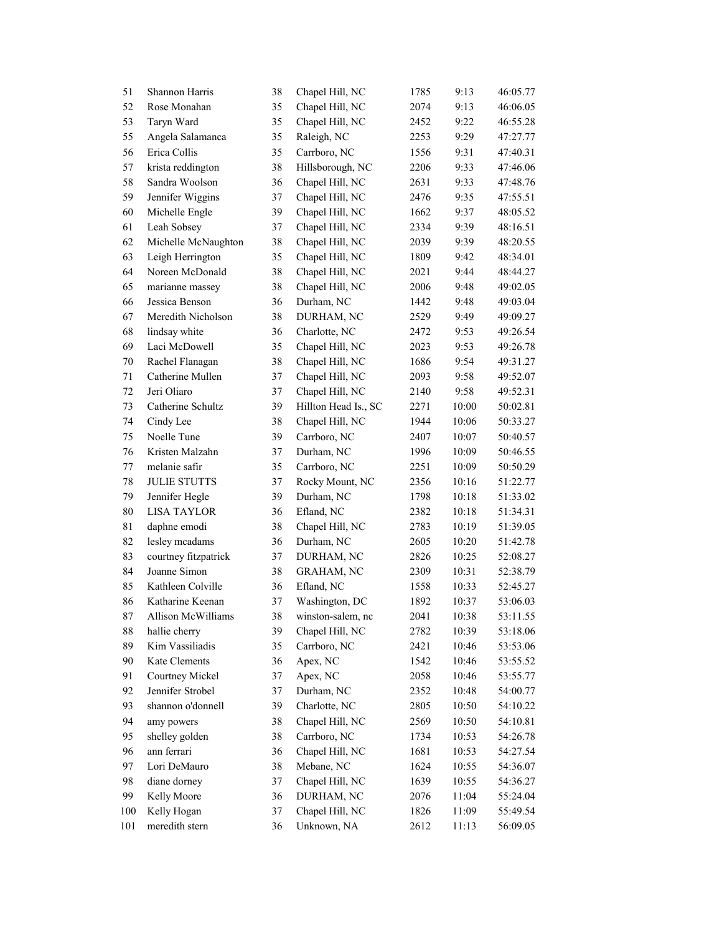| 51     | Shannon Harris       | 38 | Chapel Hill, NC      | 1785 | 9:13  | 46:05.77 |
|--------|----------------------|----|----------------------|------|-------|----------|
| 52     | Rose Monahan         | 35 | Chapel Hill, NC      | 2074 | 9:13  | 46:06.05 |
| 53     | Taryn Ward           | 35 | Chapel Hill, NC      | 2452 | 9:22  | 46:55.28 |
| 55     | Angela Salamanca     | 35 | Raleigh, NC          | 2253 | 9:29  | 47:27.77 |
| 56     | Erica Collis         | 35 | Carrboro, NC         | 1556 | 9:31  | 47:40.31 |
| 57     | krista reddington    | 38 | Hillsborough, NC     | 2206 | 9:33  | 47:46.06 |
| 58     | Sandra Woolson       | 36 | Chapel Hill, NC      | 2631 | 9:33  | 47:48.76 |
| 59     | Jennifer Wiggins     | 37 | Chapel Hill, NC      | 2476 | 9:35  | 47:55.51 |
| 60     | Michelle Engle       | 39 | Chapel Hill, NC      | 1662 | 9:37  | 48:05.52 |
| 61     | Leah Sobsey          | 37 | Chapel Hill, NC      | 2334 | 9:39  | 48:16.51 |
| 62     | Michelle McNaughton  | 38 | Chapel Hill, NC      | 2039 | 9:39  | 48:20.55 |
| 63     | Leigh Herrington     | 35 | Chapel Hill, NC      | 1809 | 9:42  | 48:34.01 |
| 64     | Noreen McDonald      | 38 | Chapel Hill, NC      | 2021 | 9:44  | 48:44.27 |
| 65     | marianne massey      | 38 | Chapel Hill, NC      | 2006 | 9:48  | 49:02.05 |
| 66     | Jessica Benson       | 36 | Durham, NC           | 1442 | 9:48  | 49:03.04 |
| 67     | Meredith Nicholson   | 38 | DURHAM, NC           | 2529 | 9:49  | 49:09.27 |
| 68     | lindsay white        | 36 | Charlotte, NC        | 2472 | 9:53  | 49:26.54 |
| 69     | Laci McDowell        | 35 | Chapel Hill, NC      | 2023 | 9:53  | 49:26.78 |
| $70\,$ | Rachel Flanagan      | 38 | Chapel Hill, NC      | 1686 | 9:54  | 49:31.27 |
| 71     | Catherine Mullen     | 37 | Chapel Hill, NC      | 2093 | 9:58  | 49:52.07 |
| $72\,$ | Jeri Oliaro          | 37 | Chapel Hill, NC      | 2140 | 9:58  | 49:52.31 |
| 73     | Catherine Schultz    | 39 | Hillton Head Is., SC | 2271 | 10:00 | 50:02.81 |
| 74     | Cindy Lee            | 38 | Chapel Hill, NC      | 1944 | 10:06 | 50:33.27 |
| 75     | Noelle Tune          | 39 | Carrboro, NC         | 2407 | 10:07 | 50:40.57 |
| 76     | Kristen Malzahn      | 37 | Durham, NC           | 1996 | 10:09 | 50:46.55 |
| $77\,$ | melanie safir        | 35 | Carrboro, NC         | 2251 | 10:09 | 50:50.29 |
| $78\,$ | <b>JULIE STUTTS</b>  | 37 | Rocky Mount, NC      | 2356 | 10:16 | 51:22.77 |
| 79     | Jennifer Hegle       | 39 | Durham, NC           | 1798 | 10:18 | 51:33.02 |
| $80\,$ | <b>LISA TAYLOR</b>   | 36 | Efland, NC           | 2382 | 10:18 | 51:34.31 |
| 81     | daphne emodi         | 38 | Chapel Hill, NC      | 2783 | 10:19 | 51:39.05 |
| 82     | lesley mcadams       | 36 | Durham, NC           | 2605 | 10:20 | 51:42.78 |
| 83     | courtney fitzpatrick | 37 | DURHAM, NC           | 2826 | 10:25 | 52:08.27 |
| 84     | Joanne Simon         | 38 | <b>GRAHAM, NC</b>    | 2309 | 10:31 | 52:38.79 |
| 85     | Kathleen Colville    | 36 | Efland, NC           | 1558 | 10:33 | 52:45.27 |
| 86     | Katharine Keenan     | 37 | Washington, DC       | 1892 | 10:37 | 53:06.03 |
| $87\,$ | Allison McWilliams   | 38 | winston-salem, nc    | 2041 | 10:38 | 53:11.55 |
| 88     | hallie cherry        | 39 | Chapel Hill, NC      | 2782 | 10:39 | 53:18.06 |
| 89     | Kim Vassiliadis      | 35 | Carrboro, NC         | 2421 | 10:46 | 53:53.06 |
| 90     | Kate Clements        | 36 | Apex, NC             | 1542 | 10:46 | 53:55.52 |
| 91     | Courtney Mickel      | 37 | Apex, NC             | 2058 | 10:46 | 53:55.77 |
| 92     | Jennifer Strobel     | 37 | Durham, NC           | 2352 | 10:48 | 54:00.77 |
| 93     | shannon o'donnell    | 39 | Charlotte, NC        | 2805 | 10:50 | 54:10.22 |
| 94     | amy powers           | 38 | Chapel Hill, NC      | 2569 | 10:50 | 54:10.81 |
| 95     | shelley golden       | 38 | Carrboro, NC         | 1734 | 10:53 | 54:26.78 |
| 96     | ann ferrari          | 36 | Chapel Hill, NC      | 1681 | 10:53 | 54:27.54 |
| 97     | Lori DeMauro         | 38 | Mebane, NC           | 1624 | 10:55 | 54:36.07 |
| 98     | diane dorney         | 37 | Chapel Hill, NC      | 1639 | 10:55 | 54:36.27 |
| 99     | Kelly Moore          | 36 | DURHAM, NC           | 2076 | 11:04 | 55:24.04 |
| 100    | Kelly Hogan          | 37 | Chapel Hill, NC      | 1826 | 11:09 | 55:49.54 |
| 101    | meredith stern       | 36 | Unknown, NA          | 2612 | 11:13 | 56:09.05 |
|        |                      |    |                      |      |       |          |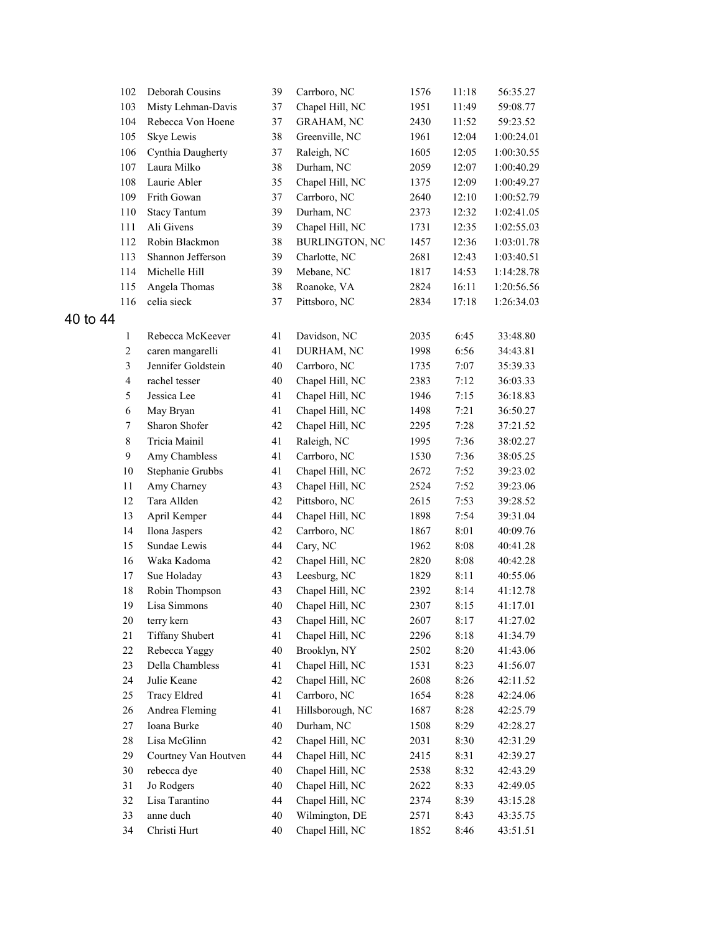|       | 102                     | Deborah Cousins               | 39       | Carrboro, NC          | 1576 | 11:18        | 56:35.27             |
|-------|-------------------------|-------------------------------|----------|-----------------------|------|--------------|----------------------|
|       | 103                     | Misty Lehman-Davis            | 37       | Chapel Hill, NC       | 1951 | 11:49        | 59:08.77             |
|       | 104                     | Rebecca Von Hoene             | 37       | <b>GRAHAM, NC</b>     | 2430 | 11:52        | 59:23.52             |
|       | 105                     | Skye Lewis                    | 38       | Greenville, NC        | 1961 | 12:04        | 1:00:24.01           |
|       | 106                     | Cynthia Daugherty             | 37       | Raleigh, NC           | 1605 | 12:05        | 1:00:30.55           |
|       | 107                     | Laura Milko                   | 38       | Durham, NC            | 2059 | 12:07        | 1:00:40.29           |
|       | 108                     | Laurie Abler                  | 35       | Chapel Hill, NC       | 1375 | 12:09        | 1:00:49.27           |
|       | 109                     | Frith Gowan                   | 37       | Carrboro, NC          | 2640 | 12:10        | 1:00:52.79           |
|       | 110                     | <b>Stacy Tantum</b>           | 39       | Durham, NC            | 2373 | 12:32        | 1:02:41.05           |
|       | 111                     | Ali Givens                    | 39       | Chapel Hill, NC       | 1731 | 12:35        | 1:02:55.03           |
|       | 112                     | Robin Blackmon                | 38       | <b>BURLINGTON, NC</b> | 1457 | 12:36        | 1:03:01.78           |
|       | 113                     | Shannon Jefferson             | 39       | Charlotte, NC         | 2681 | 12:43        | 1:03:40.51           |
|       | 114                     | Michelle Hill                 | 39       | Mebane, NC            | 1817 | 14:53        | 1:14:28.78           |
|       | 115                     | Angela Thomas                 | 38       | Roanoke, VA           | 2824 | 16:11        | 1:20:56.56           |
|       | 116                     | celia sieck                   | 37       | Pittsboro, NC         | 2834 | 17:18        | 1:26:34.03           |
| to 44 |                         |                               |          |                       |      |              |                      |
|       | 1                       | Rebecca McKeever              | 41       | Davidson, NC          | 2035 | 6:45         | 33:48.80             |
|       | $\mathbf{2}$            | caren mangarelli              | 41       | DURHAM, NC            | 1998 | 6:56         | 34:43.81             |
|       | $\mathfrak{Z}$          | Jennifer Goldstein            | 40       | Carrboro, NC          | 1735 | 7:07         | 35:39.33             |
|       | $\overline{\mathbf{4}}$ | rachel tesser                 | 40       | Chapel Hill, NC       | 2383 | 7:12         | 36:03.33             |
|       | 5                       | Jessica Lee                   | 41       | Chapel Hill, NC       | 1946 | 7:15         | 36:18.83             |
|       | 6                       | May Bryan                     | 41       | Chapel Hill, NC       | 1498 | 7:21         | 36:50.27             |
|       | 7                       | Sharon Shofer                 | 42       | Chapel Hill, NC       | 2295 | 7:28         | 37:21.52             |
|       | $\,$ 8 $\,$             | Tricia Mainil                 | 41       | Raleigh, NC           | 1995 | 7:36         |                      |
|       | 9                       | Amy Chambless                 | 41       | Carrboro, NC          | 1530 | 7:36         | 38:02.27<br>38:05.25 |
|       | $10\,$                  | Stephanie Grubbs              | 41       | Chapel Hill, NC       | 2672 | 7:52         | 39:23.02             |
|       | $11\,$                  | Amy Charney                   | 43       | Chapel Hill, NC       |      |              |                      |
|       | 12                      | Tara Allden                   | 42       |                       | 2524 | 7:52<br>7:53 | 39:23.06<br>39:28.52 |
|       |                         |                               |          | Pittsboro, NC         | 2615 |              |                      |
|       | 13                      | April Kemper                  | 44       | Chapel Hill, NC       | 1898 | 7:54         | 39:31.04             |
|       | 14<br>15                | Ilona Jaspers<br>Sundae Lewis | 42<br>44 | Carrboro, NC          | 1867 | 8:01         | 40:09.76             |
|       |                         |                               |          | Cary, NC              | 1962 | 8:08         | 40:41.28             |
|       | 16                      | Waka Kadoma                   | 42       | Chapel Hill, NC       | 2820 | 8:08         | 40:42.28             |
|       | 17                      | Sue Holaday                   | 43       | Leesburg, NC          | 1829 | 8:11         | 40:55.06             |
|       | 18                      | Robin Thompson                | 43       | Chapel Hill, NC       | 2392 | 8:14         | 41:12.78             |
|       | 19                      | Lisa Simmons                  | 40       | Chapel Hill, NC       | 2307 | 8:15         | 41:17.01             |
|       | $20\,$                  | terry kern                    | 43       | Chapel Hill, NC       | 2607 | 8:17         | 41:27.02             |
|       | 21                      | <b>Tiffany Shubert</b>        | 41       | Chapel Hill, NC       | 2296 | 8:18         | 41:34.79             |
|       | 22                      | Rebecca Yaggy                 | 40       | Brooklyn, NY          | 2502 | 8:20         | 41:43.06             |
|       | 23                      | Della Chambless               | 41       | Chapel Hill, NC       | 1531 | 8:23         | 41:56.07             |
|       | 24                      | Julie Keane                   | 42       | Chapel Hill, NC       | 2608 | 8:26         | 42:11.52             |
|       | 25                      | <b>Tracy Eldred</b>           | 41       | Carrboro, NC          | 1654 | 8:28         | 42:24.06             |
|       | 26                      | Andrea Fleming                | 41       | Hillsborough, NC      | 1687 | 8:28         | 42:25.79             |
|       | 27                      | Ioana Burke                   | 40       | Durham, NC            | 1508 | 8:29         | 42:28.27             |
|       | 28                      | Lisa McGlinn                  | 42       | Chapel Hill, NC       | 2031 | 8:30         | 42:31.29             |
|       | 29                      | Courtney Van Houtven          | 44       | Chapel Hill, NC       | 2415 | 8:31         | 42:39.27             |
|       | $30\,$                  | rebecca dye                   | 40       | Chapel Hill, NC       | 2538 | 8:32         | 42:43.29             |
|       | 31                      | Jo Rodgers                    | 40       | Chapel Hill, NC       | 2622 | 8:33         | 42:49.05             |
|       | 32                      | Lisa Tarantino                | 44       | Chapel Hill, NC       | 2374 | 8:39         | 43:15.28             |
|       | 33                      | anne duch                     | 40       | Wilmington, DE        | 2571 | 8:43         | 43:35.75             |
|       | 34                      | Christi Hurt                  | 40       | Chapel Hill, NC       | 1852 | 8:46         | 43:51.51             |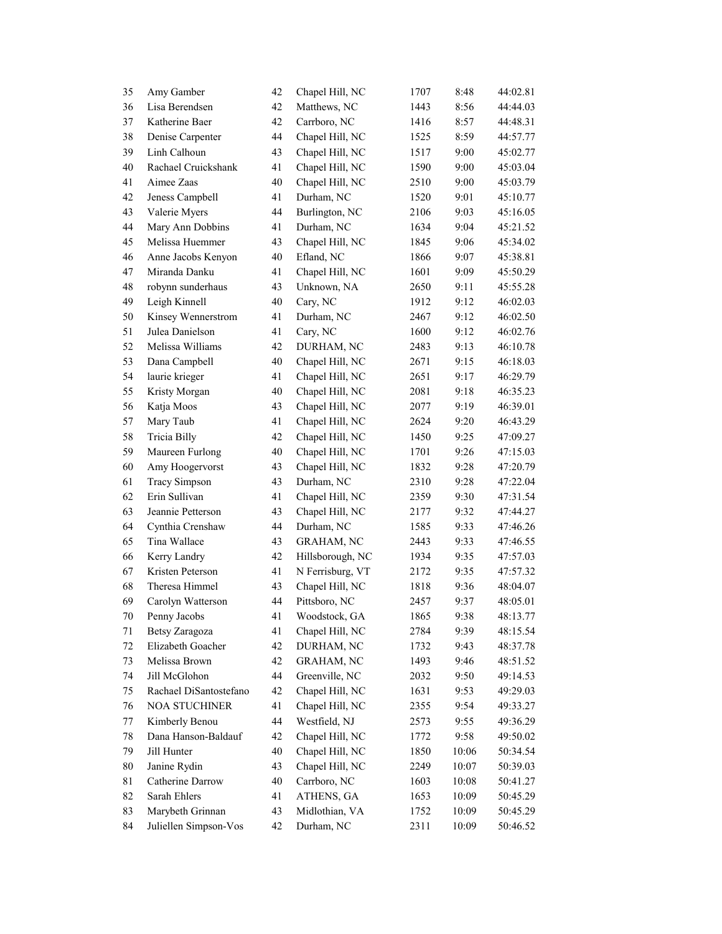| 35     | Amy Gamber             | 42 | Chapel Hill, NC   | 1707 | 8:48  | 44:02.81 |
|--------|------------------------|----|-------------------|------|-------|----------|
| 36     | Lisa Berendsen         | 42 | Matthews, NC      | 1443 | 8:56  | 44:44.03 |
| 37     | Katherine Baer         | 42 | Carrboro, NC      | 1416 | 8:57  | 44:48.31 |
| 38     | Denise Carpenter       | 44 | Chapel Hill, NC   | 1525 | 8:59  | 44:57.77 |
| 39     | Linh Calhoun           | 43 | Chapel Hill, NC   | 1517 | 9:00  | 45:02.77 |
| 40     | Rachael Cruickshank    | 41 | Chapel Hill, NC   | 1590 | 9:00  | 45:03.04 |
| 41     | Aimee Zaas             | 40 | Chapel Hill, NC   | 2510 | 9:00  | 45:03.79 |
| 42     | Jeness Campbell        | 41 | Durham, NC        | 1520 | 9:01  | 45:10.77 |
| 43     | Valerie Myers          | 44 | Burlington, NC    | 2106 | 9:03  | 45:16.05 |
| 44     | Mary Ann Dobbins       | 41 | Durham, NC        | 1634 | 9:04  | 45:21.52 |
| 45     | Melissa Huemmer        | 43 | Chapel Hill, NC   | 1845 | 9:06  | 45:34.02 |
| 46     | Anne Jacobs Kenyon     | 40 | Efland, NC        | 1866 | 9:07  | 45:38.81 |
| 47     | Miranda Danku          | 41 | Chapel Hill, NC   | 1601 | 9:09  | 45:50.29 |
| 48     | robynn sunderhaus      | 43 | Unknown, NA       | 2650 | 9:11  | 45:55.28 |
| 49     | Leigh Kinnell          | 40 | Cary, NC          | 1912 | 9:12  | 46:02.03 |
| 50     | Kinsey Wennerstrom     | 41 | Durham, NC        | 2467 | 9:12  | 46:02.50 |
| 51     | Julea Danielson        | 41 | Cary, NC          | 1600 | 9:12  | 46:02.76 |
| 52     | Melissa Williams       | 42 | DURHAM, NC        | 2483 | 9:13  | 46:10.78 |
| 53     | Dana Campbell          | 40 | Chapel Hill, NC   | 2671 | 9:15  | 46:18.03 |
| 54     | laurie krieger         | 41 | Chapel Hill, NC   | 2651 | 9:17  | 46:29.79 |
| 55     | Kristy Morgan          | 40 | Chapel Hill, NC   | 2081 | 9:18  | 46:35.23 |
| 56     | Katja Moos             | 43 | Chapel Hill, NC   | 2077 | 9:19  | 46:39.01 |
| 57     | Mary Taub              | 41 | Chapel Hill, NC   | 2624 | 9:20  | 46:43.29 |
| 58     | Tricia Billy           | 42 | Chapel Hill, NC   | 1450 | 9:25  | 47:09.27 |
| 59     | Maureen Furlong        | 40 | Chapel Hill, NC   | 1701 | 9:26  | 47:15.03 |
| 60     | Amy Hoogervorst        | 43 | Chapel Hill, NC   | 1832 | 9:28  | 47:20.79 |
| 61     | <b>Tracy Simpson</b>   | 43 | Durham, NC        | 2310 | 9:28  | 47:22.04 |
| 62     | Erin Sullivan          | 41 | Chapel Hill, NC   | 2359 | 9:30  | 47:31.54 |
| 63     | Jeannie Petterson      | 43 | Chapel Hill, NC   | 2177 | 9:32  | 47:44.27 |
| 64     | Cynthia Crenshaw       | 44 | Durham, NC        | 1585 | 9:33  | 47:46.26 |
| 65     | Tina Wallace           | 43 | <b>GRAHAM, NC</b> | 2443 | 9:33  | 47:46.55 |
| 66     | Kerry Landry           | 42 | Hillsborough, NC  | 1934 | 9:35  | 47:57.03 |
| 67     | Kristen Peterson       | 41 | N Ferrisburg, VT  | 2172 | 9:35  | 47:57.32 |
| 68     | Theresa Himmel         | 43 | Chapel Hill, NC   | 1818 | 9:36  | 48:04.07 |
| 69     | Carolyn Watterson      | 44 | Pittsboro, NC     | 2457 | 9:37  | 48:05.01 |
| $70\,$ | Penny Jacobs           | 41 | Woodstock, GA     | 1865 | 9:38  | 48:13.77 |
| 71     | Betsy Zaragoza         | 41 | Chapel Hill, NC   | 2784 | 9:39  | 48:15.54 |
| 72     | Elizabeth Goacher      | 42 | DURHAM, NC        | 1732 | 9:43  | 48:37.78 |
| 73     | Melissa Brown          | 42 | <b>GRAHAM, NC</b> | 1493 | 9:46  | 48:51.52 |
| 74     | Jill McGlohon          | 44 | Greenville, NC    | 2032 | 9:50  | 49:14.53 |
| 75     | Rachael DiSantostefano | 42 | Chapel Hill, NC   | 1631 | 9:53  | 49:29.03 |
| 76     | <b>NOA STUCHINER</b>   | 41 | Chapel Hill, NC   | 2355 | 9:54  | 49:33.27 |
| 77     | Kimberly Benou         | 44 | Westfield, NJ     | 2573 | 9:55  | 49:36.29 |
| 78     | Dana Hanson-Baldauf    | 42 | Chapel Hill, NC   | 1772 | 9:58  | 49:50.02 |
| 79     | Jill Hunter            | 40 | Chapel Hill, NC   | 1850 | 10:06 | 50:34.54 |
| 80     | Janine Rydin           | 43 | Chapel Hill, NC   | 2249 | 10:07 | 50:39.03 |
| 81     | Catherine Darrow       | 40 | Carrboro, NC      | 1603 | 10:08 | 50:41.27 |
| 82     | Sarah Ehlers           | 41 | ATHENS, GA        | 1653 | 10:09 | 50:45.29 |
| 83     | Marybeth Grinnan       | 43 | Midlothian, VA    | 1752 | 10:09 | 50:45.29 |
| 84     | Juliellen Simpson-Vos  | 42 | Durham, NC        | 2311 | 10:09 | 50:46.52 |
|        |                        |    |                   |      |       |          |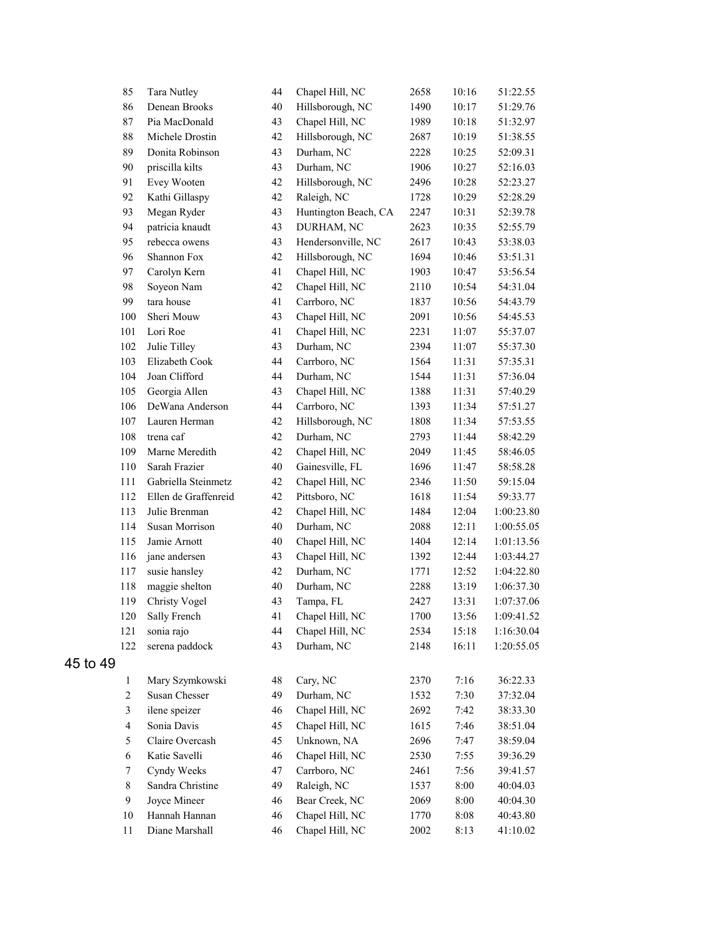| 85             | Tara Nutley          | 44 | Chapel Hill, NC      | 2658 | 10:16 | 51:22.55   |
|----------------|----------------------|----|----------------------|------|-------|------------|
| 86             | Denean Brooks        | 40 | Hillsborough, NC     | 1490 | 10:17 | 51:29.76   |
| 87             | Pia MacDonald        | 43 | Chapel Hill, NC      | 1989 | 10:18 | 51:32.97   |
| 88             | Michele Drostin      | 42 | Hillsborough, NC     | 2687 | 10:19 | 51:38.55   |
| 89             | Donita Robinson      | 43 | Durham, NC           | 2228 | 10:25 | 52:09.31   |
| 90             | priscilla kilts      | 43 | Durham, NC           | 1906 | 10:27 | 52:16.03   |
| 91             | Evey Wooten          | 42 | Hillsborough, NC     | 2496 | 10:28 | 52:23.27   |
| 92             | Kathi Gillaspy       | 42 | Raleigh, NC          | 1728 | 10:29 | 52:28.29   |
| 93             | Megan Ryder          | 43 | Huntington Beach, CA | 2247 | 10:31 | 52:39.78   |
| 94             | patricia knaudt      | 43 | DURHAM, NC           | 2623 | 10:35 | 52:55.79   |
| 95             | rebecca owens        | 43 | Hendersonville, NC   | 2617 | 10:43 | 53:38.03   |
| 96             | Shannon Fox          | 42 | Hillsborough, NC     | 1694 | 10:46 | 53:51.31   |
| 97             | Carolyn Kern         | 41 | Chapel Hill, NC      | 1903 | 10:47 | 53:56.54   |
| 98             | Soyeon Nam           | 42 | Chapel Hill, NC      | 2110 | 10:54 | 54:31.04   |
| 99             | tara house           | 41 | Carrboro, NC         | 1837 | 10:56 | 54:43.79   |
| 100            | Sheri Mouw           | 43 | Chapel Hill, NC      | 2091 | 10:56 | 54:45.53   |
| 101            | Lori Roe             | 41 | Chapel Hill, NC      | 2231 | 11:07 | 55:37.07   |
| 102            | Julie Tilley         | 43 | Durham, NC           | 2394 | 11:07 | 55:37.30   |
| 103            | Elizabeth Cook       | 44 | Carrboro, NC         | 1564 | 11:31 | 57:35.31   |
| 104            | Joan Clifford        | 44 | Durham, NC           | 1544 | 11:31 | 57:36.04   |
| 105            | Georgia Allen        | 43 | Chapel Hill, NC      | 1388 | 11:31 | 57:40.29   |
| 106            | DeWana Anderson      | 44 | Carrboro, NC         | 1393 | 11:34 | 57:51.27   |
| 107            | Lauren Herman        | 42 | Hillsborough, NC     | 1808 | 11:34 | 57:53.55   |
| 108            | trena caf            | 42 | Durham, NC           | 2793 | 11:44 | 58:42.29   |
| 109            | Marne Meredith       | 42 | Chapel Hill, NC      | 2049 | 11:45 | 58:46.05   |
| 110            | Sarah Frazier        | 40 | Gainesville, FL      | 1696 | 11:47 | 58:58.28   |
| 111            | Gabriella Steinmetz  | 42 | Chapel Hill, NC      | 2346 | 11:50 | 59:15.04   |
| 112            | Ellen de Graffenreid | 42 | Pittsboro, NC        | 1618 | 11:54 | 59:33.77   |
| 113            | Julie Brenman        | 42 | Chapel Hill, NC      | 1484 | 12:04 | 1:00:23.80 |
| 114            | Susan Morrison       | 40 | Durham, NC           | 2088 | 12:11 | 1:00:55.05 |
| 115            | Jamie Arnott         | 40 | Chapel Hill, NC      | 1404 | 12:14 | 1:01:13.56 |
| 116            | jane andersen        | 43 | Chapel Hill, NC      | 1392 | 12:44 | 1:03:44.27 |
| 117            | susie hansley        | 42 | Durham, NC           | 1771 | 12:52 | 1:04:22.80 |
| 118            | maggie shelton       | 40 | Durham, NC           | 2288 | 13:19 | 1:06:37.30 |
| 119            | Christy Vogel        | 43 | Tampa, FL            | 2427 | 13:31 | 1:07:37.06 |
|                | 120 Sally French     | 41 | Chapel Hill, NC      | 1700 | 13:56 | 1:09:41.52 |
| 121            | sonia rajo           | 44 | Chapel Hill, NC      | 2534 | 15:18 | 1:16:30.04 |
| 122            | serena paddock       | 43 | Durham, NC           | 2148 | 16:11 | 1:20:55.05 |
| 45 to 49       |                      |    |                      |      |       |            |
| $\mathbf{1}$   | Mary Szymkowski      | 48 | Cary, NC             | 2370 | 7:16  | 36:22.33   |
| $\sqrt{2}$     | Susan Chesser        | 49 | Durham, NC           | 1532 | 7:30  | 37:32.04   |
| 3              | ilene speizer        | 46 | Chapel Hill, NC      | 2692 | 7:42  | 38:33.30   |
| $\overline{4}$ | Sonia Davis          | 45 | Chapel Hill, NC      | 1615 | 7:46  | 38:51.04   |
| 5              | Claire Overcash      | 45 | Unknown, NA          | 2696 | 7:47  | 38:59.04   |
| $\sqrt{6}$     | Katie Savelli        | 46 | Chapel Hill, NC      | 2530 | 7:55  | 39:36.29   |
| 7              | Cyndy Weeks          | 47 | Carrboro, NC         | 2461 | 7:56  | 39:41.57   |
| $8\,$          | Sandra Christine     | 49 | Raleigh, NC          | 1537 | 8:00  | 40:04.03   |
| 9              | Joyce Mineer         | 46 | Bear Creek, NC       | 2069 | 8:00  | 40:04.30   |
| $10\,$         | Hannah Hannan        | 46 | Chapel Hill, NC      | 1770 | 8:08  | 40:43.80   |
| 11             | Diane Marshall       | 46 | Chapel Hill, NC      | 2002 | 8:13  | 41:10.02   |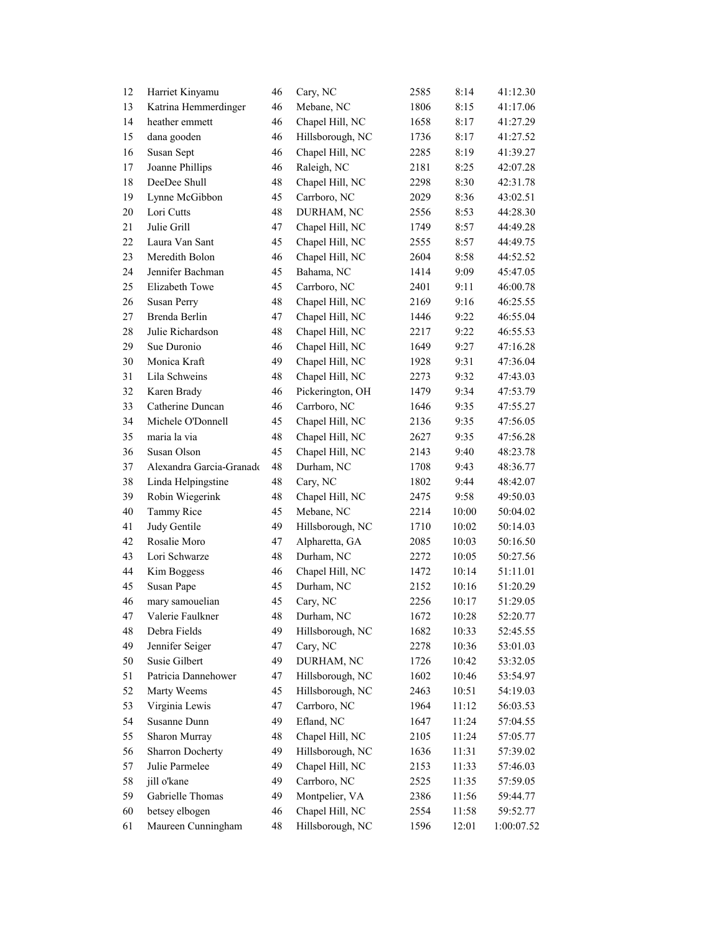| 12     | Harriet Kinyamu          | 46 | Cary, NC         | 2585 | 8:14  | 41:12.30   |
|--------|--------------------------|----|------------------|------|-------|------------|
| 13     | Katrina Hemmerdinger     | 46 | Mebane, NC       | 1806 | 8:15  | 41:17.06   |
| 14     | heather emmett           | 46 | Chapel Hill, NC  | 1658 | 8:17  | 41:27.29   |
| 15     | dana gooden              | 46 | Hillsborough, NC | 1736 | 8:17  | 41:27.52   |
| 16     | Susan Sept               | 46 | Chapel Hill, NC  | 2285 | 8:19  | 41:39.27   |
| 17     | Joanne Phillips          | 46 | Raleigh, NC      | 2181 | 8:25  | 42:07.28   |
| 18     | DeeDee Shull             | 48 | Chapel Hill, NC  | 2298 | 8:30  | 42:31.78   |
| 19     | Lynne McGibbon           | 45 | Carrboro, NC     | 2029 | 8:36  | 43:02.51   |
| $20\,$ | Lori Cutts               | 48 | DURHAM, NC       | 2556 | 8:53  | 44:28.30   |
| 21     | Julie Grill              | 47 | Chapel Hill, NC  | 1749 | 8:57  | 44:49.28   |
| 22     | Laura Van Sant           | 45 | Chapel Hill, NC  | 2555 | 8:57  | 44:49.75   |
| 23     | Meredith Bolon           | 46 | Chapel Hill, NC  | 2604 | 8:58  | 44:52.52   |
| 24     | Jennifer Bachman         | 45 | Bahama, NC       | 1414 | 9:09  | 45:47.05   |
| 25     | Elizabeth Towe           | 45 | Carrboro, NC     | 2401 | 9:11  | 46:00.78   |
| 26     | Susan Perry              | 48 | Chapel Hill, NC  | 2169 | 9:16  | 46:25.55   |
| 27     | Brenda Berlin            | 47 | Chapel Hill, NC  | 1446 | 9:22  | 46:55.04   |
| 28     | Julie Richardson         | 48 | Chapel Hill, NC  | 2217 | 9:22  | 46:55.53   |
| 29     | Sue Duronio              | 46 | Chapel Hill, NC  | 1649 | 9:27  | 47:16.28   |
| 30     | Monica Kraft             | 49 | Chapel Hill, NC  | 1928 | 9:31  | 47:36.04   |
| 31     | Lila Schweins            | 48 | Chapel Hill, NC  | 2273 | 9:32  | 47:43.03   |
| 32     | Karen Brady              | 46 | Pickerington, OH | 1479 | 9:34  | 47:53.79   |
| 33     | Catherine Duncan         | 46 | Carrboro, NC     | 1646 | 9:35  | 47:55.27   |
| 34     | Michele O'Donnell        | 45 | Chapel Hill, NC  | 2136 | 9:35  | 47:56.05   |
| 35     | maria la via             | 48 | Chapel Hill, NC  | 2627 | 9:35  | 47:56.28   |
| 36     | Susan Olson              | 45 | Chapel Hill, NC  | 2143 | 9:40  | 48:23.78   |
| 37     | Alexandra Garcia-Granado | 48 | Durham, NC       | 1708 | 9:43  | 48:36.77   |
| 38     | Linda Helpingstine       | 48 | Cary, NC         | 1802 | 9:44  | 48:42.07   |
| 39     | Robin Wiegerink          | 48 | Chapel Hill, NC  | 2475 | 9:58  | 49:50.03   |
| 40     | Tammy Rice               | 45 | Mebane, NC       | 2214 | 10:00 | 50:04.02   |
| 41     | Judy Gentile             | 49 | Hillsborough, NC | 1710 | 10:02 | 50:14.03   |
| 42     | Rosalie Moro             | 47 | Alpharetta, GA   | 2085 | 10:03 | 50:16.50   |
| 43     | Lori Schwarze            | 48 | Durham, NC       | 2272 | 10:05 | 50:27.56   |
| 44     | Kim Boggess              | 46 | Chapel Hill, NC  | 1472 | 10:14 | 51:11.01   |
| 45     | Susan Pape               | 45 | Durham, NC       | 2152 | 10:16 | 51:20.29   |
| 46     | mary samouelian          | 45 | Cary, NC         | 2256 | 10:17 | 51:29.05   |
| 47     | Valerie Faulkner         | 48 | Durham, NC       | 1672 | 10:28 | 52:20.77   |
| 48     | Debra Fields             | 49 | Hillsborough, NC | 1682 | 10:33 | 52:45.55   |
| 49     | Jennifer Seiger          | 47 | Cary, NC         | 2278 | 10:36 | 53:01.03   |
| 50     | Susie Gilbert            | 49 | DURHAM, NC       | 1726 | 10:42 | 53:32.05   |
| 51     | Patricia Dannehower      | 47 | Hillsborough, NC | 1602 | 10:46 | 53:54.97   |
| 52     |                          |    | Hillsborough, NC |      |       |            |
|        | Marty Weems              | 45 |                  | 2463 | 10:51 | 54:19.03   |
| 53     | Virginia Lewis           | 47 | Carrboro, NC     | 1964 | 11:12 | 56:03.53   |
| 54     | Susanne Dunn             | 49 | Efland, NC       | 1647 | 11:24 | 57:04.55   |
| 55     | Sharon Murray            | 48 | Chapel Hill, NC  | 2105 | 11:24 | 57:05.77   |
| 56     | Sharron Docherty         | 49 | Hillsborough, NC | 1636 | 11:31 | 57:39.02   |
| 57     | Julie Parmelee           | 49 | Chapel Hill, NC  | 2153 | 11:33 | 57:46.03   |
| 58     | jill o'kane              | 49 | Carrboro, NC     | 2525 | 11:35 | 57:59.05   |
| 59     | Gabrielle Thomas         | 49 | Montpelier, VA   | 2386 | 11:56 | 59:44.77   |
| 60     | betsey elbogen           | 46 | Chapel Hill, NC  | 2554 | 11:58 | 59:52.77   |
| 61     | Maureen Cunningham       | 48 | Hillsborough, NC | 1596 | 12:01 | 1:00:07.52 |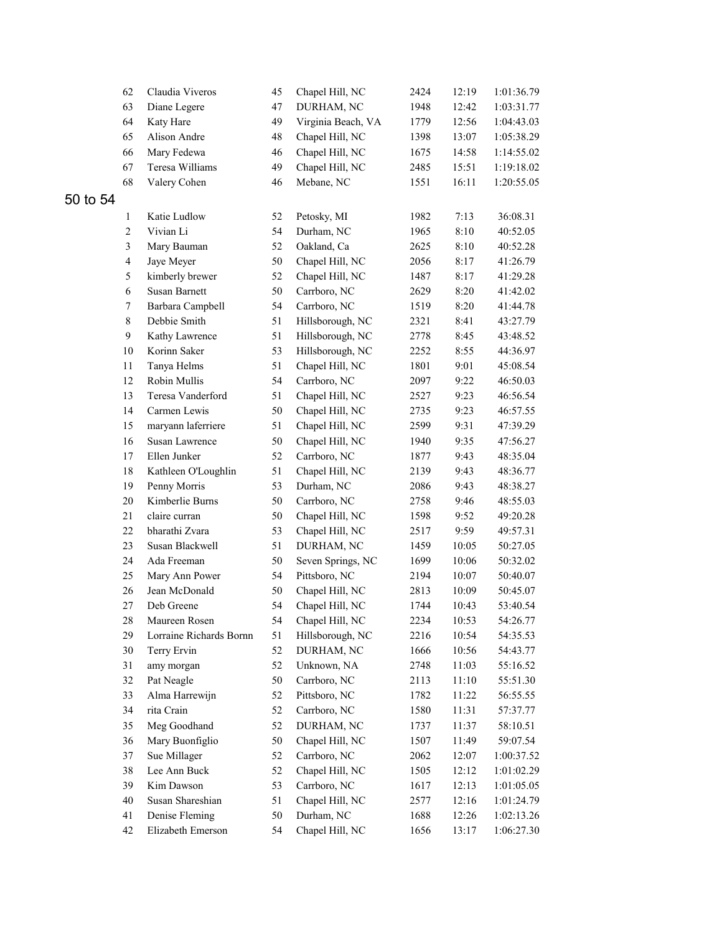|       | 62             | Claudia Viveros         | 45 | Chapel Hill, NC    | 2424 | 12:19 | 1:01:36.79 |
|-------|----------------|-------------------------|----|--------------------|------|-------|------------|
|       | 63             | Diane Legere            | 47 | DURHAM, NC         | 1948 | 12:42 | 1:03:31.77 |
|       | 64             | Katy Hare               | 49 | Virginia Beach, VA | 1779 | 12:56 | 1:04:43.03 |
|       | 65             | Alison Andre            | 48 | Chapel Hill, NC    | 1398 | 13:07 | 1:05:38.29 |
|       | 66             | Mary Fedewa             | 46 | Chapel Hill, NC    | 1675 | 14:58 | 1:14:55.02 |
|       | 67             | Teresa Williams         | 49 | Chapel Hill, NC    | 2485 | 15:51 | 1:19:18.02 |
|       | 68             | Valery Cohen            | 46 | Mebane, NC         | 1551 | 16:11 | 1:20:55.05 |
| to 54 |                |                         |    |                    |      |       |            |
|       | $\mathbf{1}$   | Katie Ludlow            | 52 | Petosky, MI        | 1982 | 7:13  | 36:08.31   |
|       | $\sqrt{2}$     | Vivian Li               | 54 | Durham, NC         | 1965 | 8:10  | 40:52.05   |
|       | 3              | Mary Bauman             | 52 | Oakland, Ca        | 2625 | 8:10  | 40:52.28   |
|       | $\overline{4}$ | Jaye Meyer              | 50 | Chapel Hill, NC    | 2056 | 8:17  | 41:26.79   |
|       | 5              | kimberly brewer         | 52 | Chapel Hill, NC    | 1487 | 8:17  | 41:29.28   |
|       | $\sqrt{6}$     | Susan Barnett           | 50 | Carrboro, NC       | 2629 | 8:20  | 41:42.02   |
|       | 7              | Barbara Campbell        | 54 | Carrboro, NC       | 1519 | 8:20  | 41:44.78   |
|       | $\,8\,$        | Debbie Smith            | 51 | Hillsborough, NC   | 2321 | 8:41  | 43:27.79   |
|       | 9              | Kathy Lawrence          | 51 | Hillsborough, NC   | 2778 | 8:45  | 43:48.52   |
|       | $10\,$         | Korinn Saker            | 53 | Hillsborough, NC   | 2252 | 8:55  | 44:36.97   |
|       | 11             | Tanya Helms             | 51 | Chapel Hill, NC    | 1801 | 9:01  | 45:08.54   |
|       | 12             | Robin Mullis            | 54 | Carrboro, NC       | 2097 | 9:22  | 46:50.03   |
|       | 13             | Teresa Vanderford       | 51 | Chapel Hill, NC    | 2527 | 9:23  | 46:56.54   |
|       | 14             | Carmen Lewis            | 50 | Chapel Hill, NC    | 2735 | 9:23  | 46:57.55   |
|       | 15             | maryann laferriere      | 51 | Chapel Hill, NC    | 2599 | 9:31  | 47:39.29   |
|       | 16             | Susan Lawrence          | 50 | Chapel Hill, NC    | 1940 | 9:35  | 47:56.27   |
|       | 17             | Ellen Junker            | 52 | Carrboro, NC       | 1877 | 9:43  | 48:35.04   |
|       | 18             | Kathleen O'Loughlin     | 51 | Chapel Hill, NC    | 2139 | 9:43  | 48:36.77   |
|       | 19             | Penny Morris            | 53 | Durham, NC         | 2086 | 9:43  | 48:38.27   |
|       | $20\,$         | Kimberlie Burns         | 50 | Carrboro, NC       | 2758 | 9:46  | 48:55.03   |
|       | 21             | claire curran           | 50 | Chapel Hill, NC    | 1598 | 9:52  | 49:20.28   |
|       | $22\,$         | bharathi Zvara          | 53 | Chapel Hill, NC    | 2517 | 9:59  | 49:57.31   |
|       | 23             | Susan Blackwell         | 51 | DURHAM, NC         | 1459 | 10:05 | 50:27.05   |
|       | 24             | Ada Freeman             | 50 | Seven Springs, NC  | 1699 | 10:06 | 50:32.02   |
|       | 25             | Mary Ann Power          | 54 | Pittsboro, NC      | 2194 | 10:07 | 50:40.07   |
|       | 26             | Jean McDonald           | 50 | Chapel Hill, NC    | 2813 | 10:09 | 50:45.07   |
|       | $27\,$         | Deb Greene              | 54 | Chapel Hill, NC    | 1744 | 10:43 | 53:40.54   |
|       | 28             | Maureen Rosen           | 54 | Chapel Hill, NC    | 2234 | 10:53 | 54:26.77   |
|       | 29             | Lorraine Richards Bornn | 51 | Hillsborough, NC   | 2216 | 10:54 | 54:35.53   |
|       | 30             | Terry Ervin             | 52 | DURHAM, NC         | 1666 | 10:56 | 54:43.77   |
|       | 31             | amy morgan              | 52 | Unknown, NA        | 2748 | 11:03 | 55:16.52   |
|       | 32             | Pat Neagle              | 50 | Carrboro, NC       | 2113 | 11:10 | 55:51.30   |
|       | 33             | Alma Harrewijn          | 52 | Pittsboro, NC      | 1782 | 11:22 | 56:55.55   |
|       | 34             | rita Crain              | 52 | Carrboro, NC       | 1580 | 11:31 | 57:37.77   |
|       | 35             | Meg Goodhand            | 52 | DURHAM, NC         | 1737 | 11:37 | 58:10.51   |
|       | 36             | Mary Buonfiglio         | 50 | Chapel Hill, NC    | 1507 | 11:49 | 59:07.54   |
|       | 37             | Sue Millager            | 52 | Carrboro, NC       | 2062 | 12:07 | 1:00:37.52 |
|       | 38             | Lee Ann Buck            | 52 | Chapel Hill, NC    | 1505 | 12:12 | 1:01:02.29 |
|       | 39             | Kim Dawson              | 53 | Carrboro, NC       | 1617 | 12:13 | 1:01:05.05 |
|       | $40\,$         | Susan Shareshian        | 51 | Chapel Hill, NC    | 2577 | 12:16 | 1:01:24.79 |
|       | 41             | Denise Fleming          | 50 | Durham, NC         | 1688 | 12:26 | 1:02:13.26 |
|       | 42             | Elizabeth Emerson       | 54 | Chapel Hill, NC    | 1656 | 13:17 | 1:06:27.30 |
|       |                |                         |    |                    |      |       |            |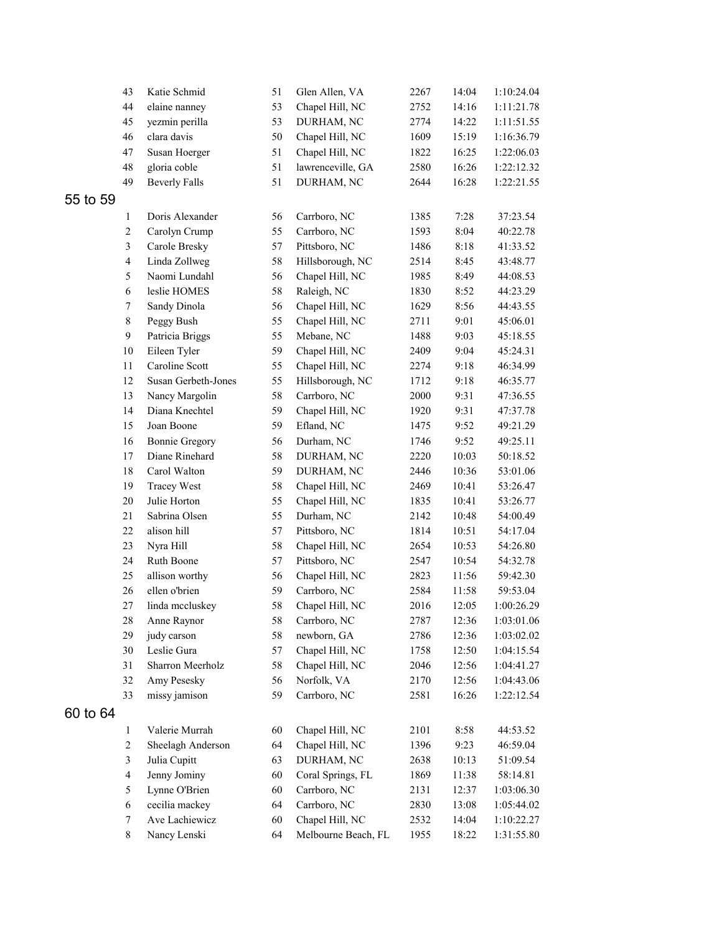|       | 43                      | Katie Schmid          | 51 | Glen Allen, VA      | 2267 | 14:04 | 1:10:24.04 |
|-------|-------------------------|-----------------------|----|---------------------|------|-------|------------|
|       | 44                      | elaine nanney         | 53 | Chapel Hill, NC     | 2752 | 14:16 | 1:11:21.78 |
|       | 45                      | yezmin perilla        | 53 | DURHAM, NC          | 2774 | 14:22 | 1:11:51.55 |
|       | 46                      | clara davis           | 50 | Chapel Hill, NC     | 1609 | 15:19 | 1:16:36.79 |
|       | 47                      | Susan Hoerger         | 51 | Chapel Hill, NC     | 1822 | 16:25 | 1:22:06.03 |
|       | 48                      | gloria coble          | 51 | lawrenceville, GA   | 2580 | 16:26 | 1:22:12.32 |
|       | 49                      | <b>Beverly Falls</b>  | 51 | DURHAM, NC          | 2644 | 16:28 | 1:22:21.55 |
| to 59 |                         |                       |    |                     |      |       |            |
|       | $\mathbf{1}$            | Doris Alexander       | 56 | Carrboro, NC        | 1385 | 7:28  | 37:23.54   |
|       | $\overline{c}$          | Carolyn Crump         | 55 | Carrboro, NC        | 1593 | 8:04  | 40:22.78   |
|       | $\overline{\mathbf{3}}$ | Carole Bresky         | 57 | Pittsboro, NC       | 1486 | 8:18  | 41:33.52   |
|       | $\overline{\mathbf{4}}$ | Linda Zollweg         | 58 | Hillsborough, NC    | 2514 | 8:45  | 43:48.77   |
|       | 5                       | Naomi Lundahl         | 56 | Chapel Hill, NC     | 1985 | 8:49  | 44:08.53   |
|       | $\sqrt{6}$              | leslie HOMES          | 58 | Raleigh, NC         | 1830 | 8:52  | 44:23.29   |
|       | 7                       | Sandy Dinola          | 56 | Chapel Hill, NC     | 1629 | 8:56  | 44:43.55   |
|       | $\,8\,$                 | Peggy Bush            | 55 | Chapel Hill, NC     | 2711 | 9:01  | 45:06.01   |
|       | 9                       | Patricia Briggs       | 55 | Mebane, NC          | 1488 | 9:03  | 45:18.55   |
|       | 10                      | Eileen Tyler          | 59 | Chapel Hill, NC     | 2409 | 9:04  | 45:24.31   |
|       | $11\,$                  | Caroline Scott        | 55 | Chapel Hill, NC     | 2274 | 9:18  | 46:34.99   |
|       | 12                      | Susan Gerbeth-Jones   | 55 | Hillsborough, NC    | 1712 | 9:18  | 46:35.77   |
|       | 13                      | Nancy Margolin        | 58 | Carrboro, NC        | 2000 | 9:31  | 47:36.55   |
|       | 14                      | Diana Knechtel        | 59 | Chapel Hill, NC     | 1920 | 9:31  | 47:37.78   |
|       | 15                      | Joan Boone            | 59 | Efland, NC          | 1475 | 9:52  | 49:21.29   |
|       | 16                      | <b>Bonnie Gregory</b> | 56 | Durham, NC          | 1746 | 9:52  | 49:25.11   |
|       | 17                      | Diane Rinehard        | 58 | DURHAM, NC          | 2220 | 10:03 | 50:18.52   |
|       | 18                      | Carol Walton          | 59 | DURHAM, NC          | 2446 | 10:36 | 53:01.06   |
|       | 19                      | <b>Tracey West</b>    | 58 | Chapel Hill, NC     | 2469 | 10:41 | 53:26.47   |
|       | 20                      | Julie Horton          | 55 | Chapel Hill, NC     | 1835 | 10:41 | 53:26.77   |
|       | 21                      | Sabrina Olsen         | 55 | Durham, NC          | 2142 | 10:48 | 54:00.49   |
|       | 22                      | alison hill           | 57 | Pittsboro, NC       | 1814 | 10:51 | 54:17.04   |
|       | 23                      | Nyra Hill             | 58 | Chapel Hill, NC     | 2654 | 10:53 | 54:26.80   |
|       | 24                      | Ruth Boone            | 57 | Pittsboro, NC       | 2547 | 10:54 | 54:32.78   |
|       | 25                      | allison worthy        | 56 | Chapel Hill, NC     | 2823 | 11:56 | 59:42.30   |
|       | 26                      | ellen o'brien         | 59 | Carrboro, NC        | 2584 | 11:58 | 59:53.04   |
|       | 27                      | linda mccluskey       | 58 | Chapel Hill, NC     | 2016 | 12:05 | 1:00:26.29 |
|       | 28                      | Anne Raynor           | 58 | Carrboro, NC        | 2787 | 12:36 | 1:03:01.06 |
|       | 29                      | judy carson           | 58 | newborn, GA         | 2786 | 12:36 | 1:03:02.02 |
|       | $30\,$                  | Leslie Gura           | 57 | Chapel Hill, NC     | 1758 | 12:50 | 1:04:15.54 |
|       | 31                      | Sharron Meerholz      | 58 | Chapel Hill, NC     | 2046 | 12:56 | 1:04:41.27 |
|       | 32                      | Amy Pesesky           | 56 | Norfolk, VA         | 2170 | 12:56 | 1:04:43.06 |
|       | 33                      | missy jamison         | 59 | Carrboro, NC        | 2581 | 16:26 | 1:22:12.54 |
| to 64 |                         |                       |    |                     |      |       |            |
|       | $\mathbf{1}$            | Valerie Murrah        | 60 | Chapel Hill, NC     | 2101 | 8:58  | 44:53.52   |
|       | $\overline{c}$          | Sheelagh Anderson     | 64 | Chapel Hill, NC     | 1396 | 9:23  | 46:59.04   |
|       | $\overline{\mathbf{3}}$ | Julia Cupitt          | 63 | DURHAM, NC          | 2638 | 10:13 | 51:09.54   |
|       | $\overline{\mathbf{4}}$ | Jenny Jominy          | 60 | Coral Springs, FL   | 1869 | 11:38 | 58:14.81   |
|       | 5                       | Lynne O'Brien         | 60 | Carrboro, NC        | 2131 | 12:37 | 1:03:06.30 |
|       | 6                       | cecilia mackey        | 64 | Carrboro, NC        | 2830 | 13:08 | 1:05:44.02 |
|       | 7                       | Ave Lachiewicz        | 60 | Chapel Hill, NC     | 2532 | 14:04 | 1:10:22.27 |
|       | $\,8\,$                 | Nancy Lenski          | 64 | Melbourne Beach, FL | 1955 | 18:22 | 1:31:55.80 |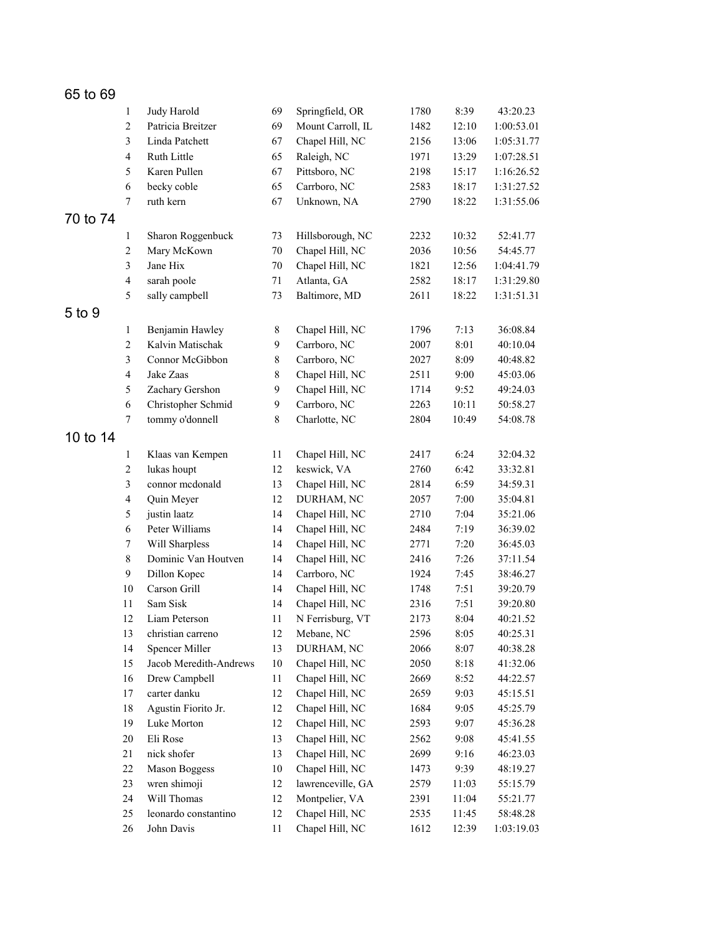| 65 to 69 |                          |                        |           |                   |      |       |            |
|----------|--------------------------|------------------------|-----------|-------------------|------|-------|------------|
|          | $\mathbf{1}$             | Judy Harold            | 69        | Springfield, OR   | 1780 | 8:39  | 43:20.23   |
|          | $\sqrt{2}$               | Patricia Breitzer      | 69        | Mount Carroll, IL | 1482 | 12:10 | 1:00:53.01 |
|          | $\mathfrak{Z}$           | Linda Patchett         | 67        | Chapel Hill, NC   | 2156 | 13:06 | 1:05:31.77 |
|          | $\overline{\mathcal{L}}$ | Ruth Little            | 65        | Raleigh, NC       | 1971 | 13:29 | 1:07:28.51 |
|          | 5                        | Karen Pullen           | 67        | Pittsboro, NC     | 2198 | 15:17 | 1:16:26.52 |
|          | 6                        | becky coble            | 65        | Carrboro, NC      | 2583 | 18:17 | 1:31:27.52 |
|          | $\tau$                   | ruth kern              | 67        | Unknown, NA       | 2790 | 18:22 | 1:31:55.06 |
| 70 to 74 |                          |                        |           |                   |      |       |            |
|          | $\mathbf{1}$             | Sharon Roggenbuck      | 73        | Hillsborough, NC  | 2232 | 10:32 | 52:41.77   |
|          | $\overline{2}$           | Mary McKown            | 70        | Chapel Hill, NC   | 2036 | 10:56 | 54:45.77   |
|          | 3                        | Jane Hix               | 70        | Chapel Hill, NC   | 1821 | 12:56 | 1:04:41.79 |
|          | $\overline{4}$           | sarah poole            | 71        | Atlanta, GA       | 2582 | 18:17 | 1:31:29.80 |
|          | 5                        | sally campbell         | 73        | Baltimore, MD     | 2611 | 18:22 | 1:31:51.31 |
| 5 to 9   |                          |                        |           |                   |      |       |            |
|          | $\mathbf{1}$             | Benjamin Hawley        | 8         | Chapel Hill, NC   | 1796 | 7:13  | 36:08.84   |
|          | $\overline{2}$           | Kalvin Matischak       | 9         | Carrboro, NC      | 2007 | 8:01  | 40:10.04   |
|          | $\mathfrak{Z}$           | Connor McGibbon        | $\,$ $\,$ | Carrboro, NC      | 2027 | 8:09  | 40:48.82   |
|          | $\overline{4}$           | Jake Zaas              | $\,8\,$   | Chapel Hill, NC   | 2511 | 9:00  | 45:03.06   |
|          | 5                        | Zachary Gershon        | 9         | Chapel Hill, NC   | 1714 | 9:52  | 49:24.03   |
|          | 6                        | Christopher Schmid     | 9         | Carrboro, NC      | 2263 | 10:11 | 50:58.27   |
|          | $\overline{7}$           | tommy o'donnell        | 8         | Charlotte, NC     | 2804 | 10:49 | 54:08.78   |
| 10 to 14 |                          |                        |           |                   |      |       |            |
|          | $\mathbf{1}$             | Klaas van Kempen       | 11        | Chapel Hill, NC   | 2417 | 6:24  | 32:04.32   |
|          | $\sqrt{2}$               | lukas houpt            | 12        | keswick, VA       | 2760 | 6:42  | 33:32.81   |
|          | 3                        | connor mcdonald        | 13        | Chapel Hill, NC   | 2814 | 6:59  | 34:59.31   |
|          | $\overline{4}$           | Quin Meyer             | 12        | DURHAM, NC        | 2057 | 7:00  | 35:04.81   |
|          | $\mathfrak s$            | justin laatz           | 14        | Chapel Hill, NC   | 2710 | 7:04  | 35:21.06   |
|          | 6                        | Peter Williams         | 14        | Chapel Hill, NC   | 2484 | 7:19  | 36:39.02   |
|          | $\tau$                   | Will Sharpless         | 14        | Chapel Hill, NC   | 2771 | 7:20  | 36:45.03   |
|          | $\,8\,$                  | Dominic Van Houtven    | 14        | Chapel Hill, NC   | 2416 | 7:26  | 37:11.54   |
|          | 9                        | Dillon Kopec           | 14        | Carrboro, NC      | 1924 | 7:45  | 38:46.27   |
|          | 10                       | Carson Grill           | 14        | Chapel Hill, NC   | 1748 | 7:51  | 39:20.79   |
|          | 11                       | Sam Sisk               | 14        | Chapel Hill, NC   | 2316 | 7:51  | 39:20.80   |
|          | 12                       | Liam Peterson          | 11        | N Ferrisburg, VT  | 2173 | 8:04  | 40:21.52   |
|          | 13                       | christian carreno      | 12        | Mebane, NC        | 2596 | 8:05  | 40:25.31   |
|          | 14                       | Spencer Miller         | 13        | DURHAM, NC        | 2066 | 8:07  | 40:38.28   |
|          | 15                       | Jacob Meredith-Andrews | $10\,$    | Chapel Hill, NC   | 2050 | 8:18  | 41:32.06   |
|          | 16                       | Drew Campbell          | $11\,$    | Chapel Hill, NC   | 2669 | 8:52  | 44:22.57   |
|          | 17                       | carter danku           | 12        | Chapel Hill, NC   | 2659 | 9:03  | 45:15.51   |
|          | 18                       | Agustin Fiorito Jr.    | 12        | Chapel Hill, NC   | 1684 | 9:05  | 45:25.79   |
|          | 19                       | Luke Morton            | 12        | Chapel Hill, NC   | 2593 | 9:07  | 45:36.28   |
|          | $20\,$                   | Eli Rose               | 13        | Chapel Hill, NC   | 2562 | 9:08  | 45:41.55   |
|          | 21                       | nick shofer            | 13        | Chapel Hill, NC   | 2699 | 9:16  | 46:23.03   |
|          | 22                       | <b>Mason Boggess</b>   | $10\,$    | Chapel Hill, NC   | 1473 | 9:39  | 48:19.27   |
|          | 23                       | wren shimoji           | 12        | lawrenceville, GA | 2579 | 11:03 | 55:15.79   |
|          | 24                       | Will Thomas            | 12        | Montpelier, VA    | 2391 | 11:04 | 55:21.77   |
|          | 25                       | leonardo constantino   | 12        | Chapel Hill, NC   | 2535 | 11:45 | 58:48.28   |
|          | $26\,$                   | John Davis             | 11        | Chapel Hill, NC   | 1612 | 12:39 | 1:03:19.03 |
|          |                          |                        |           |                   |      |       |            |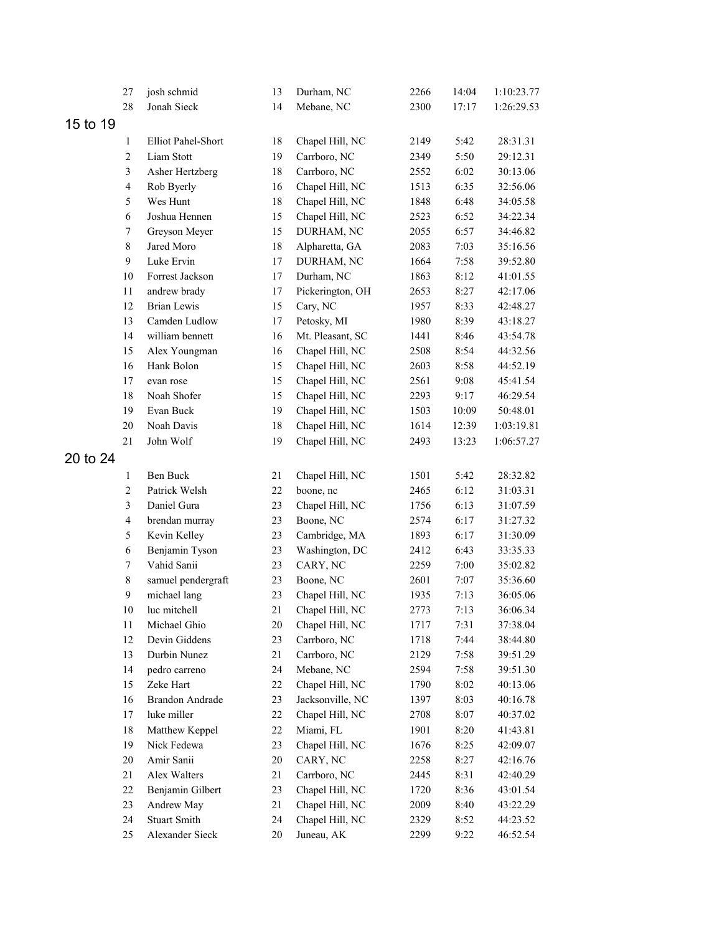|          | 27                      | josh schmid            | 13     | Durham, NC       | 2266 | 14:04 | 1:10:23.77 |
|----------|-------------------------|------------------------|--------|------------------|------|-------|------------|
|          | 28                      | Jonah Sieck            | 14     | Mebane, NC       | 2300 | 17:17 | 1:26:29.53 |
| 15 to 19 |                         |                        |        |                  |      |       |            |
|          | 1                       | Elliot Pahel-Short     | 18     | Chapel Hill, NC  | 2149 | 5:42  | 28:31.31   |
|          | $\mathbf{2}$            | Liam Stott             | 19     | Carrboro, NC     | 2349 | 5:50  | 29:12.31   |
|          | $\mathfrak{Z}$          | Asher Hertzberg        | 18     | Carrboro, NC     | 2552 | 6:02  | 30:13.06   |
|          | $\overline{4}$          | Rob Byerly             | 16     | Chapel Hill, NC  | 1513 | 6:35  | 32:56.06   |
|          | 5                       | Wes Hunt               | 18     | Chapel Hill, NC  | 1848 | 6:48  | 34:05.58   |
|          | 6                       | Joshua Hennen          | 15     | Chapel Hill, NC  | 2523 | 6:52  | 34:22.34   |
|          | $\boldsymbol{7}$        | Greyson Meyer          | 15     | DURHAM, NC       | 2055 | 6:57  | 34:46.82   |
|          | $\,8\,$                 | Jared Moro             | 18     | Alpharetta, GA   | 2083 | 7:03  | 35:16.56   |
|          | $\mathbf{9}$            | Luke Ervin             | 17     | DURHAM, NC       | 1664 | 7:58  | 39:52.80   |
|          | $10\,$                  | Forrest Jackson        | 17     | Durham, NC       | 1863 | 8:12  | 41:01.55   |
|          | $11\,$                  | andrew brady           | 17     | Pickerington, OH | 2653 | 8:27  | 42:17.06   |
|          | 12                      | <b>Brian Lewis</b>     | 15     | Cary, NC         | 1957 | 8:33  | 42:48.27   |
|          | 13                      | Camden Ludlow          | 17     | Petosky, MI      | 1980 | 8:39  | 43:18.27   |
|          | 14                      | william bennett        | 16     | Mt. Pleasant, SC | 1441 | 8:46  | 43:54.78   |
|          | 15                      | Alex Youngman          | 16     | Chapel Hill, NC  | 2508 | 8:54  | 44:32.56   |
|          | 16                      | Hank Bolon             | 15     | Chapel Hill, NC  | 2603 | 8:58  | 44:52.19   |
|          | $17$                    | evan rose              | 15     | Chapel Hill, NC  | 2561 | 9:08  | 45:41.54   |
|          | 18                      | Noah Shofer            | 15     | Chapel Hill, NC  | 2293 | 9:17  | 46:29.54   |
|          | 19                      | Evan Buck              | 19     | Chapel Hill, NC  | 1503 | 10:09 | 50:48.01   |
|          | $20\,$                  | Noah Davis             | 18     | Chapel Hill, NC  | 1614 | 12:39 | 1:03:19.81 |
|          | 21                      | John Wolf              | 19     | Chapel Hill, NC  | 2493 | 13:23 | 1:06:57.27 |
| 20 to 24 |                         |                        |        |                  |      |       |            |
|          | $\mathbf{1}$            | Ben Buck               | 21     | Chapel Hill, NC  | 1501 | 5:42  | 28:32.82   |
|          | $\boldsymbol{2}$        | Patrick Welsh          | 22     | boone, nc        | 2465 | 6:12  | 31:03.31   |
|          | 3                       | Daniel Gura            | 23     | Chapel Hill, NC  | 1756 | 6:13  | 31:07.59   |
|          | $\overline{\mathbf{4}}$ | brendan murray         | 23     | Boone, NC        | 2574 | 6:17  | 31:27.32   |
|          | 5                       | Kevin Kelley           | 23     | Cambridge, MA    | 1893 | 6:17  | 31:30.09   |
|          | 6                       | Benjamin Tyson         | 23     | Washington, DC   | 2412 | 6:43  | 33:35.33   |
|          | $\boldsymbol{7}$        | Vahid Sanii            | 23     | CARY, NC         | 2259 | 7:00  | 35:02.82   |
|          | $\,$ $\,$               | samuel pendergraft     | 23     | Boone, NC        | 2601 | 7:07  | 35:36.60   |
|          | $\mathbf{9}$            | michael lang           | 23     | Chapel Hill, NC  | 1935 | 7:13  | 36:05.06   |
|          | 10                      | luc mitchell           | 21     | Chapel Hill, NC  | 2773 | 7:13  | 36:06.34   |
|          | 11                      | Michael Ghio           | 20     | Chapel Hill, NC  | 1717 | 7:31  | 37:38.04   |
|          | 12                      | Devin Giddens          | 23     | Carrboro, NC     | 1718 | 7:44  | 38:44.80   |
|          | 13                      | Durbin Nunez           | 21     | Carrboro, NC     | 2129 | 7:58  | 39:51.29   |
|          | 14                      | pedro carreno          | 24     | Mebane, NC       | 2594 | 7:58  | 39:51.30   |
|          | 15                      | Zeke Hart              | $22\,$ | Chapel Hill, NC  | 1790 | 8:02  | 40:13.06   |
|          | 16                      | <b>Brandon Andrade</b> | 23     | Jacksonville, NC | 1397 | 8:03  | 40:16.78   |
|          | 17                      | luke miller            | $22\,$ | Chapel Hill, NC  | 2708 | 8:07  | 40:37.02   |
|          | 18                      | Matthew Keppel         | $22\,$ | Miami, FL        | 1901 | 8:20  | 41:43.81   |
|          | 19                      | Nick Fedewa            | 23     | Chapel Hill, NC  | 1676 | 8:25  | 42:09.07   |
|          | 20                      | Amir Sanii             | $20\,$ | CARY, NC         | 2258 | 8:27  | 42:16.76   |
|          | 21                      | Alex Walters           | 21     | Carrboro, NC     | 2445 | 8:31  | 42:40.29   |
|          | $22\,$                  | Benjamin Gilbert       | 23     | Chapel Hill, NC  | 1720 | 8:36  | 43:01.54   |
|          | 23                      | Andrew May             | 21     | Chapel Hill, NC  | 2009 | 8:40  | 43:22.29   |
|          | 24                      | <b>Stuart Smith</b>    | 24     | Chapel Hill, NC  | 2329 | 8:52  | 44:23.52   |
|          | 25                      | Alexander Sieck        | $20\,$ | Juneau, AK       | 2299 | 9:22  | 46:52.54   |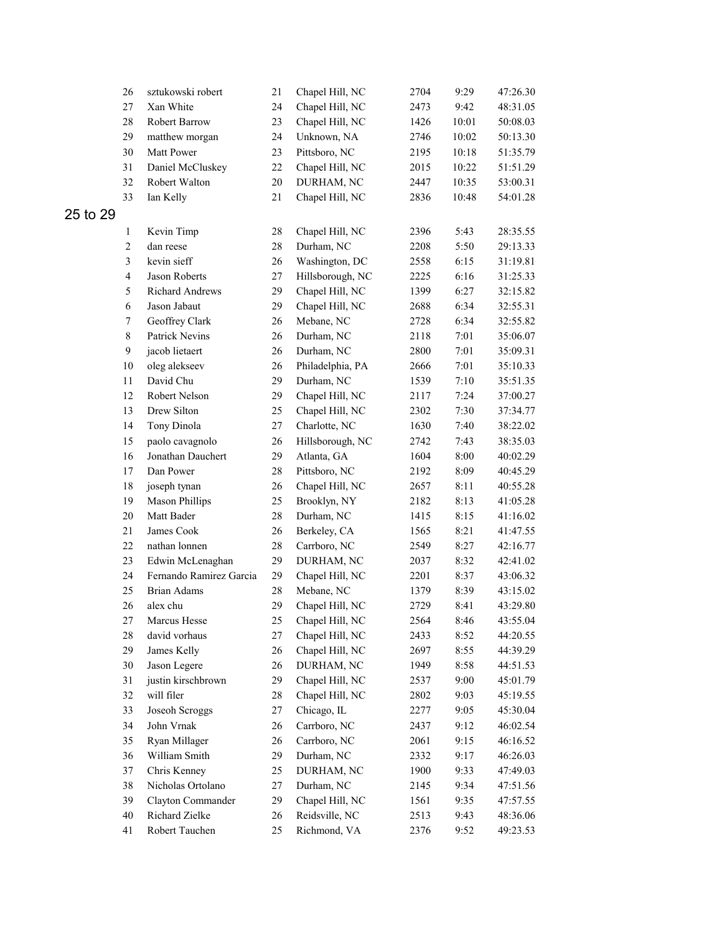|          | 26               | sztukowski robert       | 21     | Chapel Hill, NC  | 2704 | 9:29         | 47:26.30 |
|----------|------------------|-------------------------|--------|------------------|------|--------------|----------|
|          | $27\,$           | Xan White               | 24     | Chapel Hill, NC  | 2473 | 9:42         | 48:31.05 |
|          | $28\,$           | Robert Barrow           | 23     | Chapel Hill, NC  | 1426 | 10:01        | 50:08.03 |
|          | 29               | matthew morgan          | 24     | Unknown, NA      | 2746 | 10:02        | 50:13.30 |
|          | $30\,$           | Matt Power              | 23     | Pittsboro, NC    | 2195 | 10:18        | 51:35.79 |
|          | 31               | Daniel McCluskey        | 22     | Chapel Hill, NC  | 2015 | 10:22        | 51:51.29 |
|          | 32               | Robert Walton           | $20\,$ | DURHAM, NC       | 2447 | 10:35        | 53:00.31 |
|          | 33               | Ian Kelly               | 21     | Chapel Hill, NC  | 2836 | 10:48        | 54:01.28 |
| 25 to 29 |                  |                         |        |                  |      |              |          |
|          | $\mathbf{1}$     | Kevin Timp              | $28\,$ | Chapel Hill, NC  | 2396 | 5:43         | 28:35.55 |
|          | $\sqrt{2}$       | dan reese               | $28\,$ | Durham, NC       | 2208 | 5:50         | 29:13.33 |
|          | $\mathfrak{Z}$   | kevin sieff             | 26     | Washington, DC   | 2558 | 6:15         | 31:19.81 |
|          | $\overline{4}$   | Jason Roberts           | 27     | Hillsborough, NC | 2225 | 6:16         | 31:25.33 |
|          | 5                | Richard Andrews         | 29     | Chapel Hill, NC  | 1399 | 6:27         | 32:15.82 |
|          | 6                | Jason Jabaut            | 29     | Chapel Hill, NC  | 2688 | 6:34         | 32:55.31 |
|          | $\boldsymbol{7}$ | Geoffrey Clark          | 26     | Mebane, NC       | 2728 | 6:34         | 32:55.82 |
|          | $\,$ 8 $\,$      | Patrick Nevins          | 26     | Durham, NC       | 2118 | 7:01         | 35:06.07 |
|          | $\mathbf{9}$     | jacob lietaert          | 26     | Durham, NC       | 2800 | 7:01         | 35:09.31 |
|          | $10\,$           | oleg alekseev           | 26     | Philadelphia, PA | 2666 | 7:01         | 35:10.33 |
|          | $11\,$           | David Chu               | 29     |                  |      |              |          |
|          |                  | Robert Nelson           |        | Durham, NC       | 1539 | 7:10         | 35:51.35 |
|          | 12               |                         | 29     | Chapel Hill, NC  | 2117 | 7:24         | 37:00.27 |
|          | 13               | Drew Silton             | 25     | Chapel Hill, NC  | 2302 | 7:30<br>7:40 | 37:34.77 |
|          | 14               | Tony Dinola             | $27\,$ | Charlotte, NC    | 1630 |              | 38:22.02 |
|          | 15               | paolo cavagnolo         | 26     | Hillsborough, NC | 2742 | 7:43         | 38:35.03 |
|          | 16               | Jonathan Dauchert       | 29     | Atlanta, GA      | 1604 | 8:00         | 40:02.29 |
|          | 17               | Dan Power               | $28\,$ | Pittsboro, NC    | 2192 | 8:09         | 40:45.29 |
|          | 18               | joseph tynan            | 26     | Chapel Hill, NC  | 2657 | 8:11         | 40:55.28 |
|          | 19               | <b>Mason Phillips</b>   | 25     | Brooklyn, NY     | 2182 | 8:13         | 41:05.28 |
|          | $20\,$           | Matt Bader              | $28\,$ | Durham, NC       | 1415 | 8:15         | 41:16.02 |
|          | 21               | James Cook              | 26     | Berkeley, CA     | 1565 | 8:21         | 41:47.55 |
|          | $22\,$           | nathan lonnen           | 28     | Carrboro, NC     | 2549 | 8:27         | 42:16.77 |
|          | 23               | Edwin McLenaghan        | 29     | DURHAM, NC       | 2037 | 8:32         | 42:41.02 |
|          | 24               | Fernando Ramirez Garcia | 29     | Chapel Hill, NC  | 2201 | 8:37         | 43:06.32 |
|          | 25               | <b>Brian Adams</b>      | 28     | Mebane, NC       | 1379 | 8:39         | 43:15.02 |
|          | 26               | alex chu                | 29     | Chapel Hill, NC  | 2729 | 8:41         | 43:29.80 |
|          | 27               | Marcus Hesse            | 25     | Chapel Hill, NC  | 2564 | 8:46         | 43:55.04 |
|          | $28\,$           | david vorhaus           | $27\,$ | Chapel Hill, NC  | 2433 | 8:52         | 44:20.55 |
|          | 29               | James Kelly             | 26     | Chapel Hill, NC  | 2697 | 8:55         | 44:39.29 |
|          | 30               | Jason Legere            | 26     | DURHAM, NC       | 1949 | 8:58         | 44:51.53 |
|          | 31               | justin kirschbrown      | 29     | Chapel Hill, NC  | 2537 | 9:00         | 45:01.79 |
|          | 32               | will filer              | $28\,$ | Chapel Hill, NC  | 2802 | 9:03         | 45:19.55 |
|          | 33               | Joseoh Scroggs          | 27     | Chicago, IL      | 2277 | 9:05         | 45:30.04 |
|          | 34               | John Vrnak              | 26     | Carrboro, NC     | 2437 | 9:12         | 46:02.54 |
|          | 35               | Ryan Millager           | 26     | Carrboro, NC     | 2061 | 9:15         | 46:16.52 |
|          | 36               | William Smith           | 29     | Durham, NC       | 2332 | 9:17         | 46:26.03 |
|          | 37               | Chris Kenney            | 25     | DURHAM, NC       | 1900 | 9:33         | 47:49.03 |
|          | 38               | Nicholas Ortolano       | 27     | Durham, NC       | 2145 | 9:34         | 47:51.56 |
|          | 39               | Clayton Commander       | 29     | Chapel Hill, NC  | 1561 | 9:35         | 47:57.55 |
|          | 40               | Richard Zielke          | 26     | Reidsville, NC   | 2513 | 9:43         | 48:36.06 |
|          | 41               | Robert Tauchen          | 25     | Richmond, VA     | 2376 | 9:52         | 49:23.53 |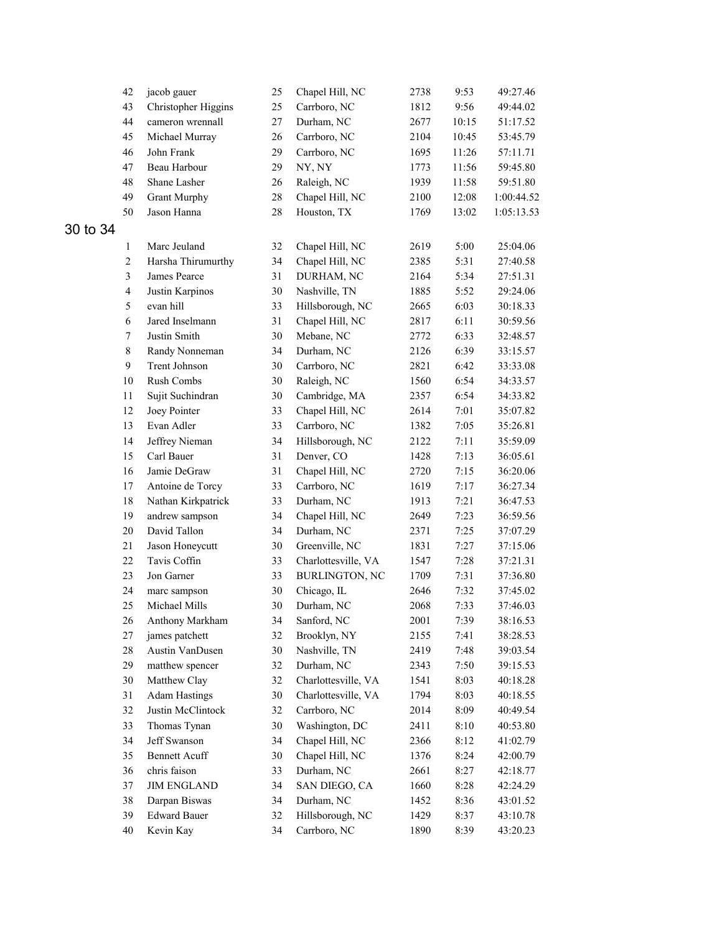|          | 42                      | jacob gauer          | 25     | Chapel Hill, NC       | 2738 | 9:53  | 49:27.46   |
|----------|-------------------------|----------------------|--------|-----------------------|------|-------|------------|
|          | 43                      | Christopher Higgins  | 25     | Carrboro, NC          | 1812 | 9:56  | 49:44.02   |
|          | 44                      | cameron wrennall     | 27     | Durham, NC            | 2677 | 10:15 | 51:17.52   |
|          | 45                      | Michael Murray       | 26     | Carrboro, NC          | 2104 | 10:45 | 53:45.79   |
|          | 46                      | John Frank           | 29     | Carrboro, NC          | 1695 | 11:26 | 57:11.71   |
|          | 47                      | Beau Harbour         | 29     | NY, NY                | 1773 | 11:56 | 59:45.80   |
|          | 48                      | Shane Lasher         | 26     | Raleigh, NC           | 1939 | 11:58 | 59:51.80   |
|          | 49                      | <b>Grant Murphy</b>  | 28     | Chapel Hill, NC       | 2100 | 12:08 | 1:00:44.52 |
|          | 50                      | Jason Hanna          | $28\,$ | Houston, TX           | 1769 | 13:02 | 1:05:13.53 |
| 30 to 34 |                         |                      |        |                       |      |       |            |
|          | $\mathbf{1}$            | Marc Jeuland         | 32     | Chapel Hill, NC       | 2619 | 5:00  | 25:04.06   |
|          | $\overline{c}$          | Harsha Thirumurthy   | 34     | Chapel Hill, NC       | 2385 | 5:31  | 27:40.58   |
|          | 3                       | James Pearce         | 31     | DURHAM, NC            | 2164 | 5:34  | 27:51.31   |
|          | $\overline{\mathbf{4}}$ | Justin Karpinos      | 30     | Nashville, TN         | 1885 | 5:52  | 29:24.06   |
|          | 5                       | evan hill            | 33     | Hillsborough, NC      | 2665 | 6:03  | 30:18.33   |
|          | 6                       | Jared Inselmann      | 31     | Chapel Hill, NC       | 2817 | 6:11  | 30:59.56   |
|          | $\tau$                  | Justin Smith         | 30     | Mebane, NC            | 2772 | 6:33  | 32:48.57   |
|          | $\,8\,$                 | Randy Nonneman       | 34     | Durham, NC            | 2126 | 6:39  | 33:15.57   |
|          | 9                       | Trent Johnson        | 30     | Carrboro, NC          | 2821 | 6:42  | 33:33.08   |
|          | 10                      | Rush Combs           | 30     | Raleigh, NC           | 1560 | 6:54  | 34:33.57   |
|          | 11                      | Sujit Suchindran     | 30     | Cambridge, MA         | 2357 | 6:54  | 34:33.82   |
|          | 12                      | Joey Pointer         | 33     | Chapel Hill, NC       | 2614 | 7:01  | 35:07.82   |
|          | 13                      | Evan Adler           | 33     | Carrboro, NC          | 1382 | 7:05  | 35:26.81   |
|          | 14                      | Jeffrey Nieman       | 34     | Hillsborough, NC      | 2122 | 7:11  | 35:59.09   |
|          | 15                      | Carl Bauer           | 31     | Denver, CO            | 1428 | 7:13  | 36:05.61   |
|          | 16                      | Jamie DeGraw         | 31     | Chapel Hill, NC       | 2720 | 7:15  | 36:20.06   |
|          | 17                      | Antoine de Torcy     | 33     | Carrboro, NC          | 1619 | 7:17  | 36:27.34   |
|          | 18                      | Nathan Kirkpatrick   | 33     | Durham, NC            | 1913 | 7:21  | 36:47.53   |
|          | 19                      | andrew sampson       | 34     | Chapel Hill, NC       | 2649 | 7:23  | 36:59.56   |
|          | 20                      | David Tallon         | 34     | Durham, NC            | 2371 | 7:25  | 37:07.29   |
|          | 21                      | Jason Honeycutt      | 30     | Greenville, NC        | 1831 | 7:27  | 37:15.06   |
|          | 22                      | Tavis Coffin         | 33     | Charlottesville, VA   | 1547 | 7:28  | 37:21.31   |
|          | 23                      | Jon Garner           | 33     | <b>BURLINGTON, NC</b> | 1709 | 7:31  | 37:36.80   |
|          | 24                      | marc sampson         | 30     | Chicago, IL           | 2646 | 7:32  | 37:45.02   |
|          | 25                      | Michael Mills        | 30     | Durham, NC            | 2068 | 7:33  | 37:46.03   |
|          | 26                      | Anthony Markham      | 34     | Sanford, NC           | 2001 | 7:39  | 38:16.53   |
|          | 27                      | james patchett       | 32     | Brooklyn, NY          | 2155 | 7:41  | 38:28.53   |
|          | 28                      | Austin VanDusen      | $30\,$ | Nashville, TN         | 2419 | 7:48  | 39:03.54   |
|          | 29                      | matthew spencer      | 32     | Durham, NC            | 2343 | 7:50  | 39:15.53   |
|          | 30                      | Matthew Clay         | 32     | Charlottesville, VA   | 1541 | 8:03  | 40:18.28   |
|          | 31                      | <b>Adam Hastings</b> | 30     | Charlottesville, VA   | 1794 | 8:03  | 40:18.55   |
|          | 32                      | Justin McClintock    | 32     | Carrboro, NC          | 2014 | 8:09  | 40:49.54   |
|          | 33                      | Thomas Tynan         | 30     | Washington, DC        | 2411 | 8:10  | 40:53.80   |
|          | 34                      | Jeff Swanson         | 34     | Chapel Hill, NC       | 2366 | 8:12  | 41:02.79   |
|          | 35                      | <b>Bennett Acuff</b> | 30     | Chapel Hill, NC       | 1376 | 8:24  | 42:00.79   |
|          | 36                      | chris faison         | 33     | Durham, NC            | 2661 | 8:27  | 42:18.77   |
|          | 37                      | <b>JIM ENGLAND</b>   | 34     | SAN DIEGO, CA         | 1660 | 8:28  | 42:24.29   |
|          | 38                      | Darpan Biswas        | 34     | Durham, NC            | 1452 | 8:36  | 43:01.52   |
|          | 39                      | <b>Edward Bauer</b>  | 32     | Hillsborough, NC      | 1429 | 8:37  | 43:10.78   |
|          | 40                      | Kevin Kay            | 34     | Carrboro, NC          | 1890 | 8:39  | 43:20.23   |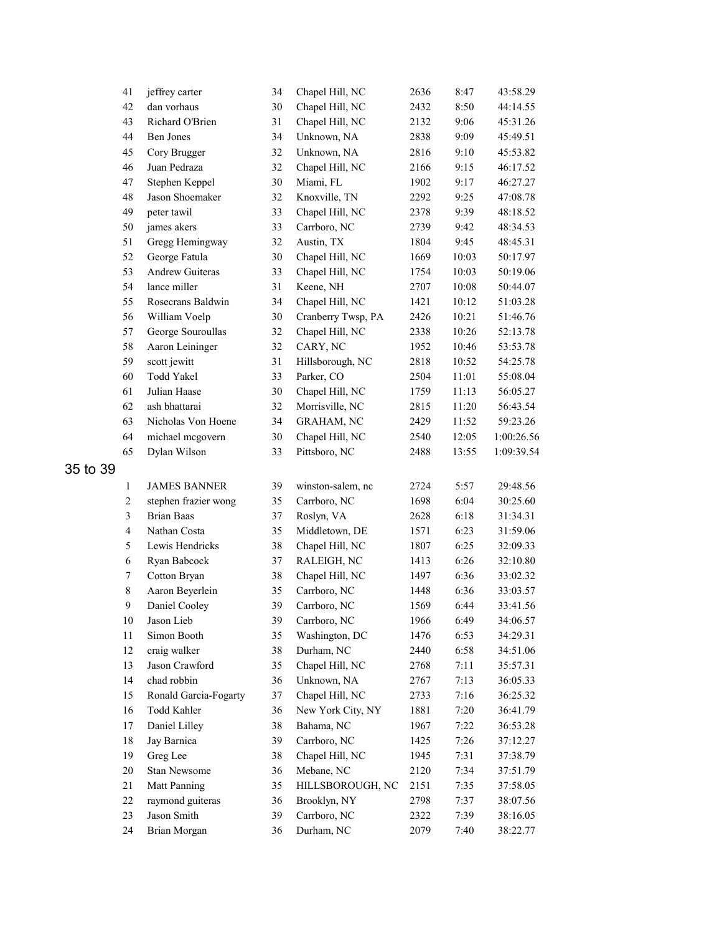|          | 41                      | jeffrey carter        | 34 | Chapel Hill, NC    | 2636 | 8:47  | 43:58.29   |
|----------|-------------------------|-----------------------|----|--------------------|------|-------|------------|
|          | 42                      | dan vorhaus           | 30 | Chapel Hill, NC    | 2432 | 8:50  | 44:14.55   |
|          | 43                      | Richard O'Brien       | 31 | Chapel Hill, NC    | 2132 | 9:06  | 45:31.26   |
|          | 44                      | Ben Jones             | 34 | Unknown, NA        | 2838 | 9:09  | 45:49.51   |
|          | 45                      | Cory Brugger          | 32 | Unknown, NA        | 2816 | 9:10  | 45:53.82   |
|          | 46                      | Juan Pedraza          | 32 | Chapel Hill, NC    | 2166 | 9:15  | 46:17.52   |
|          | 47                      | Stephen Keppel        | 30 | Miami, FL          | 1902 | 9:17  | 46:27.27   |
|          | 48                      | Jason Shoemaker       | 32 | Knoxville, TN      | 2292 | 9:25  | 47:08.78   |
|          | 49                      | peter tawil           | 33 | Chapel Hill, NC    | 2378 | 9:39  | 48:18.52   |
|          | 50                      | james akers           | 33 | Carrboro, NC       | 2739 | 9:42  | 48:34.53   |
|          | 51                      | Gregg Hemingway       | 32 | Austin, TX         | 1804 | 9:45  | 48:45.31   |
|          | 52                      | George Fatula         | 30 | Chapel Hill, NC    | 1669 | 10:03 | 50:17.97   |
|          | 53                      | Andrew Guiteras       | 33 | Chapel Hill, NC    | 1754 | 10:03 | 50:19.06   |
|          | 54                      | lance miller          | 31 | Keene, NH          | 2707 | 10:08 | 50:44.07   |
|          | 55                      | Rosecrans Baldwin     | 34 | Chapel Hill, NC    | 1421 | 10:12 | 51:03.28   |
|          | 56                      | William Voelp         | 30 | Cranberry Twsp, PA | 2426 | 10:21 | 51:46.76   |
|          | 57                      | George Souroullas     | 32 | Chapel Hill, NC    | 2338 | 10:26 | 52:13.78   |
|          | 58                      | Aaron Leininger       | 32 | CARY, NC           | 1952 | 10:46 | 53:53.78   |
|          | 59                      | scott jewitt          | 31 | Hillsborough, NC   | 2818 | 10:52 | 54:25.78   |
|          | 60                      | Todd Yakel            | 33 | Parker, CO         | 2504 | 11:01 | 55:08.04   |
|          | 61                      | Julian Haase          | 30 | Chapel Hill, NC    | 1759 | 11:13 | 56:05.27   |
|          | 62                      | ash bhattarai         | 32 | Morrisville, NC    | 2815 | 11:20 | 56:43.54   |
|          | 63                      | Nicholas Von Hoene    | 34 | <b>GRAHAM, NC</b>  | 2429 | 11:52 | 59:23.26   |
|          | 64                      | michael mcgovern      | 30 | Chapel Hill, NC    | 2540 | 12:05 | 1:00:26.56 |
|          | 65                      | Dylan Wilson          | 33 | Pittsboro, NC      | 2488 | 13:55 | 1:09:39.54 |
| 35 to 39 |                         |                       |    |                    |      |       |            |
|          | $\mathbf{1}$            | <b>JAMES BANNER</b>   | 39 | winston-salem, nc  | 2724 | 5:57  | 29:48.56   |
|          | $\overline{c}$          | stephen frazier wong  | 35 | Carrboro, NC       | 1698 | 6:04  | 30:25.60   |
|          | $\overline{\mathbf{3}}$ | <b>Brian Baas</b>     | 37 | Roslyn, VA         | 2628 | 6:18  | 31:34.31   |
|          | $\overline{\mathbf{4}}$ | Nathan Costa          | 35 | Middletown, DE     | 1571 | 6:23  | 31:59.06   |
|          | 5                       | Lewis Hendricks       | 38 | Chapel Hill, NC    | 1807 | 6:25  | 32:09.33   |
|          | 6                       | Ryan Babcock          | 37 | RALEIGH, NC        | 1413 | 6:26  | 32:10.80   |
|          | $\tau$                  | Cotton Bryan          | 38 | Chapel Hill, NC    | 1497 | 6:36  | 33:02.32   |
|          | $\,$ 8 $\,$             | Aaron Beyerlein       | 35 | Carrboro, NC       | 1448 | 6:36  | 33:03.57   |
|          | 9                       | Daniel Cooley         | 39 | Carrboro, NC       | 1569 | 6:44  | 33:41.56   |
|          | $10\,$                  | Jason Lieb            | 39 | Carrboro, NC       | 1966 | 6:49  | 34:06.57   |
|          | 11                      | Simon Booth           | 35 | Washington, DC     | 1476 | 6:53  | 34:29.31   |
|          | 12                      | craig walker          | 38 | Durham, NC         | 2440 | 6:58  | 34:51.06   |
|          | 13                      | Jason Crawford        | 35 | Chapel Hill, NC    | 2768 | 7:11  | 35:57.31   |
|          | 14                      | chad robbin           | 36 | Unknown, NA        | 2767 | 7:13  | 36:05.33   |
|          | 15                      | Ronald Garcia-Fogarty | 37 | Chapel Hill, NC    | 2733 | 7:16  | 36:25.32   |
|          | 16                      | Todd Kahler           | 36 | New York City, NY  | 1881 | 7:20  | 36:41.79   |
|          | 17                      | Daniel Lilley         | 38 | Bahama, NC         | 1967 | 7:22  | 36:53.28   |
|          | 18                      | Jay Barnica           | 39 | Carrboro, NC       | 1425 | 7:26  | 37:12.27   |
|          | 19                      | Greg Lee              | 38 | Chapel Hill, NC    | 1945 | 7:31  | 37:38.79   |
|          | $20\,$                  | Stan Newsome          | 36 | Mebane, NC         | 2120 | 7:34  | 37:51.79   |
|          | 21                      | Matt Panning          | 35 | HILLSBOROUGH, NC   | 2151 | 7:35  | 37:58.05   |
|          | 22                      | raymond guiteras      | 36 | Brooklyn, NY       | 2798 | 7:37  | 38:07.56   |
|          | 23                      | Jason Smith           | 39 | Carrboro, NC       | 2322 | 7:39  | 38:16.05   |
|          | 24                      | Brian Morgan          | 36 | Durham, NC         | 2079 | 7:40  | 38:22.77   |
|          |                         |                       |    |                    |      |       |            |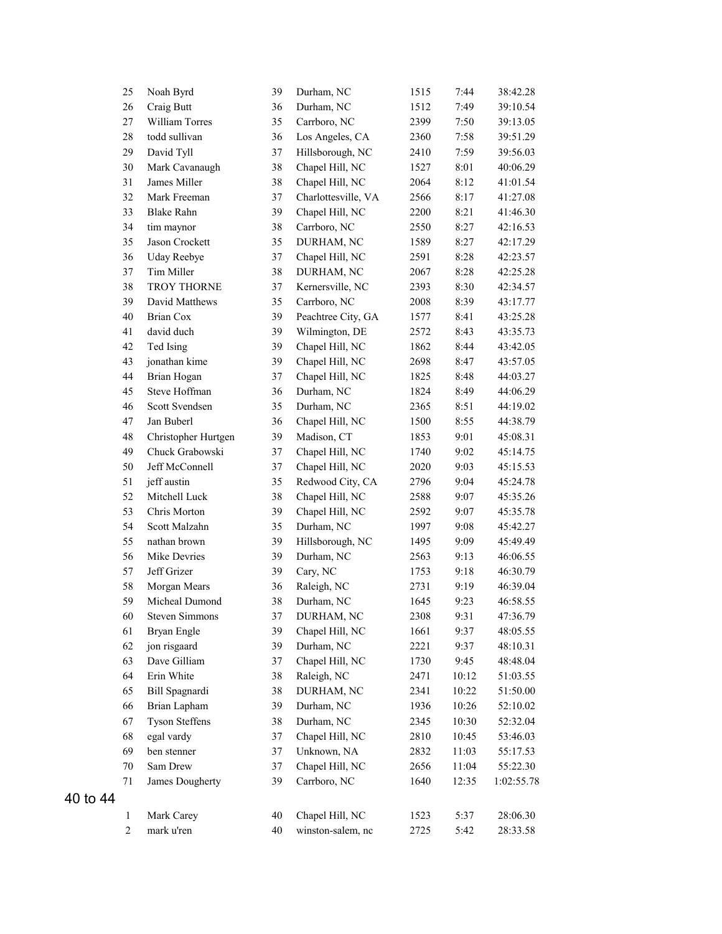|          | 25               | Noah Byrd             | 39     | Durham, NC          | 1515 | 7:44  | 38:42.28   |
|----------|------------------|-----------------------|--------|---------------------|------|-------|------------|
|          | 26               | Craig Butt            | 36     | Durham, NC          | 1512 | 7:49  | 39:10.54   |
|          | 27               | William Torres        | 35     | Carrboro, NC        | 2399 | 7:50  | 39:13.05   |
|          | 28               | todd sullivan         | 36     | Los Angeles, CA     | 2360 | 7:58  | 39:51.29   |
|          | 29               | David Tyll            | 37     | Hillsborough, NC    | 2410 | 7:59  | 39:56.03   |
|          | 30               | Mark Cavanaugh        | 38     | Chapel Hill, NC     | 1527 | 8:01  | 40:06.29   |
|          | 31               | James Miller          | 38     | Chapel Hill, NC     | 2064 | 8:12  | 41:01.54   |
|          | 32               | Mark Freeman          | 37     | Charlottesville, VA | 2566 | 8:17  | 41:27.08   |
|          | 33               | <b>Blake Rahn</b>     | 39     | Chapel Hill, NC     | 2200 | 8:21  | 41:46.30   |
|          | 34               | tim maynor            | 38     | Carrboro, NC        | 2550 | 8:27  | 42:16.53   |
|          | 35               | Jason Crockett        | 35     | DURHAM, NC          | 1589 | 8:27  | 42:17.29   |
|          | 36               | <b>Uday Reebye</b>    | 37     | Chapel Hill, NC     | 2591 | 8:28  | 42:23.57   |
|          | 37               | Tim Miller            | 38     | DURHAM, NC          | 2067 | 8:28  | 42:25.28   |
|          | 38               | TROY THORNE           | 37     | Kernersville, NC    | 2393 | 8:30  | 42:34.57   |
|          | 39               | David Matthews        | 35     | Carrboro, NC        | 2008 | 8:39  | 43:17.77   |
|          | 40               | <b>Brian Cox</b>      | 39     | Peachtree City, GA  | 1577 | 8:41  | 43:25.28   |
|          | 41               | david duch            | 39     | Wilmington, DE      | 2572 | 8:43  | 43:35.73   |
|          | 42               | Ted Ising             | 39     | Chapel Hill, NC     | 1862 | 8:44  | 43:42.05   |
|          | 43               | jonathan kime         | 39     | Chapel Hill, NC     | 2698 | 8:47  | 43:57.05   |
|          | 44               | Brian Hogan           | 37     | Chapel Hill, NC     | 1825 | 8:48  | 44:03.27   |
|          | 45               | Steve Hoffman         | 36     | Durham, NC          | 1824 | 8:49  | 44:06.29   |
|          | 46               | Scott Svendsen        | 35     | Durham, NC          | 2365 | 8:51  | 44:19.02   |
|          | 47               | Jan Buberl            | 36     | Chapel Hill, NC     | 1500 | 8:55  | 44:38.79   |
|          | 48               | Christopher Hurtgen   | 39     | Madison, CT         | 1853 | 9:01  | 45:08.31   |
|          | 49               | Chuck Grabowski       | 37     | Chapel Hill, NC     | 1740 | 9:02  | 45:14.75   |
|          | 50               | Jeff McConnell        | 37     | Chapel Hill, NC     | 2020 | 9:03  | 45:15.53   |
|          | 51               | jeff austin           | 35     | Redwood City, CA    | 2796 | 9:04  | 45:24.78   |
|          | 52               | Mitchell Luck         | 38     | Chapel Hill, NC     | 2588 | 9:07  | 45:35.26   |
|          | 53               | Chris Morton          | 39     | Chapel Hill, NC     | 2592 | 9:07  | 45:35.78   |
|          | 54               | Scott Malzahn         | 35     | Durham, NC          | 1997 | 9:08  | 45:42.27   |
|          | 55               | nathan brown          | 39     | Hillsborough, NC    | 1495 | 9:09  | 45:49.49   |
|          | 56               | Mike Devries          | 39     | Durham, NC          | 2563 | 9:13  | 46:06.55   |
|          | 57               | Jeff Grizer           | 39     | Cary, NC            | 1753 | 9:18  | 46:30.79   |
|          | 58               | Morgan Mears          | 36     | Raleigh, NC         | 2731 | 9:19  | 46:39.04   |
|          | 59               | Micheal Dumond        | 38     | Durham, NC          | 1645 | 9:23  | 46:58.55   |
|          | 60               | <b>Steven Simmons</b> | 37     | DURHAM, NC          | 2308 | 9:31  | 47:36.79   |
|          | 61               | Bryan Engle           | 39     | Chapel Hill, NC     | 1661 | 9:37  | 48:05.55   |
|          | 62               | jon risgaard          | 39     | Durham, NC          | 2221 | 9:37  | 48:10.31   |
|          | 63               | Dave Gilliam          | 37     | Chapel Hill, NC     | 1730 | 9:45  | 48:48.04   |
|          | 64               | Erin White            | 38     | Raleigh, NC         | 2471 | 10:12 | 51:03.55   |
|          | 65               | Bill Spagnardi        | 38     | DURHAM, NC          | 2341 | 10:22 | 51:50.00   |
|          | 66               | Brian Lapham          | 39     | Durham, NC          | 1936 | 10:26 | 52:10.02   |
|          | 67               | <b>Tyson Steffens</b> | 38     | Durham, NC          | 2345 | 10:30 | 52:32.04   |
|          | 68               | egal vardy            | 37     | Chapel Hill, NC     | 2810 | 10:45 | 53:46.03   |
|          | 69               | ben stenner           | 37     | Unknown, NA         | 2832 | 11:03 | 55:17.53   |
|          | 70               | Sam Drew              | 37     | Chapel Hill, NC     | 2656 | 11:04 | 55:22.30   |
|          | 71               | James Dougherty       | 39     | Carrboro, NC        | 1640 | 12:35 | 1:02:55.78 |
| 40 to 44 |                  |                       |        |                     |      |       |            |
|          | $\mathbf{1}$     | Mark Carey            | 40     | Chapel Hill, NC     | 1523 | 5:37  | 28:06.30   |
|          | $\boldsymbol{2}$ | mark u'ren            | $40\,$ | winston-salem, nc   | 2725 | 5:42  | 28:33.58   |
|          |                  |                       |        |                     |      |       |            |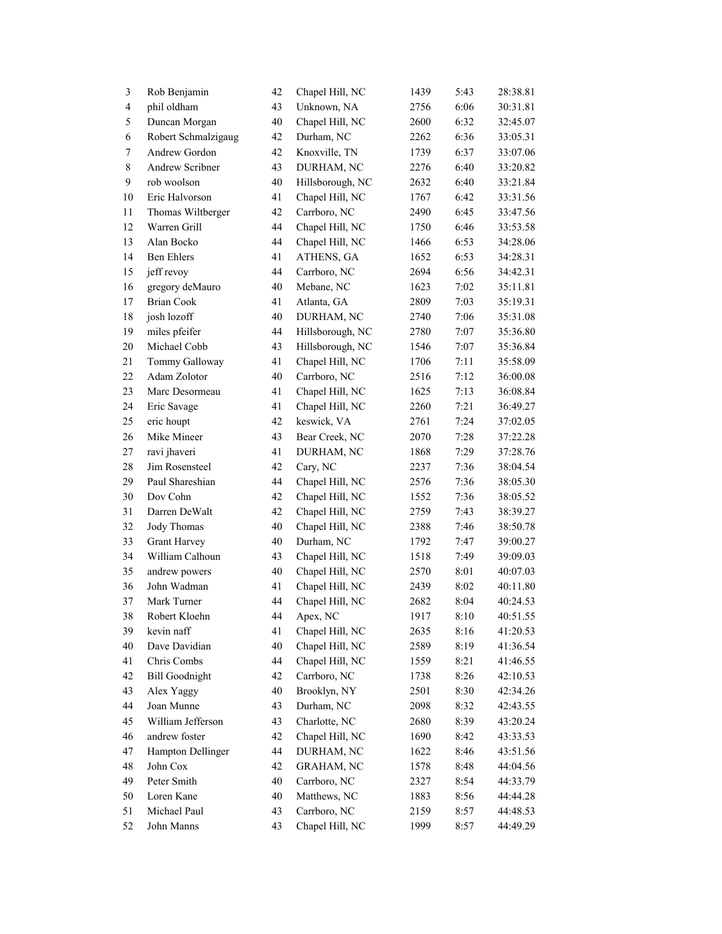| $\mathfrak{Z}$           | Rob Benjamin          | 42 | Chapel Hill, NC   | 1439 | 5:43 | 28:38.81 |
|--------------------------|-----------------------|----|-------------------|------|------|----------|
| $\overline{\mathcal{L}}$ | phil oldham           | 43 | Unknown, NA       | 2756 | 6:06 | 30:31.81 |
| 5                        | Duncan Morgan         | 40 | Chapel Hill, NC   | 2600 | 6:32 | 32:45.07 |
| 6                        | Robert Schmalzigaug   | 42 | Durham, NC        | 2262 | 6:36 | 33:05.31 |
| $\tau$                   | Andrew Gordon         | 42 | Knoxville, TN     | 1739 | 6:37 | 33:07.06 |
| 8                        | Andrew Scribner       | 43 | DURHAM, NC        | 2276 | 6:40 | 33:20.82 |
| $\mathbf{9}$             | rob woolson           | 40 | Hillsborough, NC  | 2632 | 6:40 | 33:21.84 |
| $10\,$                   | Eric Halvorson        | 41 | Chapel Hill, NC   | 1767 | 6:42 | 33:31.56 |
| $11\,$                   | Thomas Wiltberger     | 42 | Carrboro, NC      | 2490 | 6:45 | 33:47.56 |
| 12                       | Warren Grill          | 44 | Chapel Hill, NC   | 1750 | 6:46 | 33:53.58 |
| 13                       | Alan Bocko            | 44 | Chapel Hill, NC   | 1466 | 6:53 | 34:28.06 |
| 14                       | Ben Ehlers            | 41 | ATHENS, GA        | 1652 | 6:53 | 34:28.31 |
| 15                       | jeff revoy            | 44 | Carrboro, NC      | 2694 | 6:56 | 34:42.31 |
| 16                       | gregory deMauro       | 40 | Mebane, NC        | 1623 | 7:02 | 35:11.81 |
| 17                       | <b>Brian Cook</b>     | 41 | Atlanta, GA       | 2809 | 7:03 | 35:19.31 |
| 18                       | josh lozoff           | 40 | DURHAM, NC        | 2740 | 7:06 | 35:31.08 |
| 19                       | miles pfeifer         | 44 | Hillsborough, NC  | 2780 | 7:07 | 35:36.80 |
| $20\,$                   | Michael Cobb          | 43 | Hillsborough, NC  | 1546 | 7:07 | 35:36.84 |
| 21                       | Tommy Galloway        | 41 | Chapel Hill, NC   | 1706 | 7:11 | 35:58.09 |
| $22\,$                   | Adam Zolotor          | 40 | Carrboro, NC      | 2516 | 7:12 | 36:00.08 |
| 23                       | Marc Desormeau        | 41 | Chapel Hill, NC   | 1625 | 7:13 | 36:08.84 |
| 24                       | Eric Savage           | 41 | Chapel Hill, NC   | 2260 | 7:21 | 36:49.27 |
| 25                       | eric houpt            | 42 | keswick, VA       | 2761 | 7:24 | 37:02.05 |
| 26                       | Mike Mineer           | 43 | Bear Creek, NC    | 2070 | 7:28 | 37:22.28 |
| 27                       | ravi jhaveri          | 41 | DURHAM, NC        | 1868 | 7:29 | 37:28.76 |
| $28\,$                   | Jim Rosensteel        | 42 | Cary, NC          | 2237 | 7:36 | 38:04.54 |
| 29                       | Paul Shareshian       | 44 | Chapel Hill, NC   | 2576 | 7:36 | 38:05.30 |
| 30                       | Dov Cohn              | 42 | Chapel Hill, NC   | 1552 | 7:36 | 38:05.52 |
| 31                       | Darren DeWalt         | 42 | Chapel Hill, NC   | 2759 | 7:43 | 38:39.27 |
| 32                       | Jody Thomas           | 40 | Chapel Hill, NC   | 2388 | 7:46 | 38:50.78 |
| 33                       | Grant Harvey          | 40 | Durham, NC        | 1792 | 7:47 | 39:00.27 |
| 34                       | William Calhoun       | 43 | Chapel Hill, NC   | 1518 | 7:49 | 39:09.03 |
| 35                       | andrew powers         | 40 | Chapel Hill, NC   | 2570 | 8:01 | 40:07.03 |
| 36                       | John Wadman           | 41 | Chapel Hill, NC   | 2439 | 8:02 | 40:11.80 |
| 37                       | Mark Turner           | 44 | Chapel Hill, NC   | 2682 | 8:04 | 40:24.53 |
| 38                       | Robert Kloehn         | 44 | Apex, NC          | 1917 | 8:10 | 40:51.55 |
| 39                       | kevin naff            | 41 | Chapel Hill, NC   | 2635 | 8:16 | 41:20.53 |
| $40\,$                   | Dave Davidian         | 40 | Chapel Hill, NC   | 2589 | 8:19 | 41:36.54 |
| 41                       | Chris Combs           | 44 | Chapel Hill, NC   | 1559 | 8:21 | 41:46.55 |
| 42                       | <b>Bill Goodnight</b> | 42 | Carrboro, NC      | 1738 | 8:26 | 42:10.53 |
| 43                       | Alex Yaggy            | 40 | Brooklyn, NY      | 2501 | 8:30 | 42:34.26 |
| 44                       | Joan Munne            | 43 | Durham, NC        |      |      |          |
|                          | William Jefferson     | 43 | Charlotte, NC     | 2098 | 8:32 | 42:43.55 |
| 45                       |                       |    |                   | 2680 | 8:39 | 43:20.24 |
| 46                       | andrew foster         | 42 | Chapel Hill, NC   | 1690 | 8:42 | 43:33.53 |
| 47                       | Hampton Dellinger     | 44 | DURHAM, NC        | 1622 | 8:46 | 43:51.56 |
| 48                       | John Cox              | 42 | <b>GRAHAM, NC</b> | 1578 | 8:48 | 44:04.56 |
| 49                       | Peter Smith           | 40 | Carrboro, NC      | 2327 | 8:54 | 44:33.79 |
| 50                       | Loren Kane            | 40 | Matthews, NC      | 1883 | 8:56 | 44:44.28 |
| 51                       | Michael Paul          | 43 | Carrboro, NC      | 2159 | 8:57 | 44:48.53 |
| 52                       | John Manns            | 43 | Chapel Hill, NC   | 1999 | 8:57 | 44:49.29 |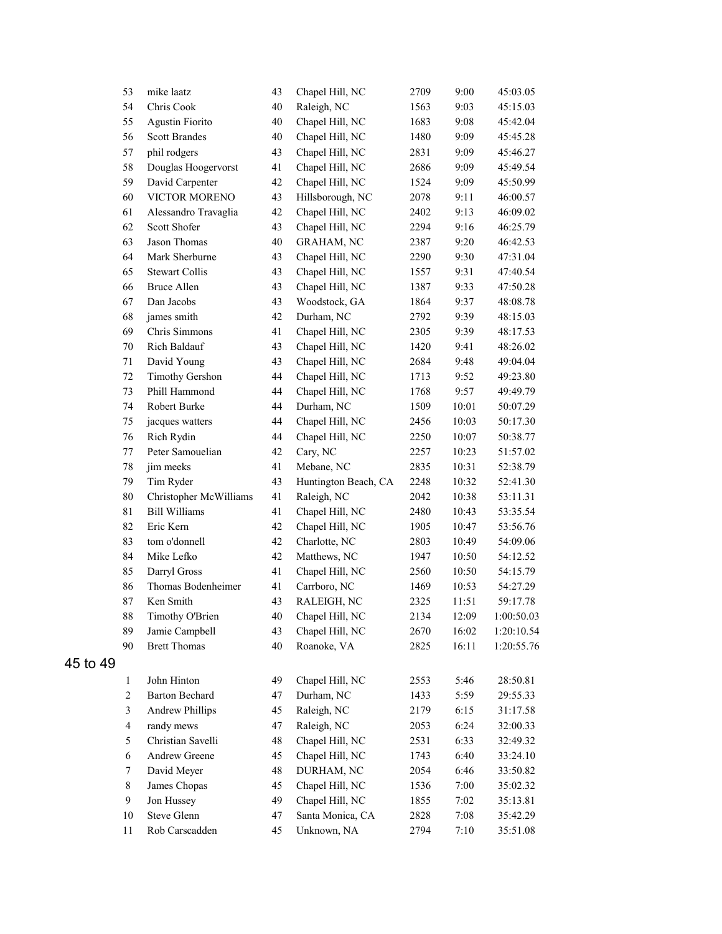|          | 53             | mike laatz             | 43     | Chapel Hill, NC      | 2709 | 9:00  | 45:03.05   |
|----------|----------------|------------------------|--------|----------------------|------|-------|------------|
|          | 54             | Chris Cook             | 40     | Raleigh, NC          | 1563 | 9:03  | 45:15.03   |
|          | 55             | <b>Agustin Fiorito</b> | 40     | Chapel Hill, NC      | 1683 | 9:08  | 45:42.04   |
|          | 56             | <b>Scott Brandes</b>   | 40     | Chapel Hill, NC      | 1480 | 9:09  | 45:45.28   |
|          | 57             | phil rodgers           | 43     | Chapel Hill, NC      | 2831 | 9:09  | 45:46.27   |
|          | 58             | Douglas Hoogervorst    | 41     | Chapel Hill, NC      | 2686 | 9:09  | 45:49.54   |
|          | 59             | David Carpenter        | 42     | Chapel Hill, NC      | 1524 | 9:09  | 45:50.99   |
|          | 60             | VICTOR MORENO          | 43     | Hillsborough, NC     | 2078 | 9:11  | 46:00.57   |
|          | 61             | Alessandro Travaglia   | 42     | Chapel Hill, NC      | 2402 | 9:13  | 46:09.02   |
|          | 62             | Scott Shofer           | 43     | Chapel Hill, NC      | 2294 | 9:16  | 46:25.79   |
|          | 63             | Jason Thomas           | 40     | <b>GRAHAM, NC</b>    | 2387 | 9:20  | 46:42.53   |
|          | 64             | Mark Sherburne         | 43     | Chapel Hill, NC      | 2290 | 9:30  | 47:31.04   |
|          | 65             | <b>Stewart Collis</b>  | 43     | Chapel Hill, NC      | 1557 | 9:31  | 47:40.54   |
|          | 66             | <b>Bruce Allen</b>     | 43     | Chapel Hill, NC      | 1387 | 9:33  | 47:50.28   |
|          | 67             | Dan Jacobs             | 43     | Woodstock, GA        | 1864 | 9:37  | 48:08.78   |
|          | 68             | james smith            | 42     | Durham, NC           | 2792 | 9:39  | 48:15.03   |
|          | 69             | Chris Simmons          | 41     | Chapel Hill, NC      | 2305 | 9:39  | 48:17.53   |
|          | $70\,$         | Rich Baldauf           | 43     | Chapel Hill, NC      | 1420 | 9:41  | 48:26.02   |
|          | 71             | David Young            | 43     | Chapel Hill, NC      | 2684 | 9:48  | 49:04.04   |
|          | 72             | <b>Timothy Gershon</b> | 44     | Chapel Hill, NC      | 1713 | 9:52  | 49:23.80   |
|          | 73             | Phill Hammond          | 44     | Chapel Hill, NC      | 1768 | 9:57  | 49:49.79   |
|          | 74             | Robert Burke           | 44     | Durham, NC           | 1509 | 10:01 | 50:07.29   |
|          | 75             | jacques watters        | 44     | Chapel Hill, NC      | 2456 | 10:03 | 50:17.30   |
|          | 76             | Rich Rydin             | 44     | Chapel Hill, NC      | 2250 | 10:07 | 50:38.77   |
|          | 77             | Peter Samouelian       | 42     | Cary, NC             | 2257 | 10:23 | 51:57.02   |
|          | $78\,$         | jim meeks              | 41     | Mebane, NC           | 2835 | 10:31 | 52:38.79   |
|          | 79             | Tim Ryder              | 43     | Huntington Beach, CA | 2248 | 10:32 | 52:41.30   |
|          | 80             | Christopher McWilliams | 41     | Raleigh, NC          | 2042 | 10:38 | 53:11.31   |
|          | 81             | <b>Bill Williams</b>   | 41     | Chapel Hill, NC      | 2480 | 10:43 | 53:35.54   |
|          | 82             | Eric Kern              | 42     | Chapel Hill, NC      | 1905 | 10:47 | 53:56.76   |
|          | 83             | tom o'donnell          | 42     | Charlotte, NC        | 2803 | 10:49 | 54:09.06   |
|          | 84             | Mike Lefko             | 42     | Matthews, NC         | 1947 | 10:50 | 54:12.52   |
|          | 85             | Darryl Gross           | 41     | Chapel Hill, NC      | 2560 | 10:50 | 54:15.79   |
|          | 86             | Thomas Bodenheimer     | 41     | Carrboro, NC         | 1469 | 10:53 | 54:27.29   |
|          | 87             | Ken Smith              | 43     | RALEIGH, NC          | 2325 | 11:51 | 59:17.78   |
|          | 88             | Timothy O'Brien        | $40\,$ | Chapel Hill, NC      | 2134 | 12:09 | 1:00:50.03 |
|          | 89             | Jamie Campbell         | 43     | Chapel Hill, NC      | 2670 | 16:02 | 1:20:10.54 |
|          | 90             | <b>Brett Thomas</b>    | 40     | Roanoke, VA          | 2825 | 16:11 | 1:20:55.76 |
| 45 to 49 |                |                        |        |                      |      |       |            |
|          | $\mathbf{1}$   | John Hinton            | 49     | Chapel Hill, NC      | 2553 | 5:46  | 28:50.81   |
|          | $\overline{c}$ | <b>Barton Bechard</b>  | 47     | Durham, NC           | 1433 | 5:59  | 29:55.33   |
|          | 3              | <b>Andrew Phillips</b> | 45     | Raleigh, NC          | 2179 | 6:15  | 31:17.58   |
|          | $\overline{4}$ | randy mews             | 47     | Raleigh, NC          | 2053 | 6:24  | 32:00.33   |
|          | 5              | Christian Savelli      | 48     | Chapel Hill, NC      | 2531 | 6:33  | 32:49.32   |
|          | 6              | Andrew Greene          | 45     | Chapel Hill, NC      | 1743 | 6:40  | 33:24.10   |
|          | 7              | David Meyer            | 48     | DURHAM, NC           | 2054 | 6:46  | 33:50.82   |
|          | $8\,$          | James Chopas           | 45     | Chapel Hill, NC      | 1536 | 7:00  | 35:02.32   |
|          | 9              | Jon Hussey             | 49     | Chapel Hill, NC      | 1855 | 7:02  | 35:13.81   |
|          | $10\,$         | Steve Glenn            | 47     | Santa Monica, CA     | 2828 | 7:08  | 35:42.29   |
|          | 11             | Rob Carscadden         | 45     | Unknown, NA          | 2794 | 7:10  | 35:51.08   |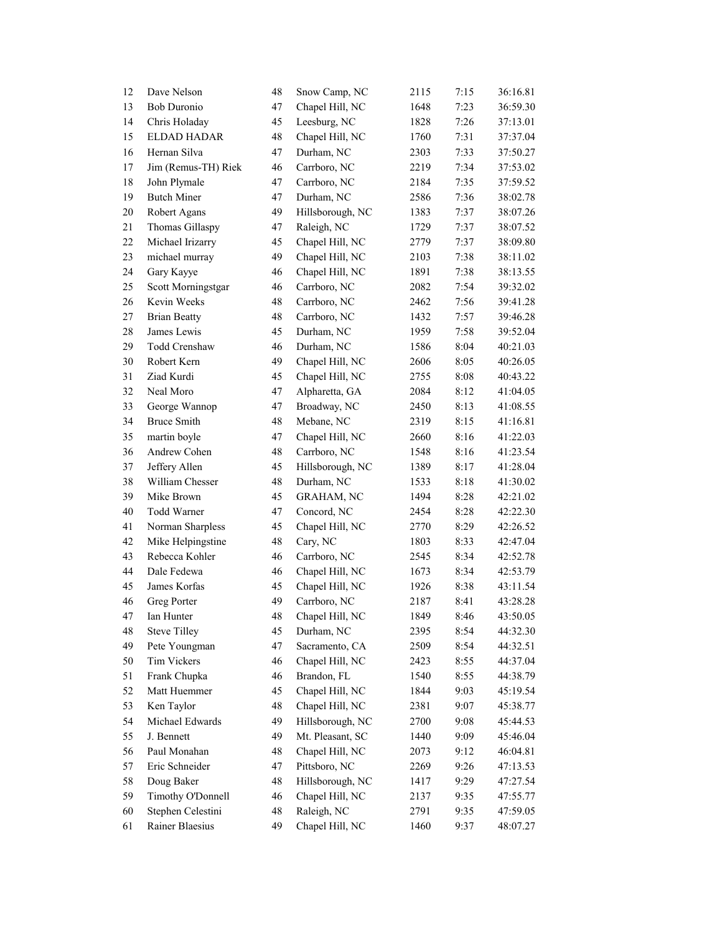| 12 | Dave Nelson         | 48 | Snow Camp, NC     | 2115 | 7:15 | 36:16.81 |
|----|---------------------|----|-------------------|------|------|----------|
| 13 | <b>Bob Duronio</b>  | 47 | Chapel Hill, NC   | 1648 | 7:23 | 36:59.30 |
| 14 | Chris Holaday       | 45 | Leesburg, NC      | 1828 | 7:26 | 37:13.01 |
| 15 | ELDAD HADAR         | 48 | Chapel Hill, NC   | 1760 | 7:31 | 37:37.04 |
| 16 | Hernan Silva        | 47 | Durham, NC        | 2303 | 7:33 | 37:50.27 |
| 17 | Jim (Remus-TH) Riek | 46 | Carrboro, NC      | 2219 | 7:34 | 37:53.02 |
| 18 | John Plymale        | 47 | Carrboro, NC      | 2184 | 7:35 | 37:59.52 |
| 19 | <b>Butch Miner</b>  | 47 | Durham, NC        | 2586 | 7:36 | 38:02.78 |
| 20 | Robert Agans        | 49 | Hillsborough, NC  | 1383 | 7:37 | 38:07.26 |
| 21 | Thomas Gillaspy     | 47 | Raleigh, NC       | 1729 | 7:37 | 38:07.52 |
| 22 | Michael Irizarry    | 45 | Chapel Hill, NC   | 2779 | 7:37 | 38:09.80 |
| 23 | michael murray      | 49 | Chapel Hill, NC   | 2103 | 7:38 | 38:11.02 |
| 24 | Gary Kayye          | 46 | Chapel Hill, NC   | 1891 | 7:38 | 38:13.55 |
| 25 | Scott Morningstgar  | 46 | Carrboro, NC      | 2082 | 7:54 | 39:32.02 |
| 26 | Kevin Weeks         | 48 | Carrboro, NC      | 2462 | 7:56 | 39:41.28 |
| 27 | <b>Brian Beatty</b> | 48 | Carrboro, NC      | 1432 | 7:57 | 39:46.28 |
| 28 | James Lewis         | 45 | Durham, NC        | 1959 | 7:58 | 39:52.04 |
| 29 | Todd Crenshaw       | 46 | Durham, NC        | 1586 | 8:04 | 40:21.03 |
| 30 | Robert Kern         | 49 | Chapel Hill, NC   | 2606 | 8:05 | 40:26.05 |
| 31 | Ziad Kurdi          | 45 | Chapel Hill, NC   | 2755 | 8:08 | 40:43.22 |
| 32 | Neal Moro           | 47 | Alpharetta, GA    | 2084 | 8:12 | 41:04.05 |
| 33 | George Wannop       | 47 | Broadway, NC      | 2450 | 8:13 | 41:08.55 |
| 34 | <b>Bruce Smith</b>  | 48 | Mebane, NC        | 2319 | 8:15 | 41:16.81 |
| 35 | martin boyle        | 47 | Chapel Hill, NC   | 2660 | 8:16 | 41:22.03 |
| 36 | Andrew Cohen        | 48 | Carrboro, NC      | 1548 | 8:16 | 41:23.54 |
| 37 | Jeffery Allen       | 45 | Hillsborough, NC  | 1389 | 8:17 | 41:28.04 |
| 38 | William Chesser     | 48 | Durham, NC        | 1533 | 8:18 | 41:30.02 |
| 39 | Mike Brown          | 45 | <b>GRAHAM, NC</b> | 1494 | 8:28 | 42:21.02 |
| 40 | Todd Warner         | 47 | Concord, NC       | 2454 | 8:28 | 42:22.30 |
| 41 | Norman Sharpless    | 45 | Chapel Hill, NC   | 2770 | 8:29 | 42:26.52 |
| 42 | Mike Helpingstine   | 48 | Cary, NC          | 1803 | 8:33 | 42:47.04 |
| 43 | Rebecca Kohler      | 46 | Carrboro, NC      | 2545 | 8:34 | 42:52.78 |
| 44 | Dale Fedewa         | 46 | Chapel Hill, NC   | 1673 | 8:34 | 42:53.79 |
| 45 | James Korfas        | 45 | Chapel Hill, NC   | 1926 | 8:38 | 43:11.54 |
| 46 | Greg Porter         | 49 | Carrboro, NC      | 2187 | 8:41 | 43:28.28 |
| 47 | Ian Hunter          | 48 | Chapel Hill, NC   | 1849 | 8:46 | 43:50.05 |
| 48 | <b>Steve Tilley</b> | 45 | Durham, NC        | 2395 | 8:54 | 44:32.30 |
| 49 | Pete Youngman       | 47 | Sacramento, CA    | 2509 | 8:54 | 44:32.51 |
| 50 | Tim Vickers         | 46 | Chapel Hill, NC   | 2423 | 8:55 | 44:37.04 |
| 51 | Frank Chupka        | 46 | Brandon, FL       | 1540 | 8:55 | 44:38.79 |
| 52 | Matt Huemmer        | 45 | Chapel Hill, NC   | 1844 | 9:03 | 45:19.54 |
| 53 | Ken Taylor          | 48 | Chapel Hill, NC   | 2381 | 9:07 | 45:38.77 |
| 54 | Michael Edwards     | 49 | Hillsborough, NC  | 2700 | 9:08 | 45:44.53 |
| 55 | J. Bennett          | 49 | Mt. Pleasant, SC  | 1440 | 9:09 | 45:46.04 |
| 56 | Paul Monahan        | 48 | Chapel Hill, NC   | 2073 | 9:12 | 46:04.81 |
| 57 | Eric Schneider      | 47 | Pittsboro, NC     | 2269 | 9:26 | 47:13.53 |
| 58 | Doug Baker          | 48 | Hillsborough, NC  | 1417 | 9:29 | 47:27.54 |
| 59 | Timothy O'Donnell   | 46 | Chapel Hill, NC   | 2137 | 9:35 | 47:55.77 |
| 60 | Stephen Celestini   | 48 | Raleigh, NC       | 2791 | 9:35 | 47:59.05 |
| 61 | Rainer Blaesius     | 49 | Chapel Hill, NC   | 1460 | 9:37 | 48:07.27 |
|    |                     |    |                   |      |      |          |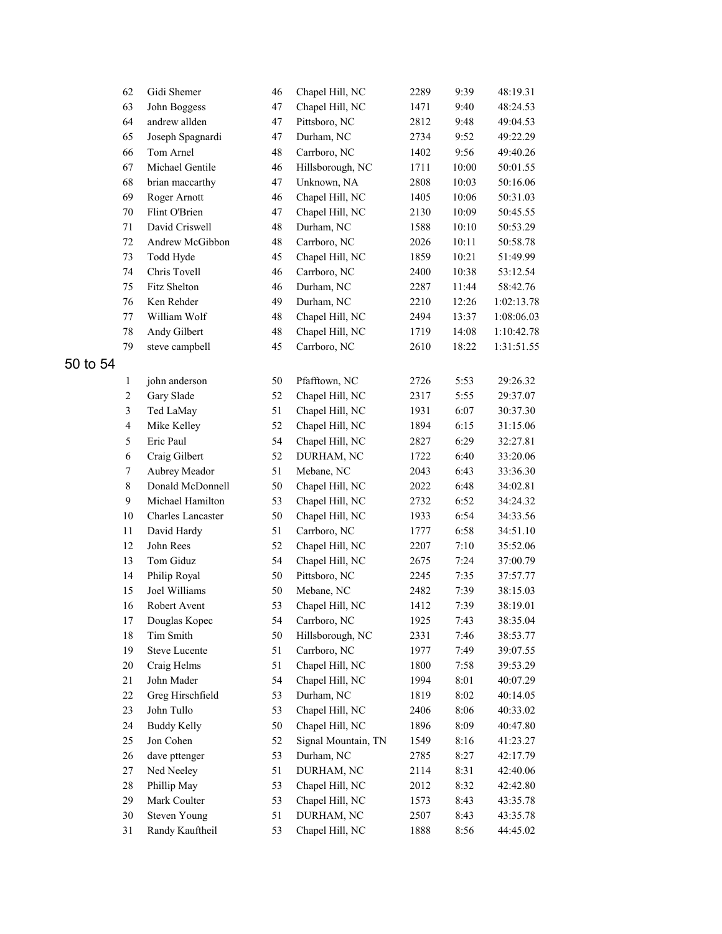|          | 62                      | Gidi Shemer          | 46 | Chapel Hill, NC     | 2289 | 9:39  | 48:19.31   |
|----------|-------------------------|----------------------|----|---------------------|------|-------|------------|
|          | 63                      | John Boggess         | 47 | Chapel Hill, NC     | 1471 | 9:40  | 48:24.53   |
|          | 64                      | andrew allden        | 47 | Pittsboro, NC       | 2812 | 9:48  | 49:04.53   |
|          | 65                      | Joseph Spagnardi     | 47 | Durham, NC          | 2734 | 9:52  | 49:22.29   |
|          | 66                      | Tom Arnel            | 48 | Carrboro, NC        | 1402 | 9:56  | 49:40.26   |
|          | 67                      | Michael Gentile      | 46 | Hillsborough, NC    | 1711 | 10:00 | 50:01.55   |
|          | 68                      | brian maccarthy      | 47 | Unknown, NA         | 2808 | 10:03 | 50:16.06   |
|          | 69                      | Roger Arnott         | 46 | Chapel Hill, NC     | 1405 | 10:06 | 50:31.03   |
|          | $70\,$                  | Flint O'Brien        | 47 | Chapel Hill, NC     | 2130 | 10:09 | 50:45.55   |
|          | 71                      | David Criswell       | 48 | Durham, NC          | 1588 | 10:10 | 50:53.29   |
|          | $72\,$                  | Andrew McGibbon      | 48 | Carrboro, NC        | 2026 | 10:11 | 50:58.78   |
|          | 73                      | Todd Hyde            | 45 | Chapel Hill, NC     | 1859 | 10:21 | 51:49.99   |
|          | 74                      | Chris Tovell         | 46 | Carrboro, NC        | 2400 | 10:38 | 53:12.54   |
|          | 75                      | Fitz Shelton         | 46 | Durham, NC          | 2287 | 11:44 | 58:42.76   |
|          | 76                      | Ken Rehder           | 49 | Durham, NC          | 2210 | 12:26 | 1:02:13.78 |
|          | $77 \,$                 | William Wolf         | 48 | Chapel Hill, NC     | 2494 | 13:37 | 1:08:06.03 |
|          | $78\,$                  | Andy Gilbert         | 48 | Chapel Hill, NC     | 1719 | 14:08 | 1:10:42.78 |
|          | 79                      | steve campbell       | 45 | Carrboro, NC        | 2610 | 18:22 | 1:31:51.55 |
| 50 to 54 |                         |                      |    |                     |      |       |            |
|          | 1                       | john anderson        | 50 | Pfafftown, NC       | 2726 | 5:53  | 29:26.32   |
|          | $\overline{2}$          | Gary Slade           | 52 | Chapel Hill, NC     | 2317 | 5:55  | 29:37.07   |
|          | $\overline{\mathbf{3}}$ | Ted LaMay            | 51 | Chapel Hill, NC     | 1931 | 6:07  | 30:37.30   |
|          | $\overline{\mathbf{4}}$ | Mike Kelley          | 52 | Chapel Hill, NC     | 1894 | 6:15  | 31:15.06   |
|          | 5                       | Eric Paul            | 54 | Chapel Hill, NC     | 2827 | 6:29  | 32:27.81   |
|          | $\sqrt{6}$              | Craig Gilbert        | 52 | DURHAM, NC          | 1722 | 6:40  | 33:20.06   |
|          | $\boldsymbol{7}$        | Aubrey Meador        | 51 | Mebane, NC          | 2043 | 6:43  | 33:36.30   |
|          | $\,8\,$                 | Donald McDonnell     | 50 | Chapel Hill, NC     | 2022 | 6:48  | 34:02.81   |
|          | 9                       | Michael Hamilton     | 53 | Chapel Hill, NC     | 2732 | 6:52  | 34:24.32   |
|          | $10\,$                  | Charles Lancaster    | 50 | Chapel Hill, NC     | 1933 | 6:54  | 34:33.56   |
|          | $11\,$                  | David Hardy          | 51 | Carrboro, NC        | 1777 | 6:58  | 34:51.10   |
|          | 12                      | John Rees            | 52 | Chapel Hill, NC     | 2207 | 7:10  | 35:52.06   |
|          | 13                      | Tom Giduz            | 54 | Chapel Hill, NC     | 2675 | 7:24  | 37:00.79   |
|          | 14                      | Philip Royal         | 50 | Pittsboro, NC       | 2245 | 7:35  | 37:57.77   |
|          | 15                      | Joel Williams        | 50 | Mebane, NC          | 2482 | 7:39  | 38:15.03   |
|          | 16                      | Robert Avent         | 53 | Chapel Hill, NC     | 1412 | 7:39  | 38:19.01   |
|          | $17\,$                  | Douglas Kopec        | 54 | Carrboro, NC        | 1925 | 7:43  | 38:35.04   |
|          | $18\,$                  | Tim Smith            | 50 | Hillsborough, NC    | 2331 | 7:46  | 38:53.77   |
|          | 19                      | <b>Steve Lucente</b> | 51 | Carrboro, NC        | 1977 | 7:49  | 39:07.55   |
|          | $20\,$                  | Craig Helms          | 51 | Chapel Hill, NC     | 1800 | 7:58  | 39:53.29   |
|          | 21                      | John Mader           | 54 | Chapel Hill, NC     | 1994 | 8:01  | 40:07.29   |
|          | 22                      | Greg Hirschfield     | 53 | Durham, NC          | 1819 | 8:02  | 40:14.05   |
|          | 23                      | John Tullo           | 53 | Chapel Hill, NC     | 2406 | 8:06  | 40:33.02   |
|          | 24                      | <b>Buddy Kelly</b>   | 50 | Chapel Hill, NC     | 1896 | 8:09  | 40:47.80   |
|          | 25                      | Jon Cohen            | 52 | Signal Mountain, TN | 1549 | 8:16  | 41:23.27   |
|          | $26\,$                  | dave pttenger        | 53 | Durham, NC          | 2785 | 8:27  | 42:17.79   |
|          | $27\,$                  | Ned Neeley           | 51 | DURHAM, NC          | 2114 | 8:31  | 42:40.06   |
|          | $28\,$                  | Phillip May          | 53 | Chapel Hill, NC     | 2012 | 8:32  | 42:42.80   |
|          | 29                      | Mark Coulter         | 53 | Chapel Hill, NC     | 1573 | 8:43  | 43:35.78   |
|          | 30                      | <b>Steven Young</b>  | 51 | DURHAM, NC          | 2507 | 8:43  | 43:35.78   |
|          | 31                      | Randy Kauftheil      | 53 | Chapel Hill, NC     | 1888 | 8:56  | 44:45.02   |
|          |                         |                      |    |                     |      |       |            |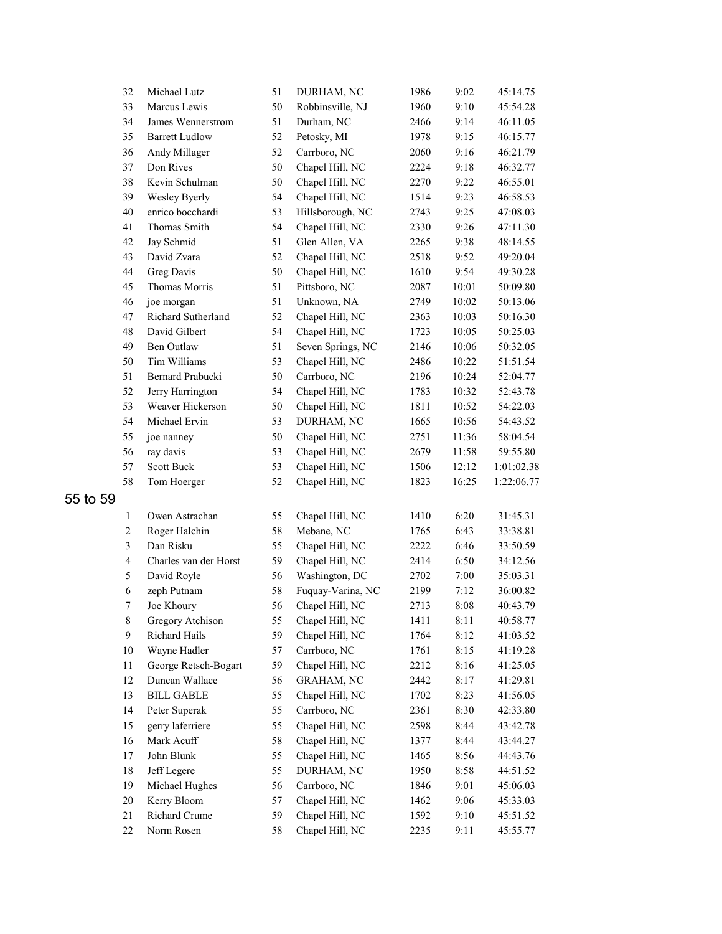|          | 32                      | Michael Lutz                           | 51 | DURHAM, NC                    | 1986 | 9:02  | 45:14.75   |
|----------|-------------------------|----------------------------------------|----|-------------------------------|------|-------|------------|
|          | 33                      | Marcus Lewis                           | 50 | Robbinsville, NJ              | 1960 | 9:10  | 45:54.28   |
|          | 34                      | James Wennerstrom                      | 51 | Durham, NC                    | 2466 | 9:14  | 46:11.05   |
|          | 35                      | <b>Barrett Ludlow</b>                  | 52 | Petosky, MI                   | 1978 | 9:15  | 46:15.77   |
|          | 36                      | Andy Millager                          | 52 | Carrboro, NC                  | 2060 | 9:16  | 46:21.79   |
|          | 37                      | Don Rives                              | 50 | Chapel Hill, NC               | 2224 | 9:18  | 46:32.77   |
|          | 38                      | Kevin Schulman                         | 50 | Chapel Hill, NC               | 2270 | 9:22  | 46:55.01   |
|          | 39                      | Wesley Byerly                          | 54 | Chapel Hill, NC               | 1514 | 9:23  | 46:58.53   |
|          | 40                      | enrico bocchardi                       | 53 | Hillsborough, NC              | 2743 | 9:25  | 47:08.03   |
|          | 41                      | Thomas Smith                           | 54 | Chapel Hill, NC               | 2330 | 9:26  | 47:11.30   |
|          | 42                      | Jay Schmid                             | 51 | Glen Allen, VA                | 2265 | 9:38  | 48:14.55   |
|          | 43                      | David Zvara                            | 52 | Chapel Hill, NC               | 2518 | 9:52  | 49:20.04   |
|          | 44                      | Greg Davis                             | 50 | Chapel Hill, NC               | 1610 | 9:54  | 49:30.28   |
|          | 45                      | Thomas Morris                          | 51 | Pittsboro, NC                 | 2087 | 10:01 | 50:09.80   |
|          | 46                      | joe morgan                             | 51 | Unknown, NA                   | 2749 | 10:02 | 50:13.06   |
|          | 47                      | Richard Sutherland                     | 52 | Chapel Hill, NC               | 2363 | 10:03 | 50:16.30   |
|          | 48                      | David Gilbert                          | 54 | Chapel Hill, NC               | 1723 | 10:05 | 50:25.03   |
|          | 49                      | Ben Outlaw                             | 51 | Seven Springs, NC             | 2146 | 10:06 | 50:32.05   |
|          | 50                      | Tim Williams                           | 53 | Chapel Hill, NC               | 2486 | 10:22 | 51:51.54   |
|          | 51                      | Bernard Prabucki                       | 50 | Carrboro, NC                  | 2196 | 10:24 | 52:04.77   |
|          | 52                      | Jerry Harrington                       | 54 | Chapel Hill, NC               | 1783 | 10:32 | 52:43.78   |
|          | 53                      | Weaver Hickerson                       | 50 | Chapel Hill, NC               | 1811 | 10:52 | 54:22.03   |
|          | 54                      | Michael Ervin                          | 53 | DURHAM, NC                    | 1665 | 10:56 | 54:43.52   |
|          | 55                      | joe nanney                             | 50 | Chapel Hill, NC               | 2751 | 11:36 | 58:04.54   |
|          | 56                      | ray davis                              | 53 | Chapel Hill, NC               | 2679 | 11:58 | 59:55.80   |
|          | 57                      | Scott Buck                             | 53 | Chapel Hill, NC               | 1506 | 12:12 | 1:01:02.38 |
|          | 58                      | Tom Hoerger                            | 52 | Chapel Hill, NC               | 1823 | 16:25 | 1:22:06.77 |
| 55 to 59 |                         |                                        |    |                               |      |       |            |
|          | $\mathbf{1}$            | Owen Astrachan                         | 55 | Chapel Hill, NC               | 1410 | 6:20  | 31:45.31   |
|          | $\mathbf{2}$            | Roger Halchin                          | 58 | Mebane, NC                    | 1765 | 6:43  | 33:38.81   |
|          | 3                       | Dan Risku                              | 55 | Chapel Hill, NC               | 2222 | 6:46  | 33:50.59   |
|          | $\overline{\mathbf{4}}$ | Charles van der Horst                  | 59 | Chapel Hill, NC               | 2414 | 6:50  | 34:12.56   |
|          | 5                       | David Royle                            | 56 | Washington, DC                | 2702 | 7:00  | 35:03.31   |
|          | 6                       | zeph Putnam                            | 58 | Fuquay-Varina, NC             | 2199 | 7:12  | 36:00.82   |
|          | 7                       | Joe Khoury                             | 56 | Chapel Hill, NC               | 2713 | 8:08  | 40:43.79   |
|          | $\,$ $\,$               | Gregory Atchison                       | 55 | Chapel Hill, NC               | 1411 | 8:11  | 40:58.77   |
|          | 9                       | Richard Hails                          | 59 | Chapel Hill, NC               | 1764 | 8:12  | 41:03.52   |
|          | $10\,$                  | Wayne Hadler                           | 57 | Carrboro, NC                  |      |       |            |
|          | $11\,$                  |                                        | 59 |                               | 1761 | 8:15  | 41:19.28   |
|          | 12                      | George Retsch-Bogart<br>Duncan Wallace |    | Chapel Hill, NC               | 2212 | 8:16  | 41:25.05   |
|          |                         |                                        | 56 | GRAHAM, NC<br>Chapel Hill, NC | 2442 | 8:17  | 41:29.81   |
|          | 13                      | <b>BILL GABLE</b>                      | 55 |                               | 1702 | 8:23  | 41:56.05   |
|          | 14                      | Peter Superak                          | 55 | Carrboro, NC                  | 2361 | 8:30  | 42:33.80   |
|          | 15                      | gerry laferriere                       | 55 | Chapel Hill, NC               | 2598 | 8:44  | 43:42.78   |
|          | 16                      | Mark Acuff                             | 58 | Chapel Hill, NC               | 1377 | 8:44  | 43:44.27   |
|          | 17                      | John Blunk                             | 55 | Chapel Hill, NC               | 1465 | 8:56  | 44:43.76   |
|          | 18                      | Jeff Legere                            | 55 | DURHAM, NC                    | 1950 | 8:58  | 44:51.52   |
|          | 19                      | Michael Hughes                         | 56 | Carrboro, NC                  | 1846 | 9:01  | 45:06.03   |
|          | 20                      | Kerry Bloom                            | 57 | Chapel Hill, NC               | 1462 | 9:06  | 45:33.03   |
|          | 21                      | Richard Crume                          | 59 | Chapel Hill, NC               | 1592 | 9:10  | 45:51.52   |
|          | 22                      | Norm Rosen                             | 58 | Chapel Hill, NC               | 2235 | 9:11  | 45:55.77   |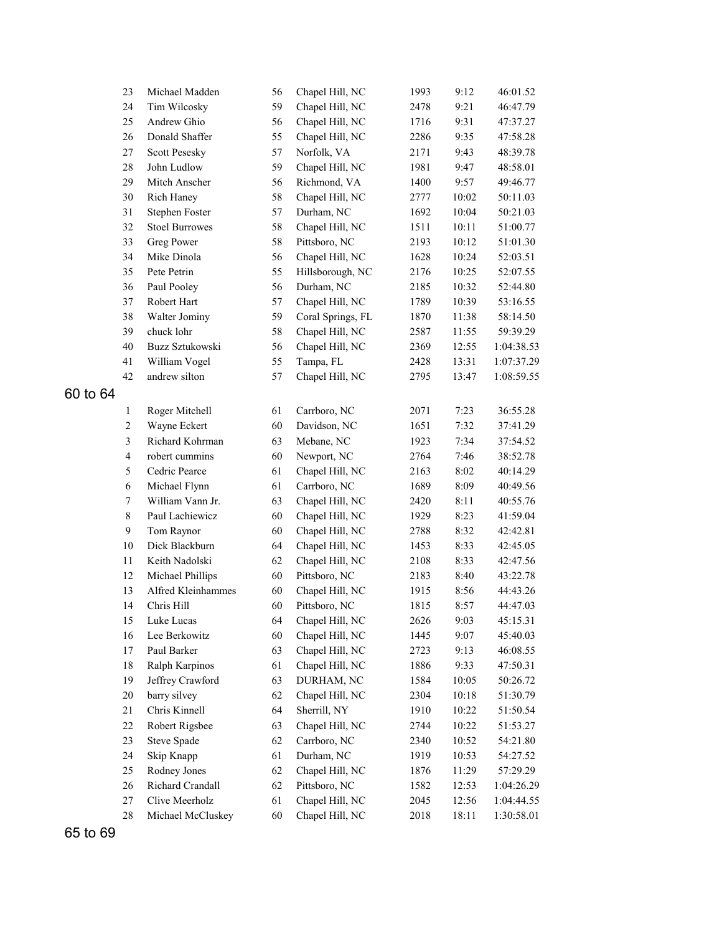|          | 23               | Michael Madden        | 56 | Chapel Hill, NC   | 1993 | 9:12  | 46:01.52   |
|----------|------------------|-----------------------|----|-------------------|------|-------|------------|
|          | 24               | Tim Wilcosky          | 59 | Chapel Hill, NC   | 2478 | 9:21  | 46:47.79   |
|          | 25               | Andrew Ghio           | 56 | Chapel Hill, NC   | 1716 | 9:31  | 47:37.27   |
|          | 26               | Donald Shaffer        | 55 | Chapel Hill, NC   | 2286 | 9:35  | 47:58.28   |
|          | 27               | <b>Scott Pesesky</b>  | 57 | Norfolk, VA       | 2171 | 9:43  | 48:39.78   |
|          | 28               | John Ludlow           | 59 | Chapel Hill, NC   | 1981 | 9:47  | 48:58.01   |
|          | 29               | Mitch Anscher         | 56 | Richmond, VA      | 1400 | 9:57  | 49:46.77   |
|          | 30               | Rich Haney            | 58 | Chapel Hill, NC   | 2777 | 10:02 | 50:11.03   |
|          | 31               | Stephen Foster        | 57 | Durham, NC        | 1692 | 10:04 | 50:21.03   |
|          | 32               | <b>Stoel Burrowes</b> | 58 | Chapel Hill, NC   | 1511 | 10:11 | 51:00.77   |
|          | 33               | Greg Power            | 58 | Pittsboro, NC     | 2193 | 10:12 | 51:01.30   |
|          | 34               | Mike Dinola           | 56 | Chapel Hill, NC   | 1628 | 10:24 | 52:03.51   |
|          | 35               | Pete Petrin           | 55 | Hillsborough, NC  | 2176 | 10:25 | 52:07.55   |
|          | 36               | Paul Pooley           | 56 | Durham, NC        | 2185 | 10:32 | 52:44.80   |
|          | 37               | Robert Hart           | 57 | Chapel Hill, NC   | 1789 | 10:39 | 53:16.55   |
|          | 38               | Walter Jominy         | 59 | Coral Springs, FL | 1870 | 11:38 | 58:14.50   |
|          | 39               | chuck lohr            | 58 | Chapel Hill, NC   | 2587 | 11:55 | 59:39.29   |
|          | 40               | Buzz Sztukowski       | 56 | Chapel Hill, NC   | 2369 | 12:55 | 1:04:38.53 |
|          | 41               | William Vogel         | 55 | Tampa, FL         | 2428 | 13:31 | 1:07:37.29 |
|          | 42               | andrew silton         | 57 | Chapel Hill, NC   | 2795 | 13:47 | 1:08:59.55 |
| 60 to 64 |                  |                       |    |                   |      |       |            |
|          | $\mathbf{1}$     | Roger Mitchell        | 61 | Carrboro, NC      | 2071 | 7:23  | 36:55.28   |
|          | $\overline{c}$   | Wayne Eckert          | 60 | Davidson, NC      | 1651 | 7:32  | 37:41.29   |
|          | $\mathfrak{Z}$   | Richard Kohrman       | 63 | Mebane, NC        | 1923 | 7:34  | 37:54.52   |
|          | $\overline{4}$   | robert cummins        | 60 | Newport, NC       | 2764 | 7:46  | 38:52.78   |
|          | 5                | Cedric Pearce         | 61 | Chapel Hill, NC   | 2163 | 8:02  | 40:14.29   |
|          | $\sqrt{6}$       | Michael Flynn         | 61 | Carrboro, NC      | 1689 | 8:09  | 40:49.56   |
|          | $\boldsymbol{7}$ | William Vann Jr.      | 63 | Chapel Hill, NC   | 2420 | 8:11  | 40:55.76   |
|          | $\,8\,$          | Paul Lachiewicz       | 60 | Chapel Hill, NC   | 1929 | 8:23  | 41:59.04   |
|          | $\boldsymbol{9}$ | Tom Raynor            | 60 | Chapel Hill, NC   | 2788 | 8:32  | 42:42.81   |
|          | $10\,$           | Dick Blackburn        | 64 | Chapel Hill, NC   | 1453 | 8:33  | 42:45.05   |
|          | $11\,$           | Keith Nadolski        | 62 | Chapel Hill, NC   | 2108 | 8:33  | 42:47.56   |
|          | 12               | Michael Phillips      | 60 | Pittsboro, NC     | 2183 | 8:40  | 43:22.78   |
|          | 13               | Alfred Kleinhammes    | 60 | Chapel Hill, NC   | 1915 | 8:56  | 44:43.26   |
|          | 14               | Chris Hill            | 60 | Pittsboro, NC     | 1815 | 8:57  | 44:47.03   |
|          | 15               | Luke Lucas            | 64 | Chapel Hill, NC   | 2626 | 9:03  | 45:15.31   |
|          | 16               | Lee Berkowitz         | 60 | Chapel Hill, NC   | 1445 | 9:07  | 45:40.03   |
|          | 17               | Paul Barker           | 63 | Chapel Hill, NC   | 2723 | 9:13  | 46:08.55   |
|          | 18               | Ralph Karpinos        | 61 | Chapel Hill, NC   | 1886 | 9:33  | 47:50.31   |
|          | 19               | Jeffrey Crawford      | 63 | DURHAM, NC        | 1584 | 10:05 | 50:26.72   |
|          | $20\,$           | barry silvey          | 62 | Chapel Hill, NC   | 2304 | 10:18 | 51:30.79   |
|          | 21               | Chris Kinnell         | 64 | Sherrill, NY      | 1910 | 10:22 | 51:50.54   |
|          | 22               | Robert Rigsbee        | 63 | Chapel Hill, NC   | 2744 | 10:22 | 51:53.27   |
|          | 23               | Steve Spade           | 62 | Carrboro, NC      | 2340 | 10:52 | 54:21.80   |
|          | 24               | Skip Knapp            | 61 | Durham, NC        | 1919 | 10:53 | 54:27.52   |
|          | 25               | Rodney Jones          | 62 | Chapel Hill, NC   | 1876 | 11:29 | 57:29.29   |
|          | 26               | Richard Crandall      | 62 | Pittsboro, NC     | 1582 | 12:53 | 1:04:26.29 |
|          | 27               | Clive Meerholz        | 61 | Chapel Hill, NC   | 2045 | 12:56 | 1:04:44.55 |
|          | 28               | Michael McCluskey     | 60 | Chapel Hill, NC   | 2018 | 18:11 | 1:30:58.01 |

65 to 69